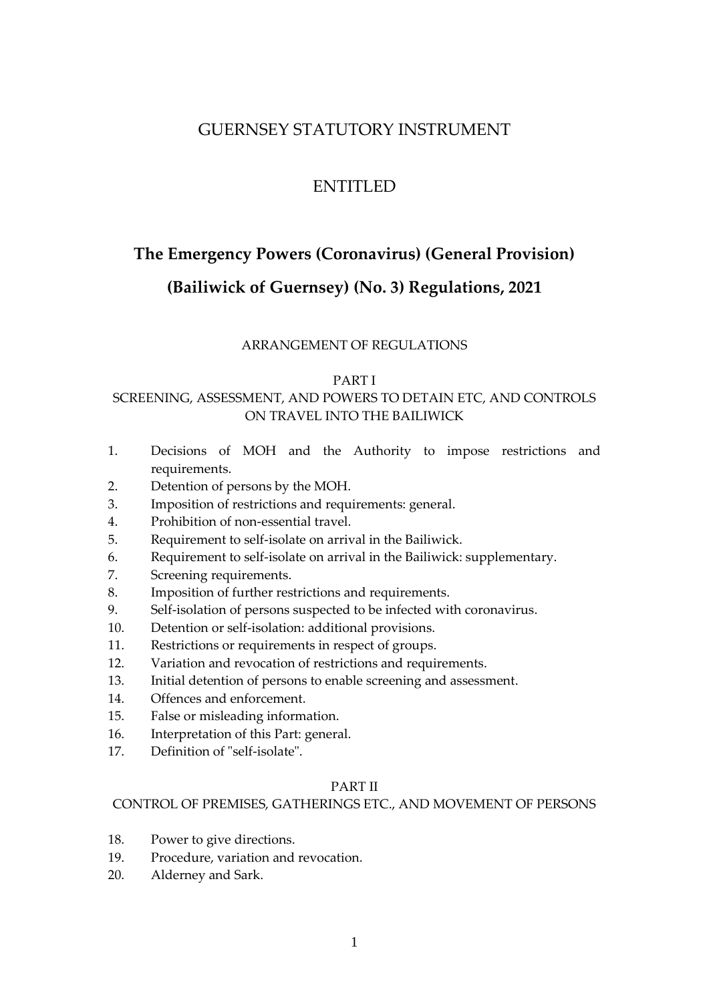# GUERNSEY STATUTORY INSTRUMENT

# ENTITLED

# <span id="page-0-0"></span>**The Emergency Powers (Coronavirus) (General Provision)**

# **(Bailiwick of Guernsey) (No. 3) Regulations, 2021**

# ARRANGEMENT OF REGULATIONS

#### [PART I](#page-4-0)

# SCREENING, ASSESSMENT, AND POWERS TO DETAIN ETC, AND CONTROLS ON TRAVEL INTO THE BAILIWICK

- 1. [Decisions of MOH and the Authority to impose restrictions and](#page-5-0)  [requirements.](#page-5-0)
- 2. [Detention of persons by the MOH.](#page-5-1)
- 3. [Imposition of restrictions and requirements: general.](#page-6-0)
- 4. Prohibition of non-essential travel.
- 5. [Requirement to self-isolate on arrival in the Bailiwick.](#page-9-0)
- 6. [Requirement to self-isolate on arrival in the Bailiwick:](#page-9-0) supplementary.
- 7. [Screening requirements.](#page-14-0)
- 8. [Imposition of further restrictions and requirements.](#page-15-0)
- 9. [Self-isolation of persons suspected to be infected with coronavirus.](#page-18-0)
- 10. [Detention or self-isolation: additional provisions.](#page-19-0)
- 11. [Restrictions or requirements in respect of groups.](#page-21-0)
- 12. [Variation and revocation of restrictions and requirements.](#page-22-0)
- 13. [Initial detention of persons to enable screening and assessment.](#page-24-0)
- 14. [Offences and enforcement.](#page-27-0)
- 15. [False or misleading information.](#page-30-0)
- 16. [Interpretation of this Part: general.](#page-32-0)
- 17. [Definition of "self-isolate".](#page-34-0)

# PART II

# CONTROL OF PREMISES, GATHERINGS ETC., AND MOVEMENT OF PERSONS

- 18. Power to give directions.
- 19. Procedure, variation and revocation.
- 20. Alderney and Sark.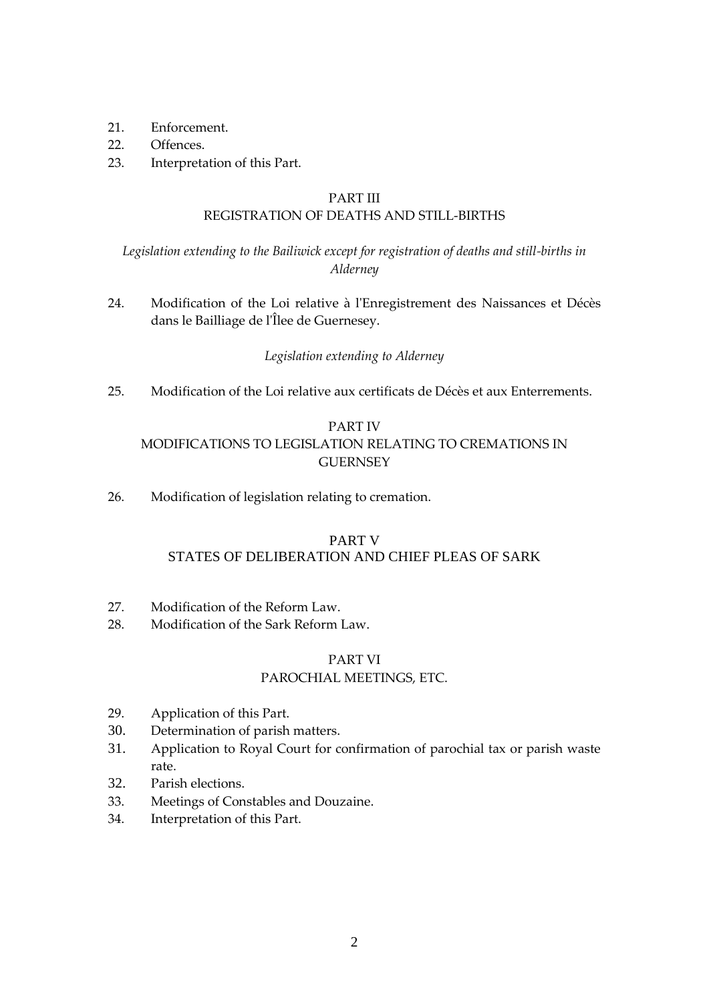- 21 Enforcement
- 22. Offences.
- 23. Interpretation of this Part.

#### PART III

# REGISTRATION OF DEATHS AND STILL-BIRTHS

*Legislation extending to the Bailiwick except for registration of deaths and still-births in Alderney*

24. Modification of the Loi relative à l'Enregistrement des Naissances et Décès dans le Bailliage de l'Îlee de Guernesey.

# *Legislation extending to Alderney*

25. Modification of the Loi relative aux certificats de Décès et aux Enterrements.

# PART IV

# MODIFICATIONS TO LEGISLATION RELATING TO CREMATIONS IN **GUERNSEY**

26. Modification of legislation relating to cremation.

# PART V STATES OF DELIBERATION AND CHIEF PLEAS OF SARK

- 27. Modification of the Reform Law.
- 28. Modification of the Sark Reform Law.

# PART VI

# PAROCHIAL MEETINGS, ETC.

- 29. Application of this Part.
- 30. Determination of parish matters.
- 31. Application to Royal Court for confirmation of parochial tax or parish waste rate.
- 32. Parish elections.
- 33. Meetings of Constables and Douzaine.
- 34. Interpretation of this Part.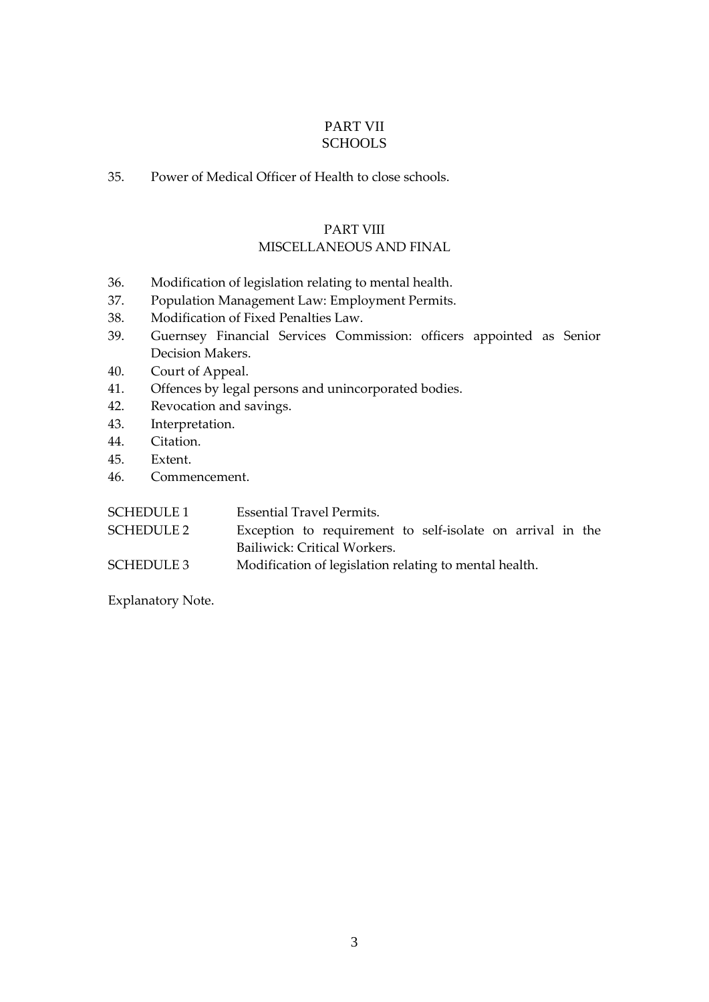# PART VII **SCHOOLS**

35. Power of Medical Officer of Health to close schools.

# PART VIII

# MISCELLANEOUS AND FINAL

- 36. [Modification of legislation relating to mental health.](#page-47-0)
- 37. Population Management Law: Employment Permits.
- 38. Modification of Fixed Penalties Law.
- 39. [Guernsey Financial Services Commission: officers appointed as Senior](#page-57-0)  [Decision Makers.](#page-57-0)
- 40. [Court of Appeal.](#page-64-0)
- 41. [Offences by legal persons and unincorporated bodies.](#page-64-1)
- 42. Revocation and savings.
- 43. Interpretation.
- 44. [Citation.](#page-68-0)
- 45. [Extent.](#page-68-1)
- 46. [Commencement.](#page-68-2)

| SCHEDULE 1 | Essential Travel Permits.                                  |
|------------|------------------------------------------------------------|
| SCHEDULE 2 | Exception to requirement to self-isolate on arrival in the |
|            | Bailiwick: Critical Workers.                               |
| SCHEDULE 3 | Modification of legislation relating to mental health.     |

[Explanatory Note.](#page-90-0)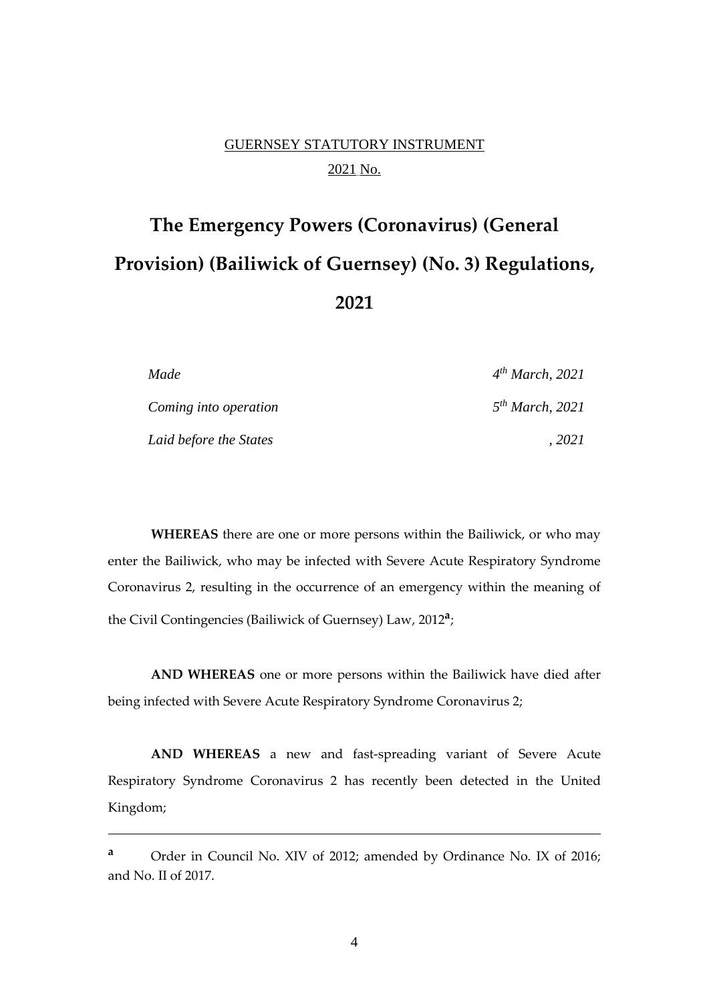# GUERNSEY STATUTORY INSTRUMENT 2021 No.

# **The [Emergency Powers \(Coronavirus\) \(General](#page-0-0)  [Provision\) \(Bailiwick of Guernsey\) \(No. 3\) Regulations,](#page-0-0)  [202](#page-0-0)1**

| Made                   | $4^{th}$ March, 2021        |
|------------------------|-----------------------------|
| Coming into operation  | 5 <sup>th</sup> March, 2021 |
| Laid before the States | 2021                        |

**WHEREAS** there are one or more persons within the Bailiwick, or who may enter the Bailiwick, who may be infected with Severe Acute Respiratory Syndrome Coronavirus 2, resulting in the occurrence of an emergency within the meaning of the Civil Contingencies (Bailiwick of Guernsey) Law, 2012**<sup>a</sup>** ;

**AND WHEREAS** one or more persons within the Bailiwick have died after being infected with Severe Acute Respiratory Syndrome Coronavirus 2;

**AND WHEREAS** a new and fast-spreading variant of Severe Acute Respiratory Syndrome Coronavirus 2 has recently been detected in the United Kingdom;

**<sup>a</sup>** Order in Council No. XIV of 2012; amended by Ordinance No. IX of 2016; and No. II of 2017.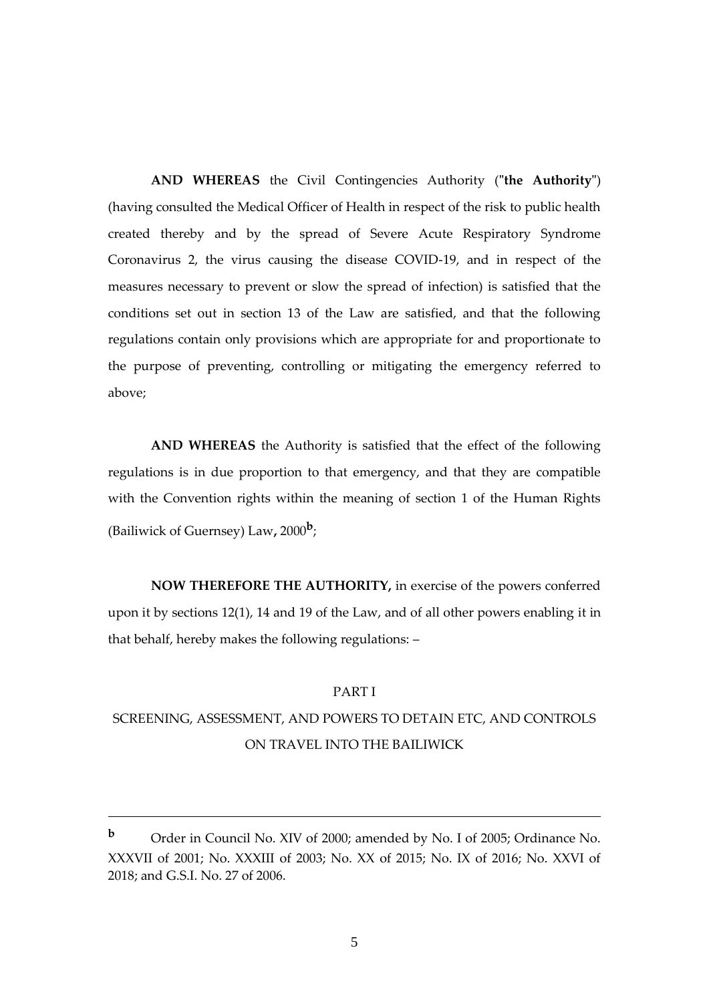**AND WHEREAS** the Civil Contingencies Authority (**"the Authority"**) (having consulted the Medical Officer of Health in respect of the risk to public health created thereby and by the spread of Severe Acute Respiratory Syndrome Coronavirus 2, the virus causing the disease COVID-19, and in respect of the measures necessary to prevent or slow the spread of infection) is satisfied that the conditions set out in section 13 of the Law are satisfied, and that the following regulations contain only provisions which are appropriate for and proportionate to the purpose of preventing, controlling or mitigating the emergency referred to above;

**AND WHEREAS** the Authority is satisfied that the effect of the following regulations is in due proportion to that emergency, and that they are compatible with the Convention rights within the meaning of section 1 of the Human Rights (Bailiwick of Guernsey) Law**,** 2000**<sup>b</sup>** ;

**NOW THEREFORE THE AUTHORITY,** in exercise of the powers conferred upon it by sections 12(1), 14 and 19 of the Law, and of all other powers enabling it in that behalf, hereby makes the following regulations: –

# PART I

# <span id="page-4-0"></span>SCREENING, ASSESSMENT, AND POWERS TO DETAIN ETC, AND CONTROLS ON TRAVEL INTO THE BAILIWICK

5

**<sup>b</sup>** Order in Council No. XIV of 2000; amended by No. I of 2005; Ordinance No. XXXVII of 2001; No. XXXIII of 2003; No. XX of 2015; No. IX of 2016; No. XXVI of 2018; and G.S.I. No. 27 of 2006.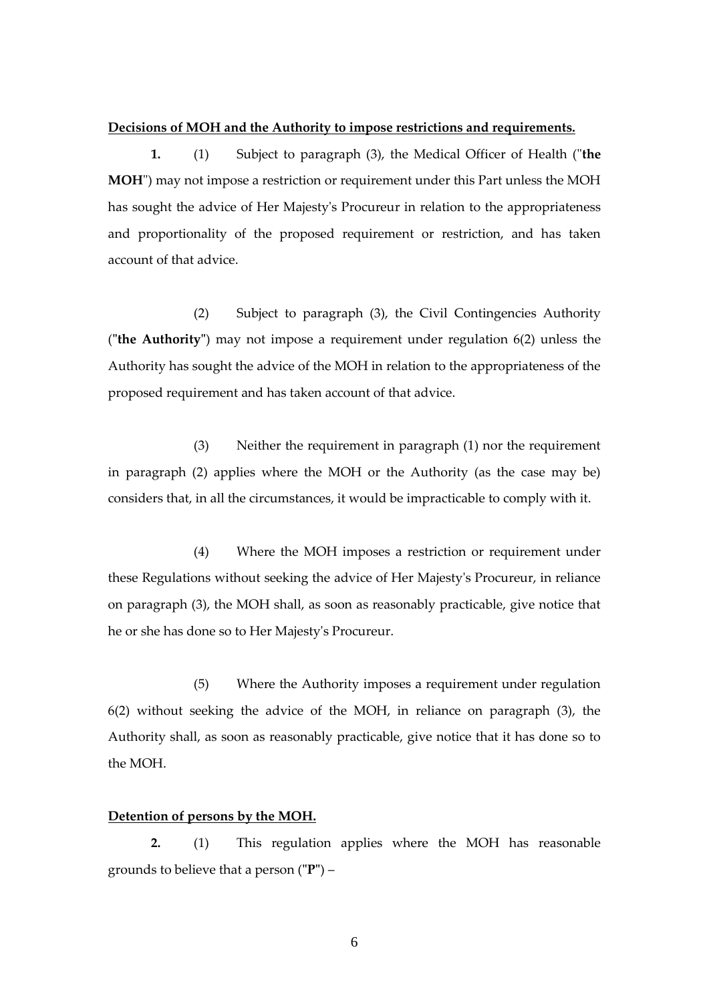#### <span id="page-5-0"></span>**Decisions of MOH and the Authority to impose restrictions and requirements.**

**1.** (1) Subject to paragraph (3), the Medical Officer of Health ("**the MOH**") may not impose a restriction or requirement under this Part unless the MOH has sought the advice of Her Majesty's Procureur in relation to the appropriateness and proportionality of the proposed requirement or restriction, and has taken account of that advice.

(2) Subject to paragraph (3), the Civil Contingencies Authority (**"the Authority"**) may not impose a requirement under regulation 6(2) unless the Authority has sought the advice of the MOH in relation to the appropriateness of the proposed requirement and has taken account of that advice.

(3) Neither the requirement in paragraph (1) nor the requirement in paragraph (2) applies where the MOH or the Authority (as the case may be) considers that, in all the circumstances, it would be impracticable to comply with it.

(4) Where the MOH imposes a restriction or requirement under these Regulations without seeking the advice of Her Majesty's Procureur, in reliance on paragraph (3), the MOH shall, as soon as reasonably practicable, give notice that he or she has done so to Her Majesty's Procureur.

(5) Where the Authority imposes a requirement under regulation 6(2) without seeking the advice of the MOH, in reliance on paragraph (3), the Authority shall, as soon as reasonably practicable, give notice that it has done so to the MOH.

#### <span id="page-5-1"></span>**Detention of persons by the MOH.**

**2.** (1) This regulation applies where the MOH has reasonable grounds to believe that a person (**"P"**) –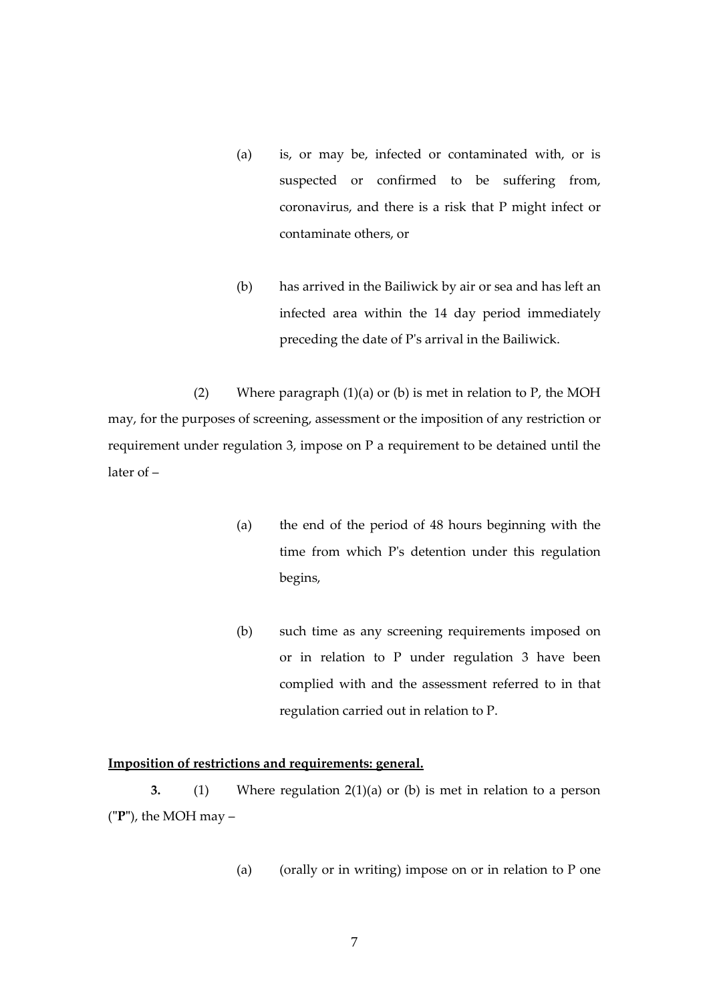- (a) is, or may be, infected or contaminated with, or is suspected or confirmed to be suffering from, coronavirus, and there is a risk that P might infect or contaminate others, or
- (b) has arrived in the Bailiwick by air or sea and has left an infected area within the 14 day period immediately preceding the date of P's arrival in the Bailiwick.

(2) Where paragraph  $(1)(a)$  or  $(b)$  is met in relation to P, the MOH may, for the purposes of screening, assessment or the imposition of any restriction or requirement under regulation 3, impose on P a requirement to be detained until the later of –

- (a) the end of the period of 48 hours beginning with the time from which P's detention under this regulation begins,
- (b) such time as any screening requirements imposed on or in relation to P under regulation 3 have been complied with and the assessment referred to in that regulation carried out in relation to P.

### <span id="page-6-0"></span>**Imposition of restrictions and requirements: general.**

**3.** (1) Where regulation 2(1)(a) or (b) is met in relation to a person (**"P"**), the MOH may –

(a) (orally or in writing) impose on or in relation to P one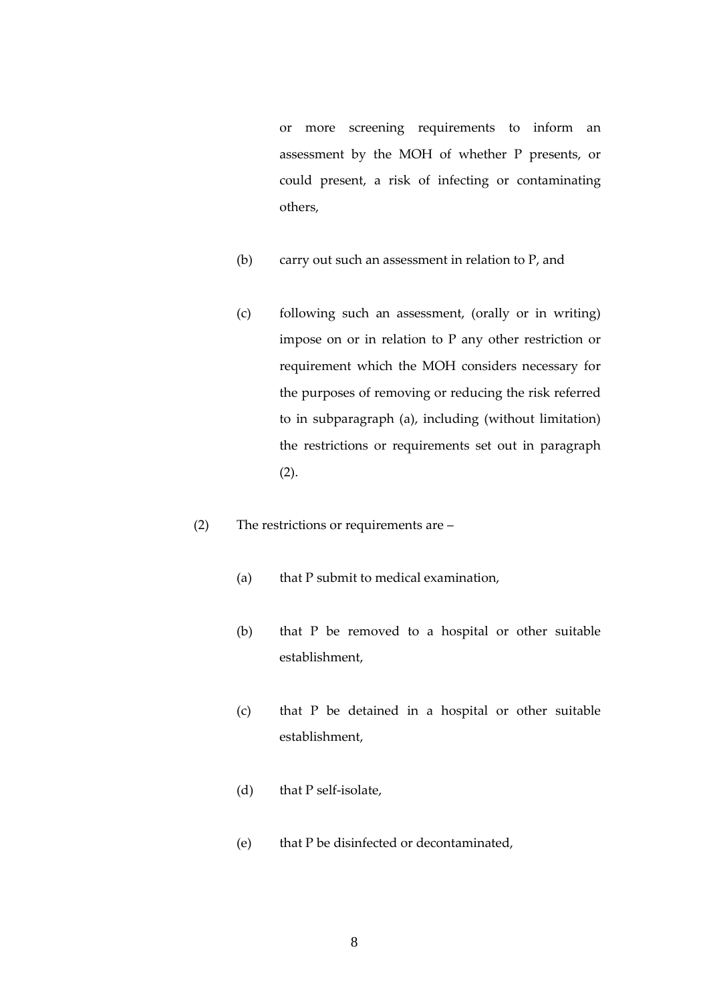or more screening requirements to inform an assessment by the MOH of whether P presents, or could present, a risk of infecting or contaminating others,

- (b) carry out such an assessment in relation to P, and
- (c) following such an assessment, (orally or in writing) impose on or in relation to P any other restriction or requirement which the MOH considers necessary for the purposes of removing or reducing the risk referred to in subparagraph (a), including (without limitation) the restrictions or requirements set out in paragraph (2).
- (2) The restrictions or requirements are
	- (a) that P submit to medical examination,
	- (b) that P be removed to a hospital or other suitable establishment,
	- (c) that P be detained in a hospital or other suitable establishment,
	- (d) that P self-isolate,
	- (e) that P be disinfected or decontaminated,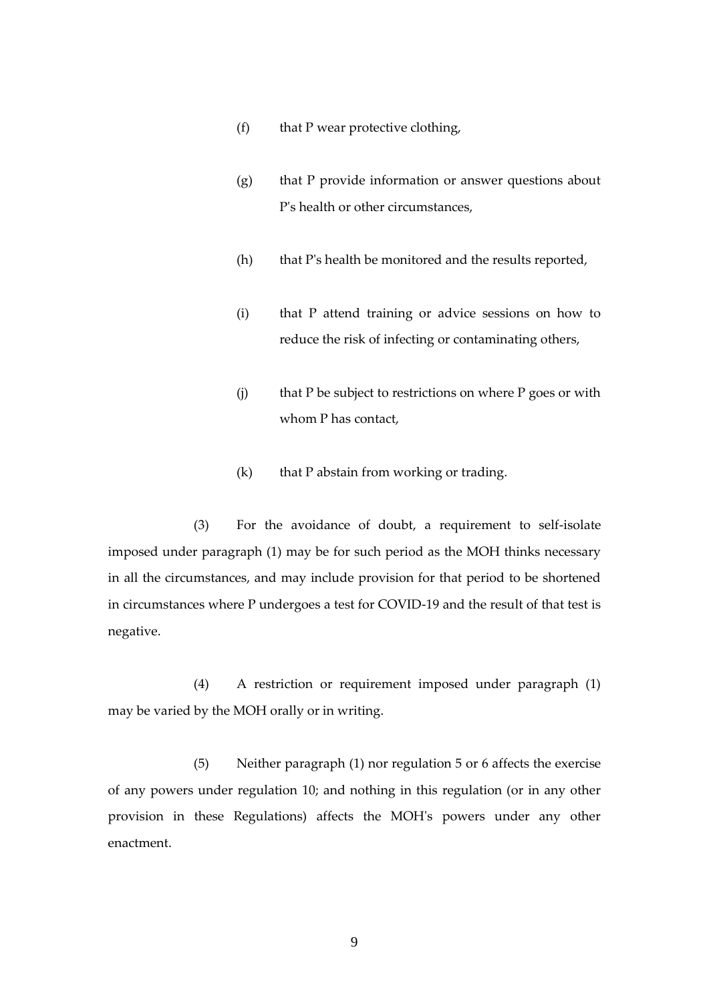- (f) that P wear protective clothing,
- (g) that P provide information or answer questions about P's health or other circumstances,
- (h) that P's health be monitored and the results reported,
- (i) that P attend training or advice sessions on how to reduce the risk of infecting or contaminating others,
- (j) that P be subject to restrictions on where P goes or with whom P has contact,
- (k) that P abstain from working or trading.

 (3) For the avoidance of doubt, a requirement to self-isolate imposed under paragraph (1) may be for such period as the MOH thinks necessary in all the circumstances, and may include provision for that period to be shortened in circumstances where P undergoes a test for COVID-19 and the result of that test is negative.

(4) A restriction or requirement imposed under paragraph (1) may be varied by the MOH orally or in writing.

(5) Neither paragraph (1) nor regulation 5 or 6 affects the exercise of any powers under regulation 10; and nothing in this regulation (or in any other provision in these Regulations) affects the MOH's powers under any other enactment.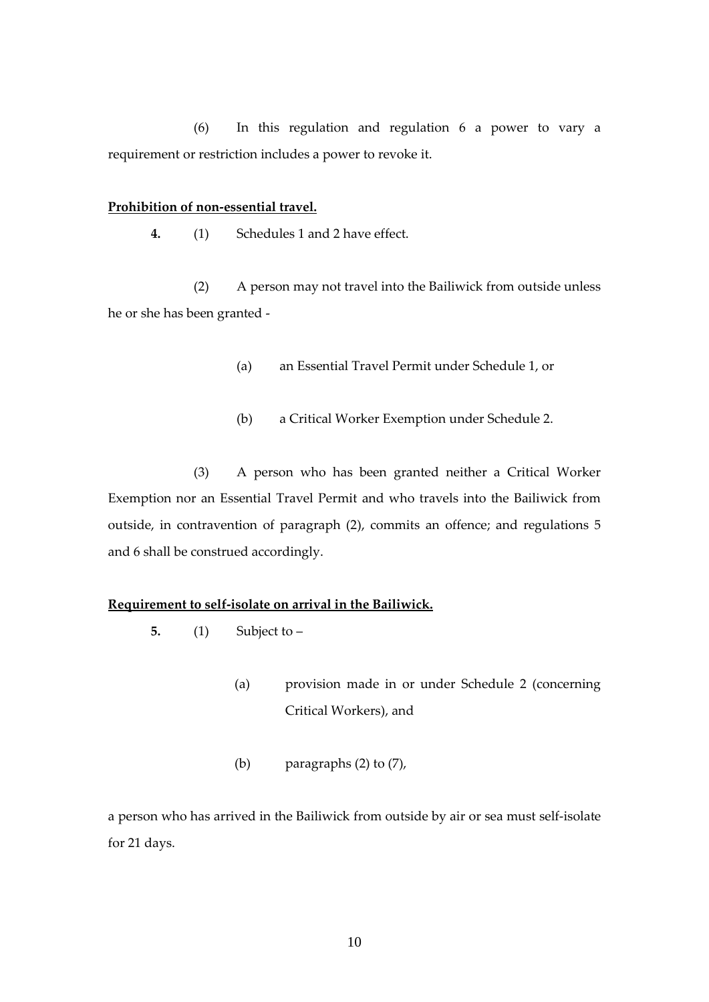(6) In this regulation and regulation 6 a power to vary a requirement or restriction includes a power to revoke it.

#### **Prohibition of non-essential travel.**

**4.** (1) Schedules 1 and 2 have effect.

(2) A person may not travel into the Bailiwick from outside unless he or she has been granted -

- (a) an Essential Travel Permit under Schedule 1, or
- (b) a Critical Worker Exemption under Schedule 2.

(3) A person who has been granted neither a Critical Worker Exemption nor an Essential Travel Permit and who travels into the Bailiwick from outside, in contravention of paragraph (2), commits an offence; and regulations 5 and 6 shall be construed accordingly.

#### <span id="page-9-0"></span>**Requirement to self-isolate on arrival in the Bailiwick.**

- **5.** (1) Subject to
	- (a) provision made in or under Schedule 2 (concerning Critical Workers), and
	- (b) paragraphs (2) to (7),

a person who has arrived in the Bailiwick from outside by air or sea must self-isolate for 21 days.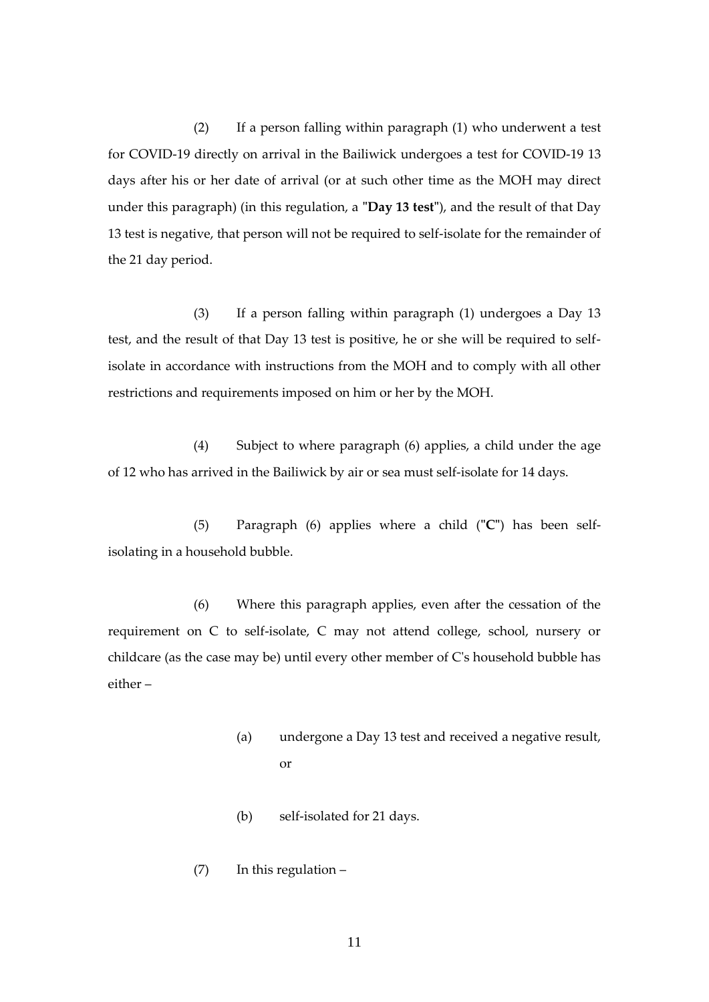(2) If a person falling within paragraph (1) who underwent a test for COVID-19 directly on arrival in the Bailiwick undergoes a test for COVID-19 13 days after his or her date of arrival (or at such other time as the MOH may direct under this paragraph) (in this regulation, a **"Day 13 test"**), and the result of that Day 13 test is negative, that person will not be required to self-isolate for the remainder of the 21 day period.

(3) If a person falling within paragraph (1) undergoes a Day 13 test, and the result of that Day 13 test is positive, he or she will be required to selfisolate in accordance with instructions from the MOH and to comply with all other restrictions and requirements imposed on him or her by the MOH.

 (4) Subject to where paragraph (6) applies, a child under the age of 12 who has arrived in the Bailiwick by air or sea must self-isolate for 14 days.

(5) Paragraph (6) applies where a child (**"C"**) has been selfisolating in a household bubble.

(6) Where this paragraph applies, even after the cessation of the requirement on C to self-isolate, C may not attend college, school, nursery or childcare (as the case may be) until every other member of C's household bubble has either –

- (a) undergone a Day 13 test and received a negative result, or
- (b) self-isolated for 21 days.
- (7) In this regulation –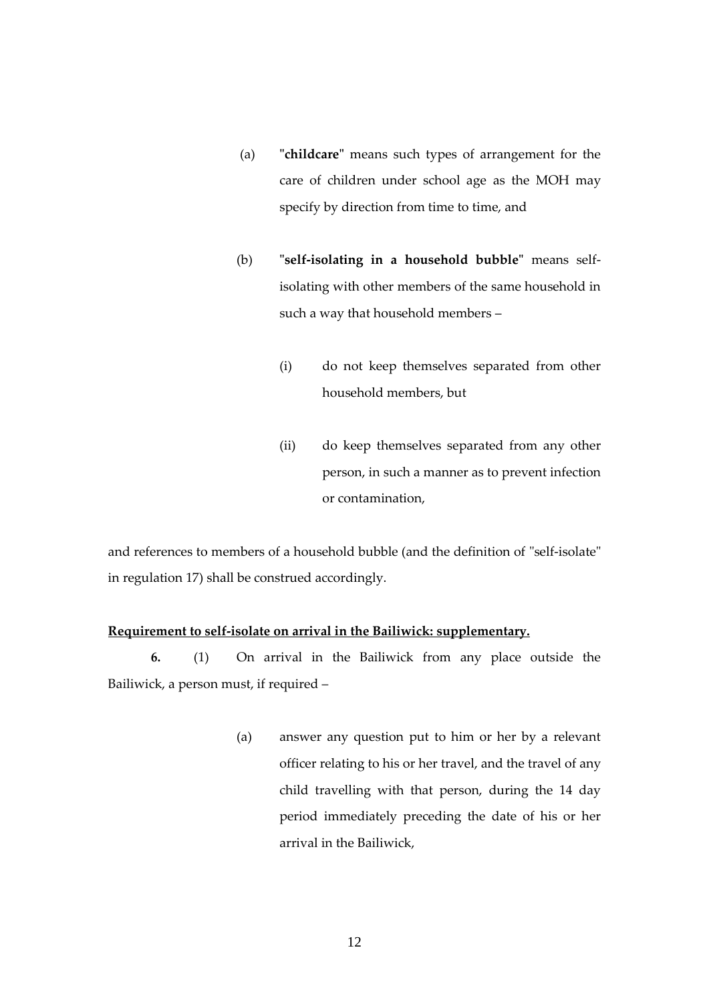- (a) **"childcare"** means such types of arrangement for the care of children under school age as the MOH may specify by direction from time to time, and
- (b) **"self-isolating in a household bubble"** means selfisolating with other members of the same household in such a way that household members –
	- (i) do not keep themselves separated from other household members, but
	- (ii) do keep themselves separated from any other person, in such a manner as to prevent infection or contamination,

and references to members of a household bubble (and the definition of "self-isolate" in regulation 17) shall be construed accordingly.

#### **Requirement to self-isolate on arrival in the Bailiwick: supplementary.**

**6.** (1) On arrival in the Bailiwick from any place outside the Bailiwick, a person must, if required –

> (a) answer any question put to him or her by a relevant officer relating to his or her travel, and the travel of any child travelling with that person, during the 14 day period immediately preceding the date of his or her arrival in the Bailiwick,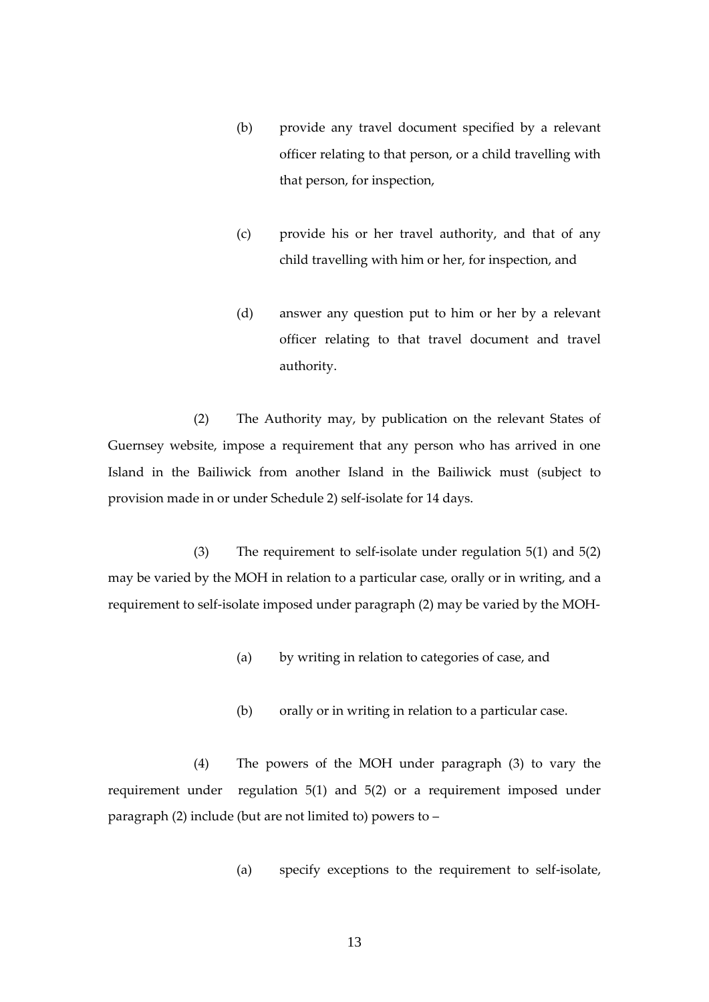- (b) provide any travel document specified by a relevant officer relating to that person, or a child travelling with that person, for inspection,
- (c) provide his or her travel authority, and that of any child travelling with him or her, for inspection, and
- (d) answer any question put to him or her by a relevant officer relating to that travel document and travel authority.

(2) The Authority may, by publication on the relevant States of Guernsey website, impose a requirement that any person who has arrived in one Island in the Bailiwick from another Island in the Bailiwick must (subject to provision made in or under Schedule 2) self-isolate for 14 days.

(3) The requirement to self-isolate under regulation 5(1) and 5(2) may be varied by the MOH in relation to a particular case, orally or in writing, and a requirement to self-isolate imposed under paragraph (2) may be varied by the MOH-

- (a) by writing in relation to categories of case, and
- (b) orally or in writing in relation to a particular case.

(4) The powers of the MOH under paragraph (3) to vary the requirement under regulation 5(1) and 5(2) or a requirement imposed under paragraph (2) include (but are not limited to) powers to –

(a) specify exceptions to the requirement to self-isolate,

13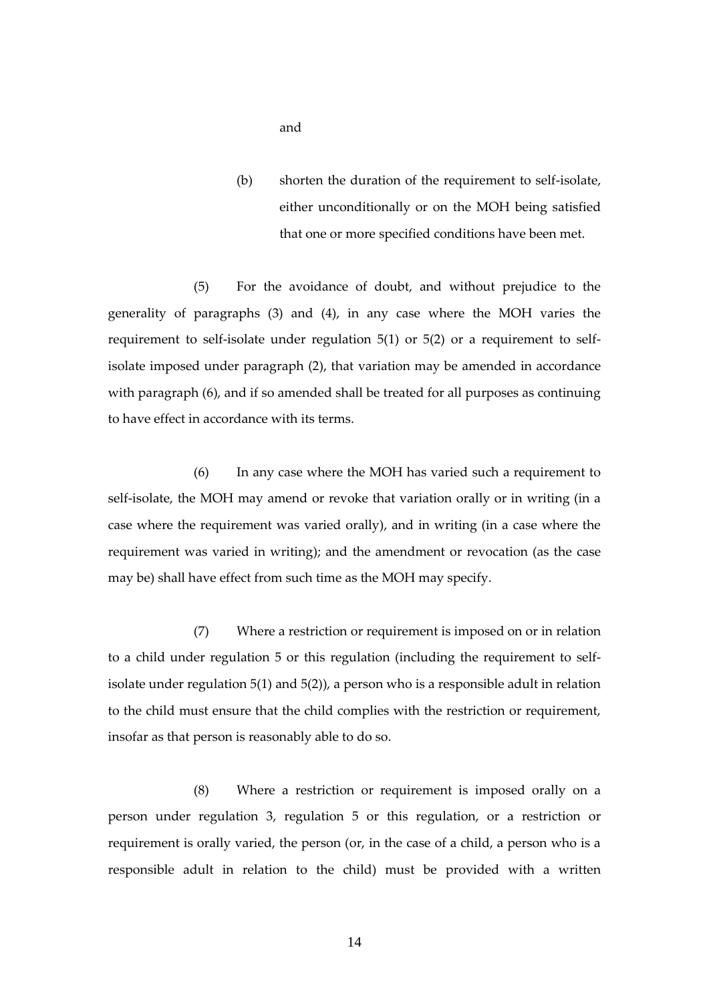- and
- (b) shorten the duration of the requirement to self-isolate, either unconditionally or on the MOH being satisfied that one or more specified conditions have been met.

(5) For the avoidance of doubt, and without prejudice to the generality of paragraphs (3) and (4), in any case where the MOH varies the requirement to self-isolate under regulation 5(1) or 5(2) or a requirement to selfisolate imposed under paragraph (2), that variation may be amended in accordance with paragraph (6), and if so amended shall be treated for all purposes as continuing to have effect in accordance with its terms.

(6) In any case where the MOH has varied such a requirement to self-isolate, the MOH may amend or revoke that variation orally or in writing (in a case where the requirement was varied orally), and in writing (in a case where the requirement was varied in writing); and the amendment or revocation (as the case may be) shall have effect from such time as the MOH may specify.

(7) Where a restriction or requirement is imposed on or in relation to a child under regulation 5 or this regulation (including the requirement to selfisolate under regulation  $5(1)$  and  $5(2)$ ), a person who is a responsible adult in relation to the child must ensure that the child complies with the restriction or requirement, insofar as that person is reasonably able to do so.

(8) Where a restriction or requirement is imposed orally on a person under regulation 3, regulation 5 or this regulation, or a restriction or requirement is orally varied, the person (or, in the case of a child, a person who is a responsible adult in relation to the child) must be provided with a written

14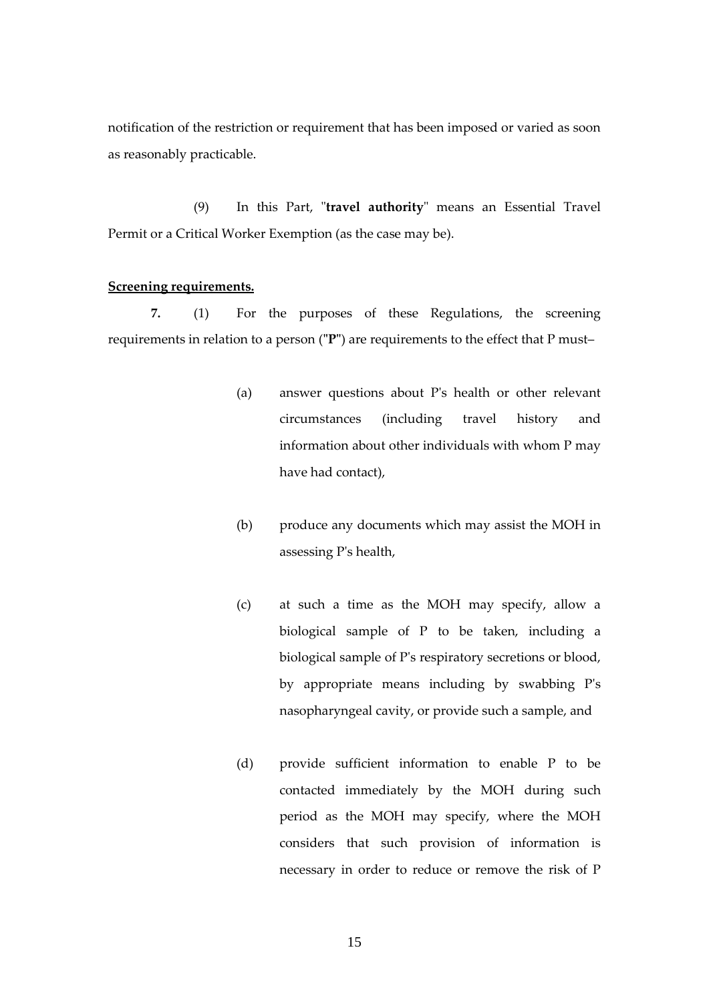notification of the restriction or requirement that has been imposed or varied as soon as reasonably practicable.

(9) In this Part, "**travel authority**" means an Essential Travel Permit or a Critical Worker Exemption (as the case may be).

#### <span id="page-14-0"></span>**Screening requirements.**

**7.** (1) For the purposes of these Regulations, the screening requirements in relation to a person (**"P"**) are requirements to the effect that P must–

- (a) answer questions about P's health or other relevant circumstances (including travel history and information about other individuals with whom P may have had contact),
- (b) produce any documents which may assist the MOH in assessing P's health,
- (c) at such a time as the MOH may specify, allow a biological sample of P to be taken, including a biological sample of P's respiratory secretions or blood, by appropriate means including by swabbing P's nasopharyngeal cavity, or provide such a sample, and
- (d) provide sufficient information to enable P to be contacted immediately by the MOH during such period as the MOH may specify, where the MOH considers that such provision of information is necessary in order to reduce or remove the risk of P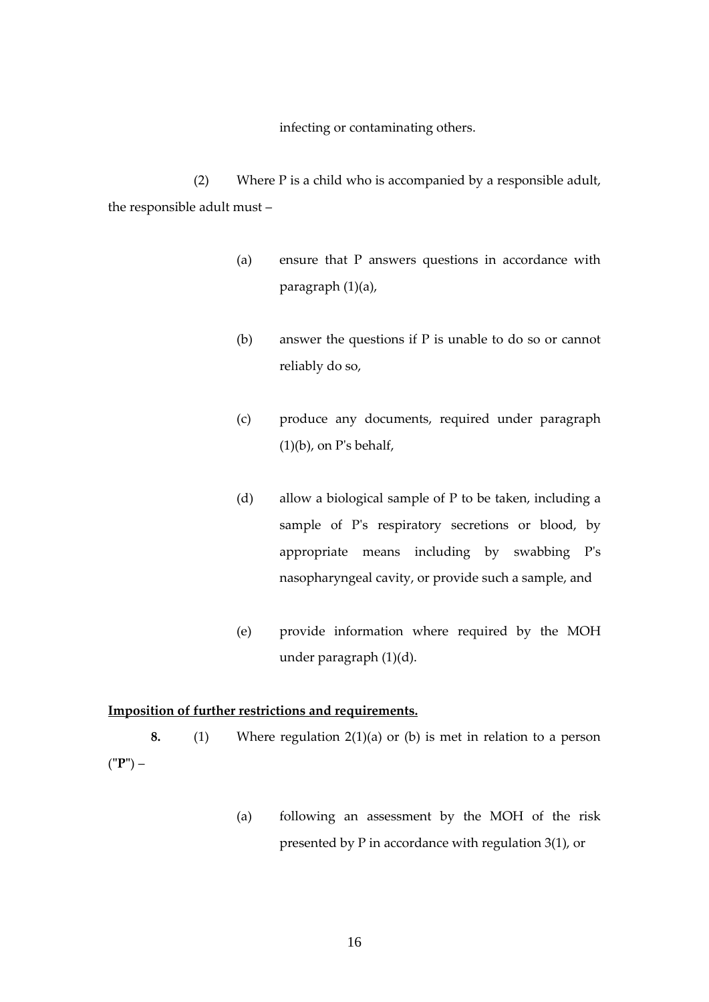infecting or contaminating others.

(2) Where P is a child who is accompanied by a responsible adult, the responsible adult must –

- (a) ensure that P answers questions in accordance with paragraph (1)(a),
- (b) answer the questions if P is unable to do so or cannot reliably do so,
- (c) produce any documents, required under paragraph  $(1)(b)$ , on P's behalf,
- (d) allow a biological sample of P to be taken, including a sample of P's respiratory secretions or blood, by appropriate means including by swabbing P's nasopharyngeal cavity, or provide such a sample, and
- (e) provide information where required by the MOH under paragraph (1)(d).

## <span id="page-15-0"></span>**Imposition of further restrictions and requirements.**

**8.** (1) Where regulation 2(1)(a) or (b) is met in relation to a person (**"P"**) –

> (a) following an assessment by the MOH of the risk presented by P in accordance with regulation 3(1), or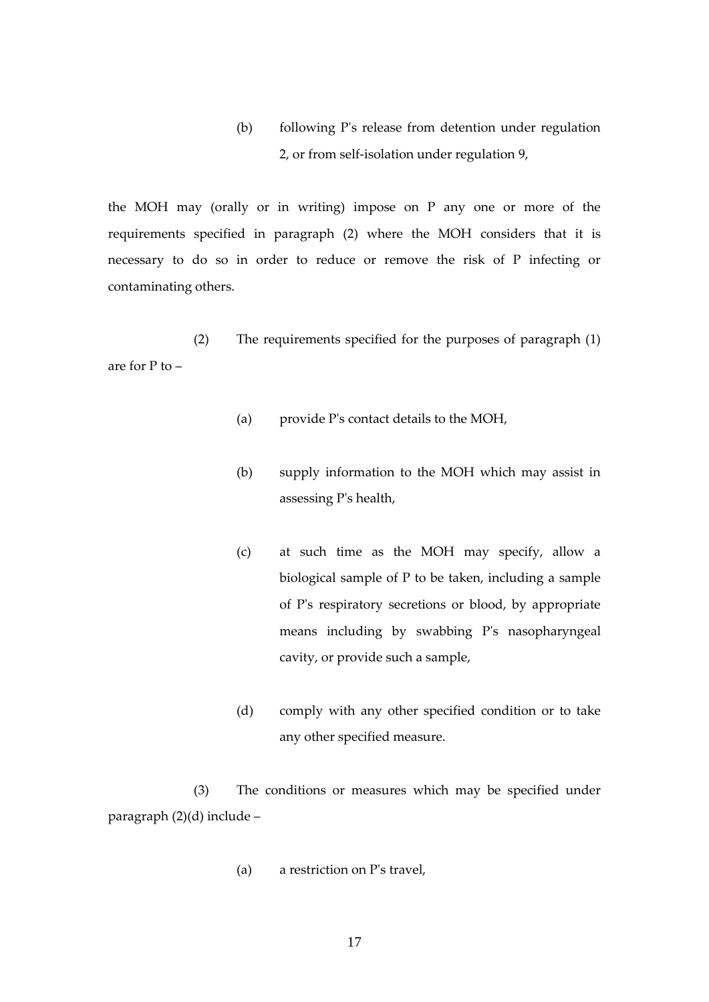(b) following P's release from detention under regulation 2, or from self-isolation under regulation 9,

the MOH may (orally or in writing) impose on P any one or more of the requirements specified in paragraph (2) where the MOH considers that it is necessary to do so in order to reduce or remove the risk of P infecting or contaminating others.

(2) The requirements specified for the purposes of paragraph (1) are for P to –

- (a) provide P's contact details to the MOH,
- (b) supply information to the MOH which may assist in assessing P's health,
- (c) at such time as the MOH may specify, allow a biological sample of P to be taken, including a sample of P's respiratory secretions or blood, by appropriate means including by swabbing P's nasopharyngeal cavity, or provide such a sample,
- (d) comply with any other specified condition or to take any other specified measure.

(3) The conditions or measures which may be specified under paragraph (2)(d) include –

(a) a restriction on P's travel,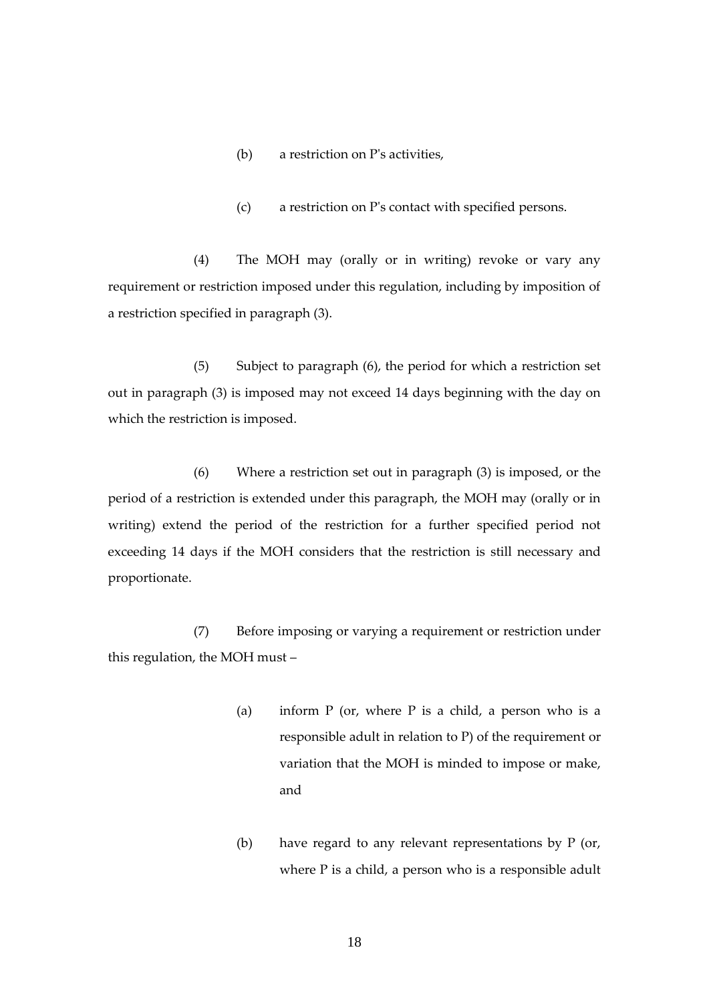- (b) a restriction on P's activities,
- (c) a restriction on P's contact with specified persons.

(4) The MOH may (orally or in writing) revoke or vary any requirement or restriction imposed under this regulation, including by imposition of a restriction specified in paragraph (3).

(5) Subject to paragraph (6), the period for which a restriction set out in paragraph (3) is imposed may not exceed 14 days beginning with the day on which the restriction is imposed.

(6) Where a restriction set out in paragraph (3) is imposed, or the period of a restriction is extended under this paragraph, the MOH may (orally or in writing) extend the period of the restriction for a further specified period not exceeding 14 days if the MOH considers that the restriction is still necessary and proportionate.

(7) Before imposing or varying a requirement or restriction under this regulation, the MOH must –

- (a) inform  $P$  (or, where  $P$  is a child, a person who is a responsible adult in relation to P) of the requirement or variation that the MOH is minded to impose or make, and
- (b) have regard to any relevant representations by P (or, where P is a child, a person who is a responsible adult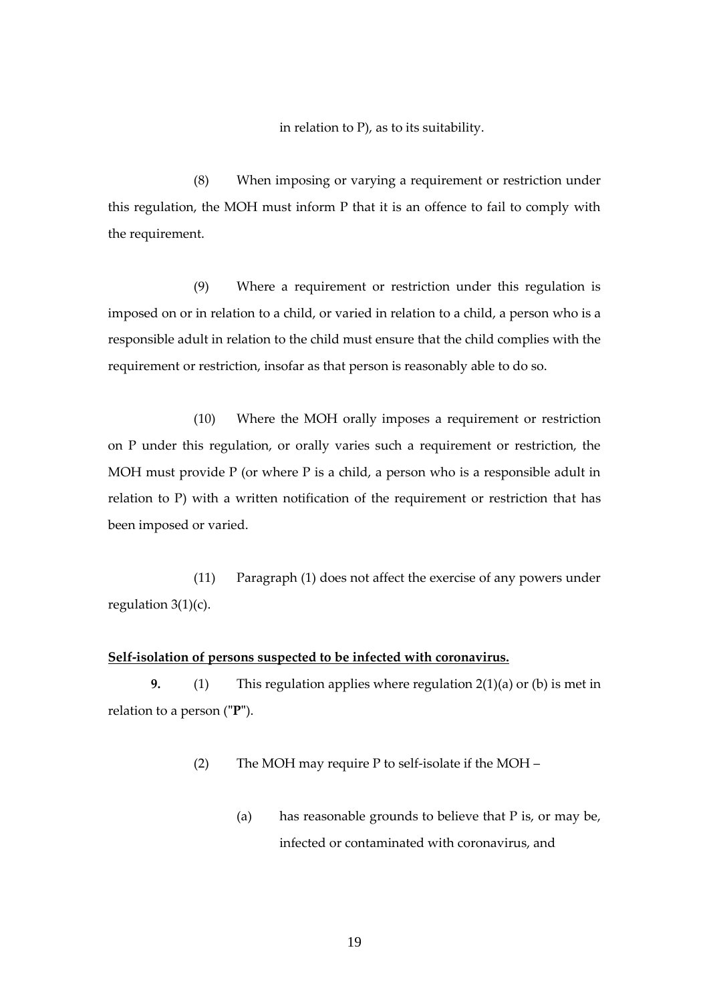in relation to P), as to its suitability.

(8) When imposing or varying a requirement or restriction under this regulation, the MOH must inform P that it is an offence to fail to comply with the requirement.

(9) Where a requirement or restriction under this regulation is imposed on or in relation to a child, or varied in relation to a child, a person who is a responsible adult in relation to the child must ensure that the child complies with the requirement or restriction, insofar as that person is reasonably able to do so.

(10) Where the MOH orally imposes a requirement or restriction on P under this regulation, or orally varies such a requirement or restriction, the MOH must provide P (or where P is a child, a person who is a responsible adult in relation to P) with a written notification of the requirement or restriction that has been imposed or varied.

(11) Paragraph (1) does not affect the exercise of any powers under regulation  $3(1)(c)$ .

#### <span id="page-18-0"></span>**Self-isolation of persons suspected to be infected with coronavirus.**

**9.** (1) This regulation applies where regulation 2(1)(a) or (b) is met in relation to a person (**"P"**).

(2) The MOH may require P to self-isolate if the MOH –

(a) has reasonable grounds to believe that P is, or may be, infected or contaminated with coronavirus, and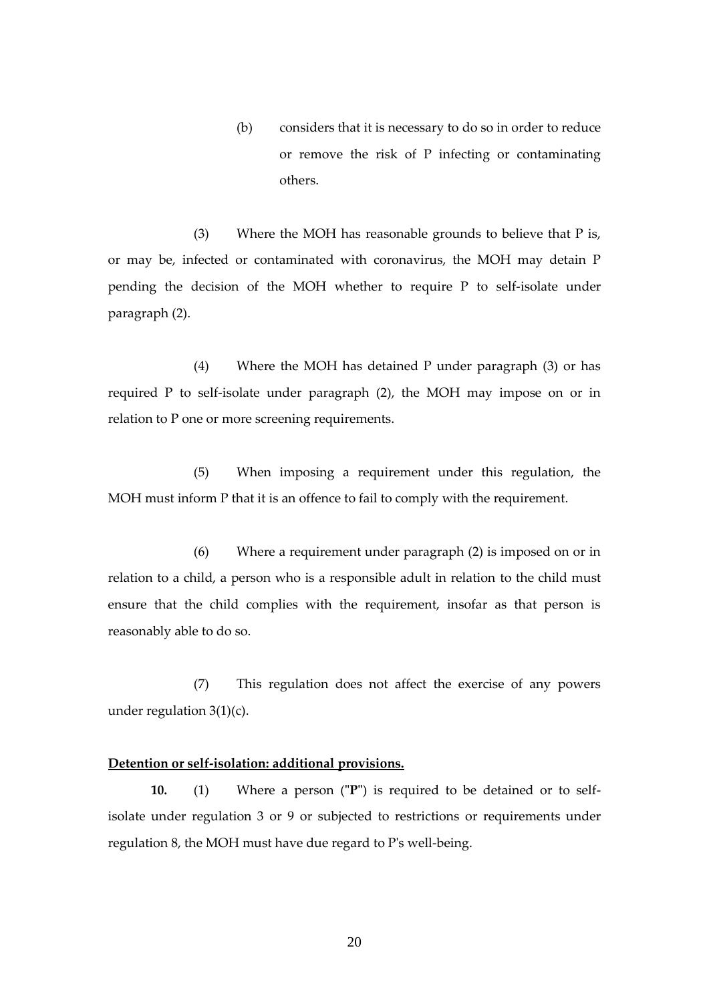(b) considers that it is necessary to do so in order to reduce or remove the risk of P infecting or contaminating others.

(3) Where the MOH has reasonable grounds to believe that  $P$  is, or may be, infected or contaminated with coronavirus, the MOH may detain P pending the decision of the MOH whether to require P to self-isolate under paragraph (2).

(4) Where the MOH has detained P under paragraph (3) or has required P to self-isolate under paragraph (2), the MOH may impose on or in relation to P one or more screening requirements.

(5) When imposing a requirement under this regulation, the MOH must inform P that it is an offence to fail to comply with the requirement.

(6) Where a requirement under paragraph (2) is imposed on or in relation to a child, a person who is a responsible adult in relation to the child must ensure that the child complies with the requirement, insofar as that person is reasonably able to do so.

(7) This regulation does not affect the exercise of any powers under regulation  $3(1)(c)$ .

#### <span id="page-19-0"></span>**Detention or self-isolation: additional provisions.**

**10.** (1) Where a person (**"P"**) is required to be detained or to selfisolate under regulation 3 or 9 or subjected to restrictions or requirements under regulation 8, the MOH must have due regard to P's well-being.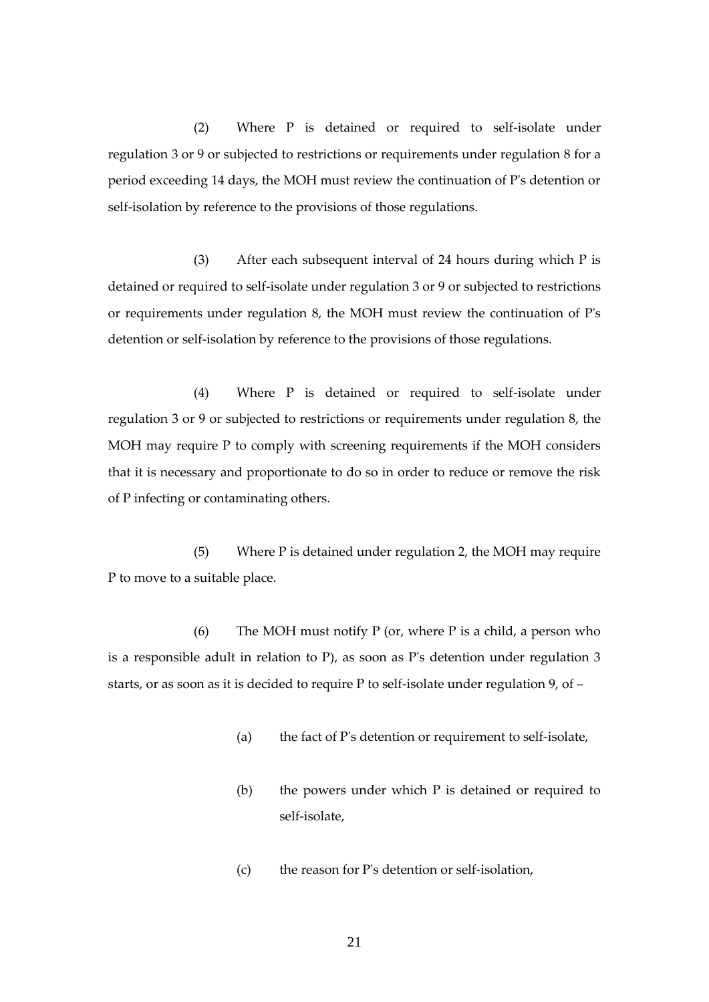(2) Where P is detained or required to self-isolate under regulation 3 or 9 or subjected to restrictions or requirements under regulation 8 for a period exceeding 14 days, the MOH must review the continuation of P's detention or self-isolation by reference to the provisions of those regulations.

(3) After each subsequent interval of 24 hours during which P is detained or required to self-isolate under regulation 3 or 9 or subjected to restrictions or requirements under regulation 8, the MOH must review the continuation of P's detention or self-isolation by reference to the provisions of those regulations.

(4) Where P is detained or required to self-isolate under regulation 3 or 9 or subjected to restrictions or requirements under regulation 8, the MOH may require P to comply with screening requirements if the MOH considers that it is necessary and proportionate to do so in order to reduce or remove the risk of P infecting or contaminating others.

(5) Where P is detained under regulation 2, the MOH may require P to move to a suitable place.

(6) The MOH must notify P (or, where P is a child, a person who is a responsible adult in relation to P), as soon as P's detention under regulation 3 starts, or as soon as it is decided to require P to self-isolate under regulation 9, of –

- (a) the fact of P's detention or requirement to self-isolate,
- (b) the powers under which P is detained or required to self-isolate,
- (c) the reason for P's detention or self-isolation,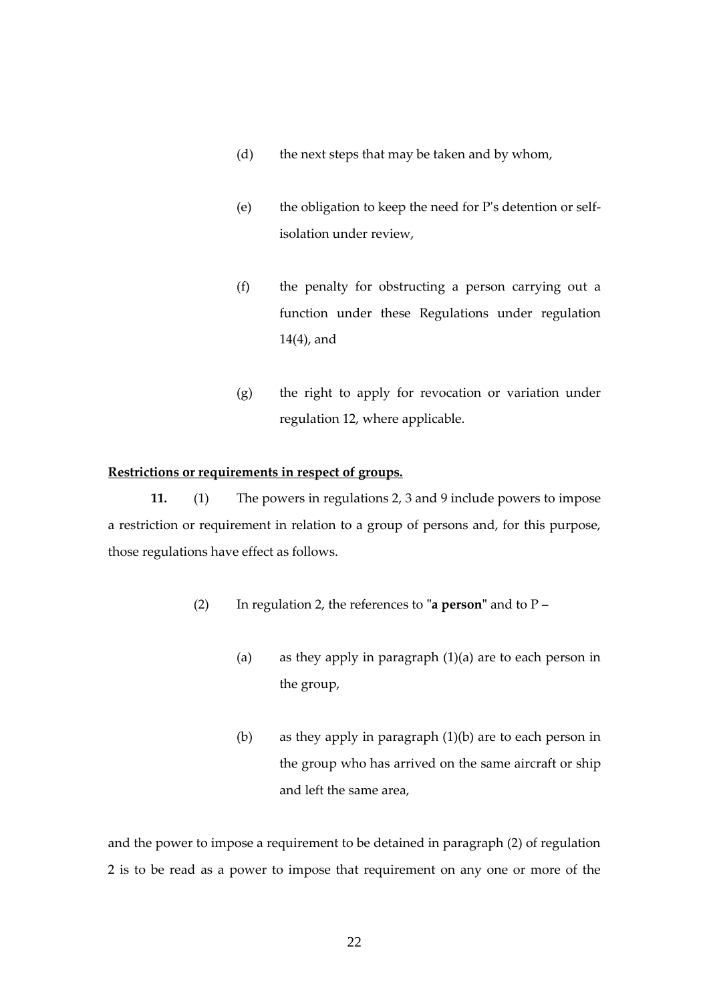- (d) the next steps that may be taken and by whom,
- (e) the obligation to keep the need for P's detention or selfisolation under review,
- (f) the penalty for obstructing a person carrying out a function under these Regulations under regulation 14(4), and
- (g) the right to apply for revocation or variation under regulation 12, where applicable.

#### <span id="page-21-0"></span>**Restrictions or requirements in respect of groups.**

**11.** (1) The powers in regulations 2, 3 and 9 include powers to impose a restriction or requirement in relation to a group of persons and, for this purpose, those regulations have effect as follows.

- (2) In regulation 2, the references to **"a person"** and to P
	- (a) as they apply in paragraph  $(1)(a)$  are to each person in the group,
	- (b) as they apply in paragraph (1)(b) are to each person in the group who has arrived on the same aircraft or ship and left the same area,

and the power to impose a requirement to be detained in paragraph (2) of regulation 2 is to be read as a power to impose that requirement on any one or more of the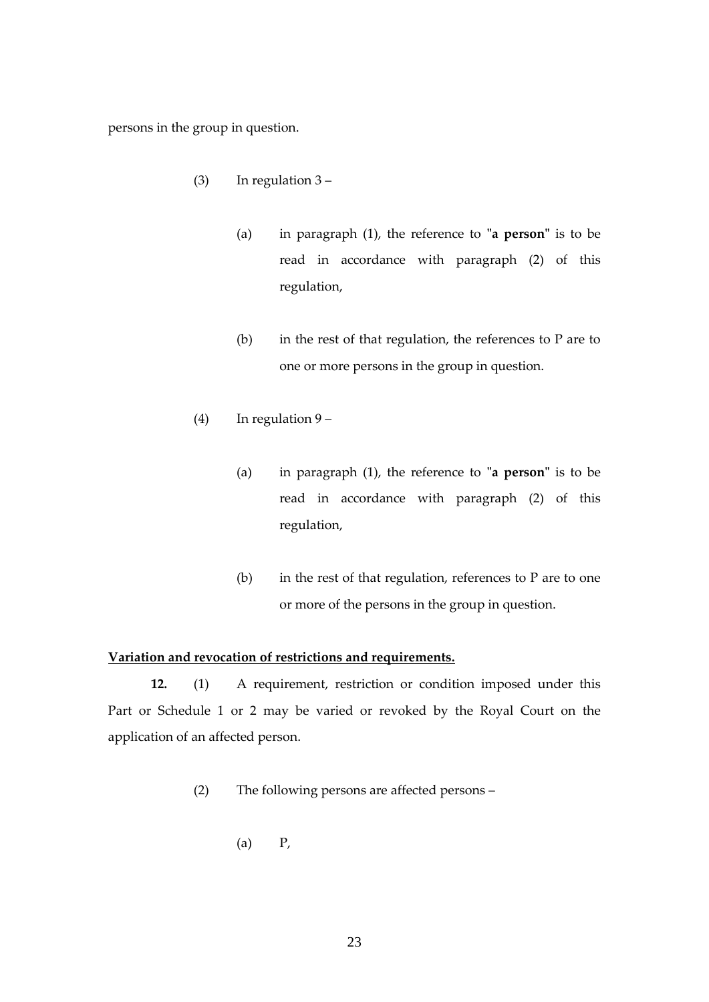persons in the group in question.

- (3) In regulation  $3 -$ 
	- (a) in paragraph (1), the reference to **"a person"** is to be read in accordance with paragraph (2) of this regulation,
	- (b) in the rest of that regulation, the references to P are to one or more persons in the group in question.
- (4) In regulation 9
	- (a) in paragraph (1), the reference to **"a person"** is to be read in accordance with paragraph (2) of this regulation,
	- (b) in the rest of that regulation, references to  $P$  are to one or more of the persons in the group in question.

# <span id="page-22-0"></span>**Variation and revocation of restrictions and requirements.**

**12.** (1) A requirement, restriction or condition imposed under this Part or Schedule 1 or 2 may be varied or revoked by the Royal Court on the application of an affected person.

- (2) The following persons are affected persons
	- $(a)$   $P$ ,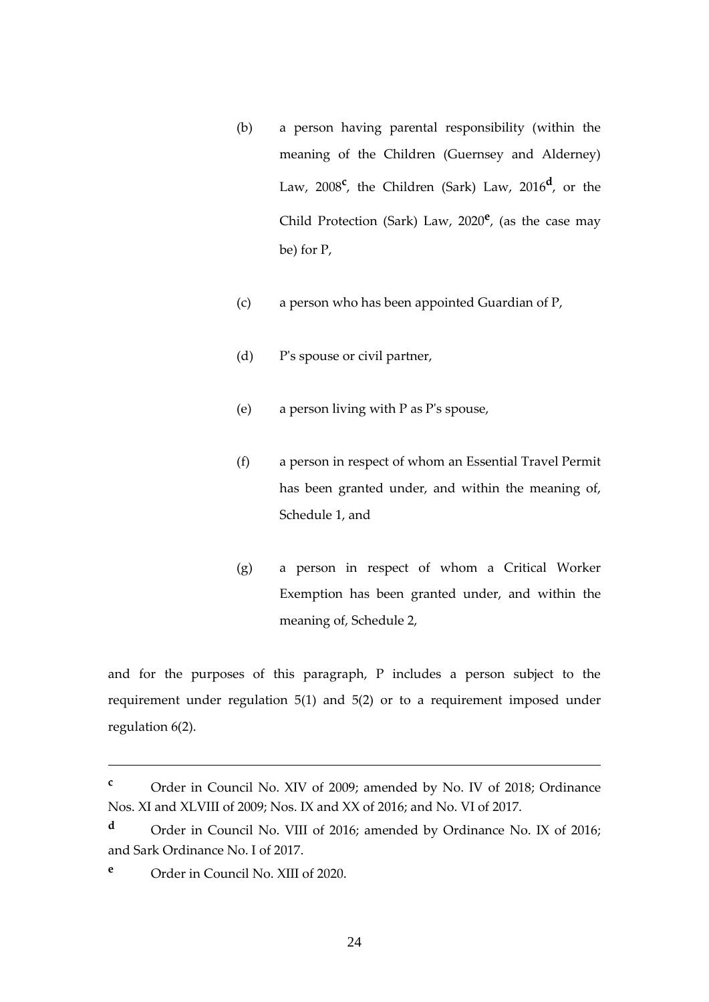- (b) a person having parental responsibility (within the meaning of the Children (Guernsey and Alderney) Law, 2008**<sup>c</sup>** , the Children (Sark) Law, 2016**<sup>d</sup>** , or the Child Protection (Sark) Law, 2020**<sup>e</sup>** , (as the case may be) for P,
- (c) a person who has been appointed Guardian of P,
- (d) P's spouse or civil partner,
- (e) a person living with P as P's spouse,
- (f) a person in respect of whom an Essential Travel Permit has been granted under, and within the meaning of, Schedule 1, and
- (g) a person in respect of whom a Critical Worker Exemption has been granted under, and within the meaning of, Schedule 2,

and for the purposes of this paragraph, P includes a person subject to the requirement under regulation 5(1) and 5(2) or to a requirement imposed under regulation 6(2).

**<sup>c</sup>** Order in Council No. XIV of 2009; amended by No. IV of 2018; Ordinance Nos. XI and XLVIII of 2009; Nos. IX and XX of 2016; and No. VI of 2017.

**<sup>d</sup>** Order in Council No. VIII of 2016; amended by Ordinance No. IX of 2016; and Sark Ordinance No. I of 2017.

**<sup>e</sup>** Order in Council No. XIII of 2020.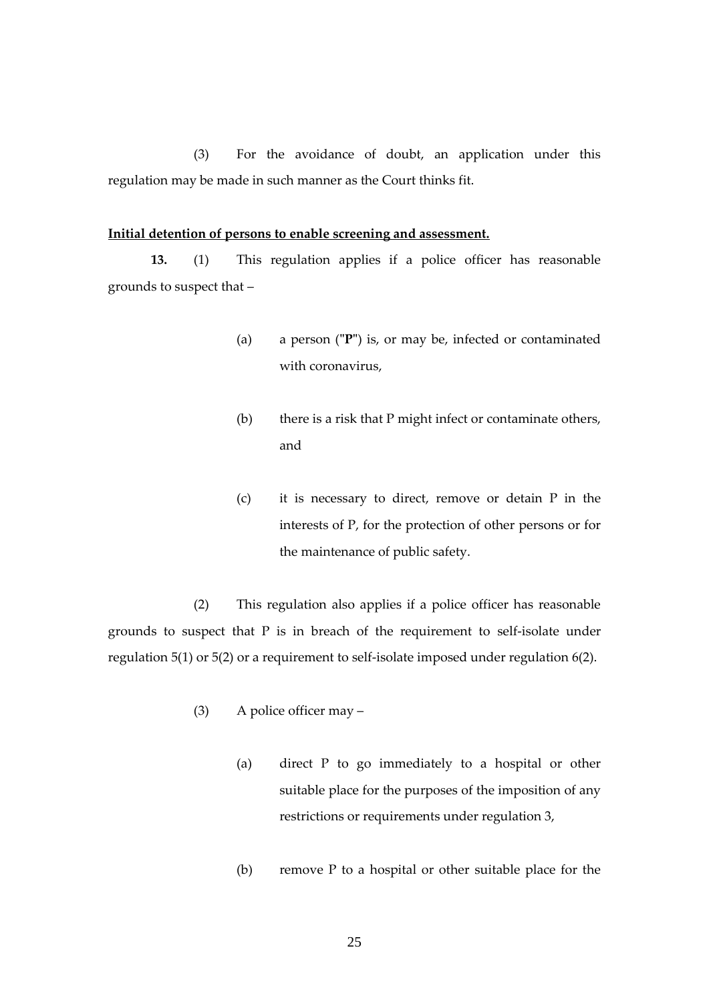(3) For the avoidance of doubt, an application under this regulation may be made in such manner as the Court thinks fit.

#### **Initial detention of persons to enable screening and assessment.**

**13.** (1) This regulation applies if a police officer has reasonable grounds to suspect that –

- <span id="page-24-0"></span>(a) a person (**"P"**) is, or may be, infected or contaminated with coronavirus,
- (b) there is a risk that P might infect or contaminate others, and
- (c) it is necessary to direct, remove or detain P in the interests of P, for the protection of other persons or for the maintenance of public safety.

(2) This regulation also applies if a police officer has reasonable grounds to suspect that P is in breach of the requirement to self-isolate under regulation 5(1) or 5(2) or a requirement to self-isolate imposed under regulation 6(2).

- (3) A police officer may
	- (a) direct P to go immediately to a hospital or other suitable place for the purposes of the imposition of any restrictions or requirements under regulation 3,
	- (b) remove P to a hospital or other suitable place for the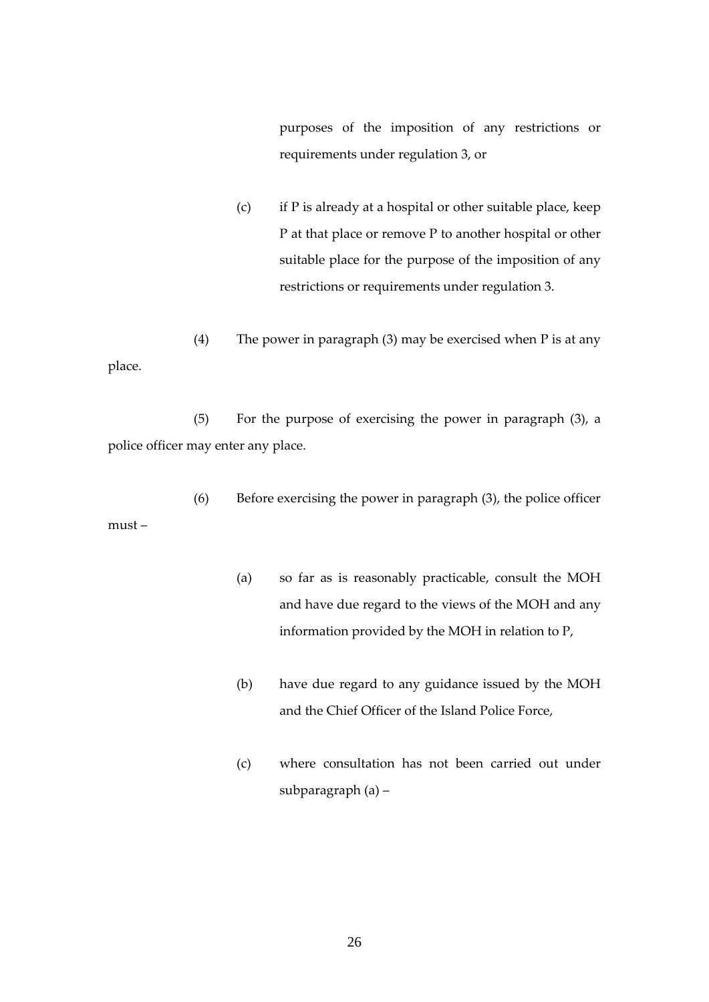purposes of the imposition of any restrictions or requirements under regulation 3, or

- (c) if P is already at a hospital or other suitable place, keep P at that place or remove P to another hospital or other suitable place for the purpose of the imposition of any restrictions or requirements under regulation 3.
- (4) The power in paragraph (3) may be exercised when P is at any place.

(5) For the purpose of exercising the power in paragraph (3), a police officer may enter any place.

(6) Before exercising the power in paragraph (3), the police officer must –

- (a) so far as is reasonably practicable, consult the MOH and have due regard to the views of the MOH and any information provided by the MOH in relation to P,
- (b) have due regard to any guidance issued by the MOH and the Chief Officer of the Island Police Force,
- (c) where consultation has not been carried out under subparagraph (a) –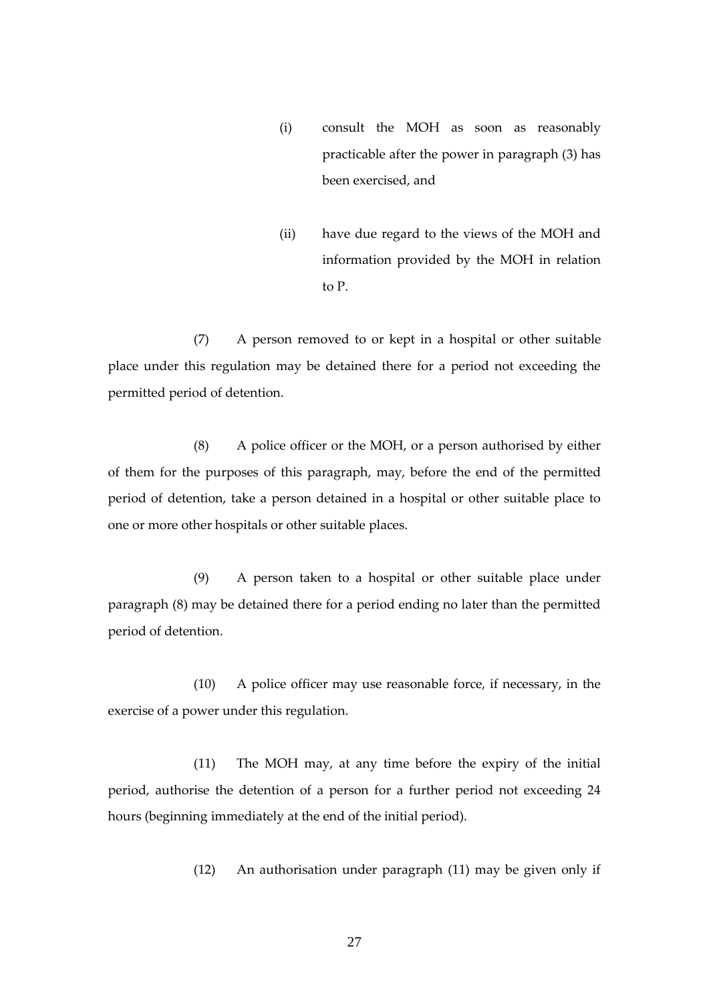- (i) consult the MOH as soon as reasonably practicable after the power in paragraph (3) has been exercised, and
- (ii) have due regard to the views of the MOH and information provided by the MOH in relation to P.

(7) A person removed to or kept in a hospital or other suitable place under this regulation may be detained there for a period not exceeding the permitted period of detention.

(8) A police officer or the MOH, or a person authorised by either of them for the purposes of this paragraph, may, before the end of the permitted period of detention, take a person detained in a hospital or other suitable place to one or more other hospitals or other suitable places.

(9) A person taken to a hospital or other suitable place under paragraph (8) may be detained there for a period ending no later than the permitted period of detention.

(10) A police officer may use reasonable force, if necessary, in the exercise of a power under this regulation.

(11) The MOH may, at any time before the expiry of the initial period, authorise the detention of a person for a further period not exceeding 24 hours (beginning immediately at the end of the initial period).

(12) An authorisation under paragraph (11) may be given only if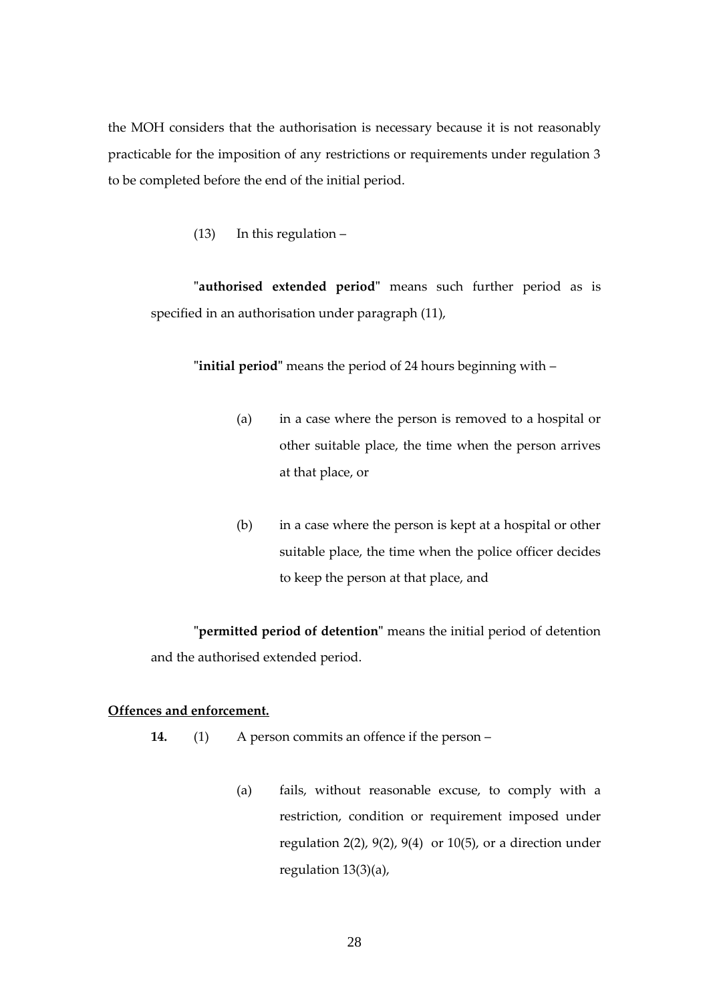the MOH considers that the authorisation is necessary because it is not reasonably practicable for the imposition of any restrictions or requirements under regulation 3 to be completed before the end of the initial period.

(13) In this regulation –

**"authorised extended period"** means such further period as is specified in an authorisation under paragraph (11),

**"initial period"** means the period of 24 hours beginning with –

- (a) in a case where the person is removed to a hospital or other suitable place, the time when the person arrives at that place, or
- (b) in a case where the person is kept at a hospital or other suitable place, the time when the police officer decides to keep the person at that place, and

**"permitted period of detention"** means the initial period of detention and the authorised extended period.

## <span id="page-27-0"></span>**Offences and enforcement.**

- **14.** (1) A person commits an offence if the person
	- (a) fails, without reasonable excuse, to comply with a restriction, condition or requirement imposed under regulation 2(2), 9(2), 9(4) or 10(5), or a direction under regulation 13(3)(a),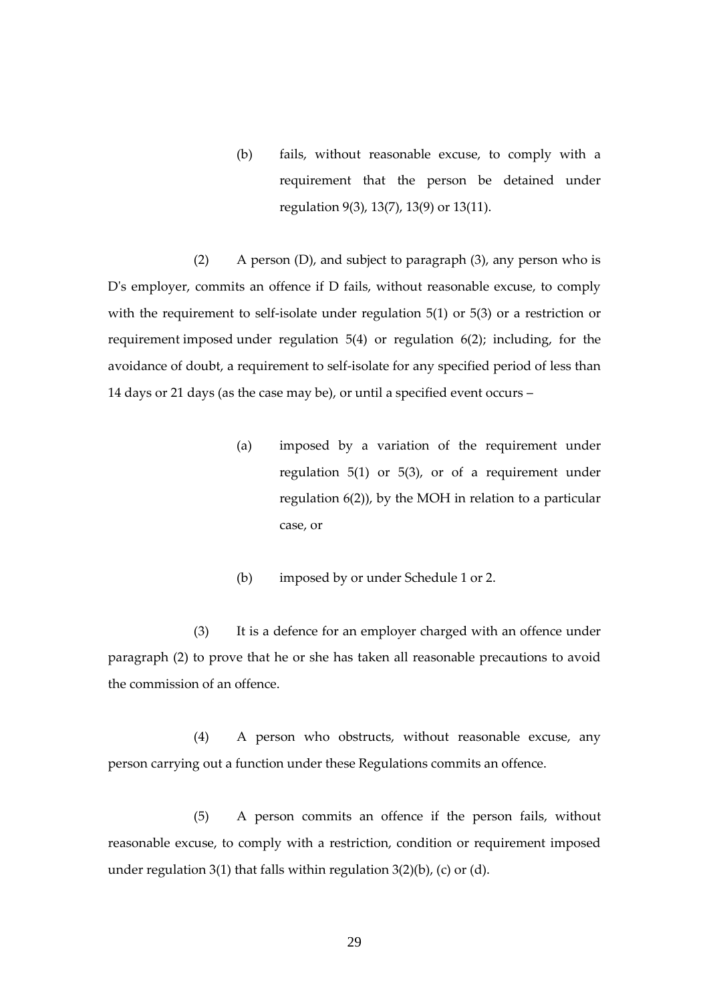(b) fails, without reasonable excuse, to comply with a requirement that the person be detained under regulation 9(3), 13(7), 13(9) or 13(11).

(2) A person (D), and subject to paragraph (3), any person who is D's employer, commits an offence if D fails, without reasonable excuse, to comply with the requirement to self-isolate under regulation 5(1) or 5(3) or a restriction or requirement imposed under regulation 5(4) or regulation 6(2); including, for the avoidance of doubt, a requirement to self-isolate for any specified period of less than 14 days or 21 days (as the case may be), or until a specified event occurs –

- (a) imposed by a variation of the requirement under regulation 5(1) or 5(3), or of a requirement under regulation 6(2)), by the MOH in relation to a particular case, or
- (b) imposed by or under Schedule 1 or [2.](#page-74-0)

(3) It is a defence for an employer charged with an offence under paragraph (2) to prove that he or she has taken all reasonable precautions to avoid the commission of an offence.

(4) A person who obstructs, without reasonable excuse, any person carrying out a function under these Regulations commits an offence.

(5) A person commits an offence if the person fails, without reasonable excuse, to comply with a restriction, condition or requirement imposed under regulation 3(1) that falls within regulation  $3(2)(b)$ , (c) or (d).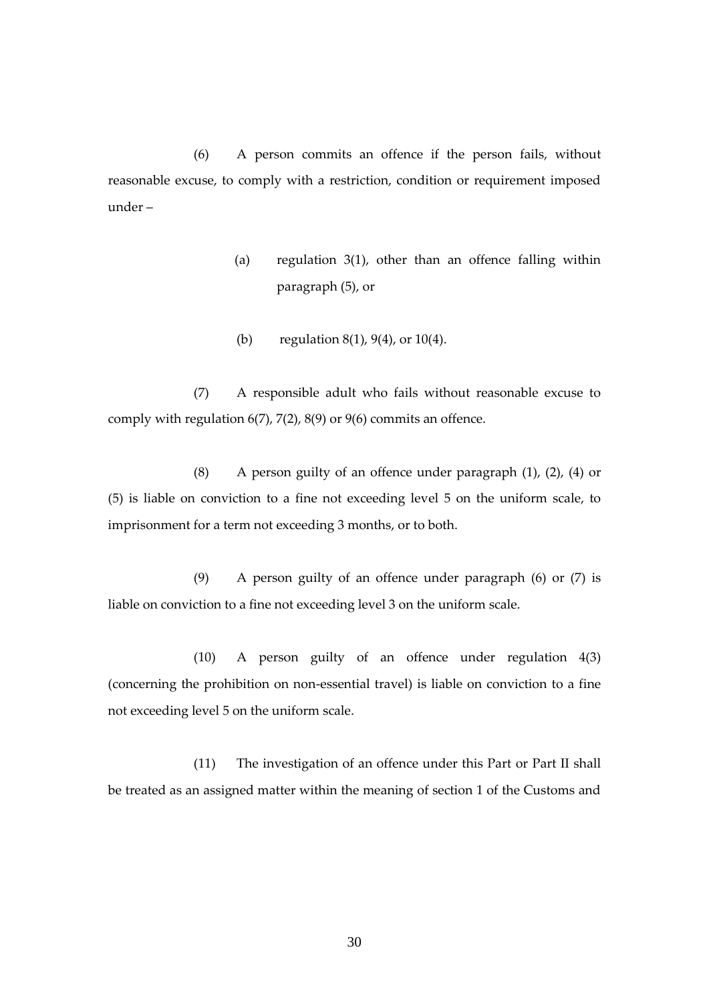(6) A person commits an offence if the person fails, without reasonable excuse, to comply with a restriction, condition or requirement imposed under –

- (a) regulation  $3(1)$ , other than an offence falling within paragraph (5), or
- (b) regulation 8(1), 9(4), or 10(4).

(7) A responsible adult who fails without reasonable excuse to comply with regulation 6(7), 7(2), 8(9) or 9(6) commits an offence.

(8) A person guilty of an offence under paragraph (1), (2), (4) or (5) is liable on conviction to a fine not exceeding level 5 on the uniform scale, to imprisonment for a term not exceeding 3 months, or to both.

(9) A person guilty of an offence under paragraph (6) or (7) is liable on conviction to a fine not exceeding level 3 on the uniform scale.

(10) A person guilty of an offence under regulation 4(3) (concerning the prohibition on non-essential travel) is liable on conviction to a fine not exceeding level 5 on the uniform scale.

(11) The investigation of an offence under this Part or Part II shall be treated as an assigned matter within the meaning of section 1 of the Customs and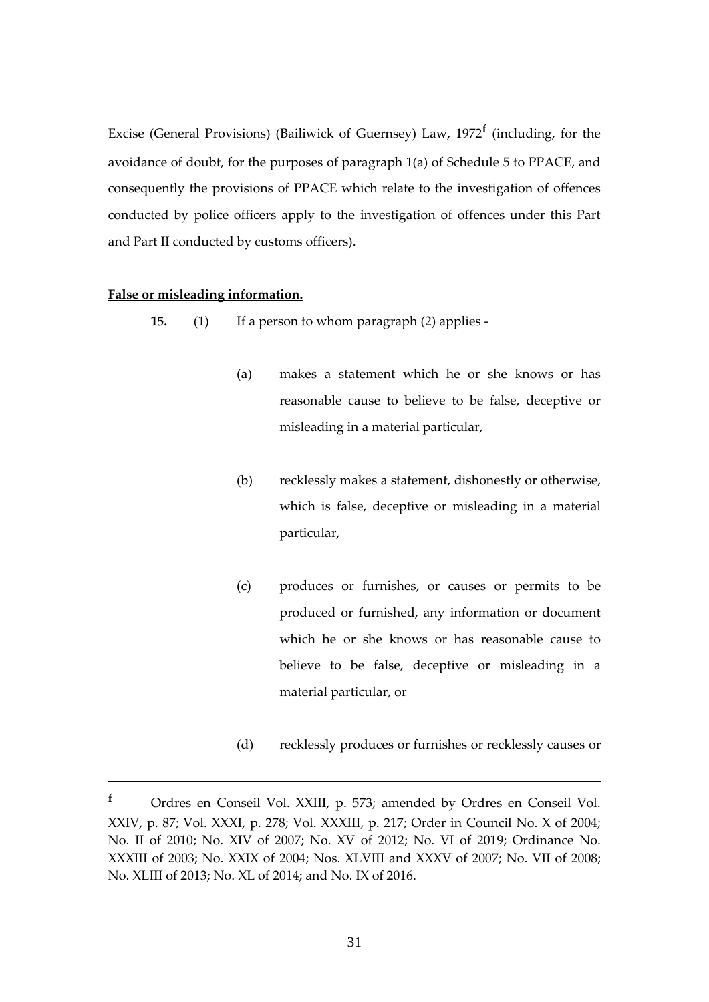Excise (General Provisions) (Bailiwick of Guernsey) Law, 1972**<sup>f</sup>** (including, for the avoidance of doubt, for the purposes of paragraph 1(a) of Schedule 5 to PPACE, and consequently the provisions of PPACE which relate to the investigation of offences conducted by police officers apply to the investigation of offences under this Part and Part II conducted by customs officers).

#### <span id="page-30-0"></span>**False or misleading information.**

- **15.** (1) If a person to whom paragraph (2) applies
	- (a) makes a statement which he or she knows or has reasonable cause to believe to be false, deceptive or misleading in a material particular,
	- (b) recklessly makes a statement, dishonestly or otherwise, which is false, deceptive or misleading in a material particular,
	- (c) produces or furnishes, or causes or permits to be produced or furnished, any information or document which he or she knows or has reasonable cause to believe to be false, deceptive or misleading in a material particular, or
	- (d) recklessly produces or furnishes or recklessly causes or

**<sup>f</sup>** Ordres en Conseil Vol. XXIII, p. 573; amended by Ordres en Conseil Vol. XXIV, p. 87; Vol. XXXI, p. 278; Vol. XXXIII, p. 217; Order in Council No. X of 2004; No. II of 2010; No. XIV of 2007; No. XV of 2012; No. VI of 2019; Ordinance No. XXXIII of 2003; No. XXIX of 2004; Nos. XLVIII and XXXV of 2007; No. VII of 2008; No. XLIII of 2013; No. XL of 2014; and No. IX of 2016.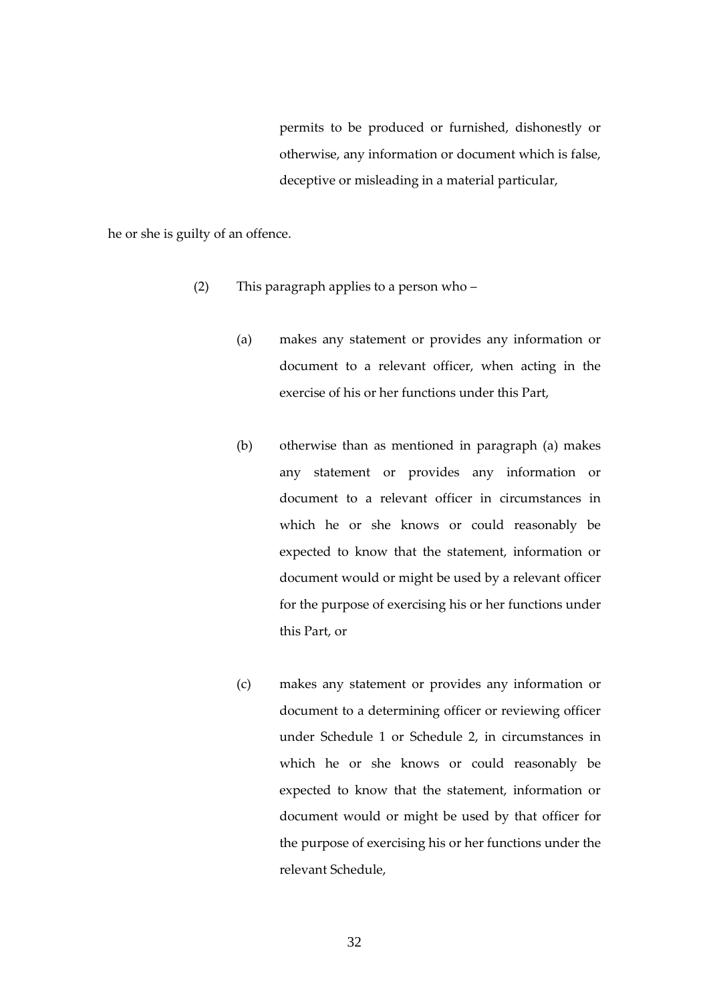permits to be produced or furnished, dishonestly or otherwise, any information or document which is false, deceptive or misleading in a material particular,

he or she is guilty of an offence.

- (2) This paragraph applies to a person who
	- (a) makes any statement or provides any information or document to a relevant officer, when acting in the exercise of his or her functions under this Part,
	- (b) otherwise than as mentioned in paragraph (a) makes any statement or provides any information or document to a relevant officer in circumstances in which he or she knows or could reasonably be expected to know that the statement, information or document would or might be used by a relevant officer for the purpose of exercising his or her functions under this Part, or
	- (c) makes any statement or provides any information or document to a determining officer or reviewing officer under Schedule 1 or Schedule 2, in circumstances in which he or she knows or could reasonably be expected to know that the statement, information or document would or might be used by that officer for the purpose of exercising his or her functions under the relevant Schedule,

32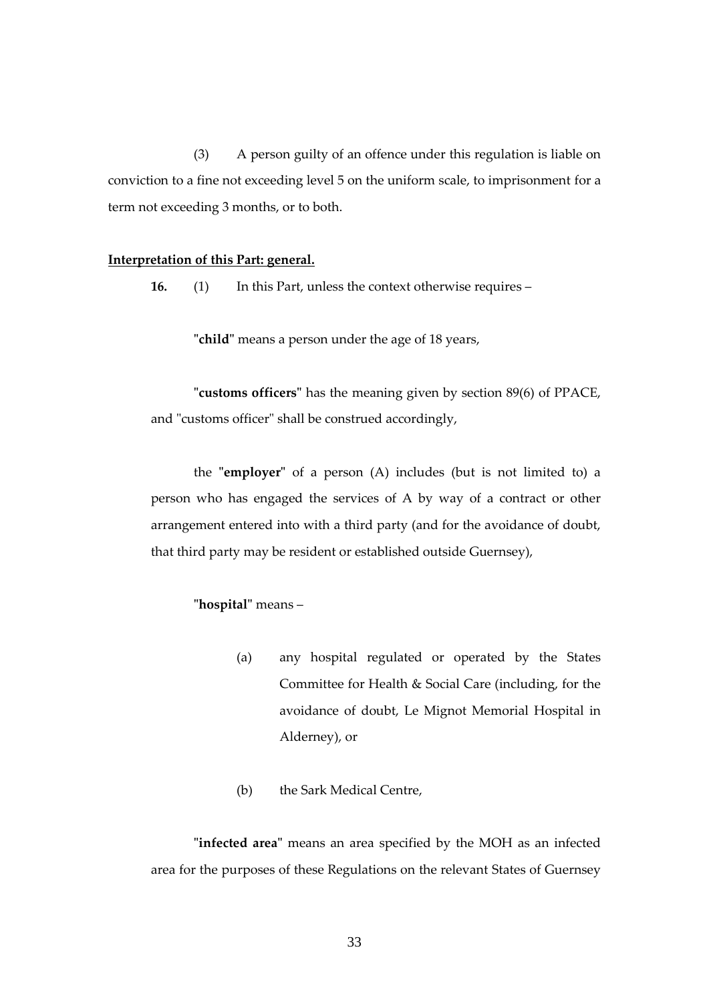(3) A person guilty of an offence under this regulation is liable on conviction to a fine not exceeding level 5 on the uniform scale, to imprisonment for a term not exceeding 3 months, or to both.

#### <span id="page-32-0"></span>**Interpretation of this Part: general.**

**16.** (1) In this Part, unless the context otherwise requires –

**"child"** means a person under the age of 18 years,

**"customs officers"** has the meaning given by section 89(6) of PPACE, and "customs officer" shall be construed accordingly,

the **"employer"** of a person (A) includes (but is not limited to) a person who has engaged the services of A by way of a contract or other arrangement entered into with a third party (and for the avoidance of doubt, that third party may be resident or established outside Guernsey),

# **"hospital"** means –

- (a) any hospital regulated or operated by the States Committee for Health & Social Care (including, for the avoidance of doubt, Le Mignot Memorial Hospital in Alderney), or
- (b) the Sark Medical Centre,

**"infected area"** means an area specified by the MOH as an infected area for the purposes of these Regulations on the relevant States of Guernsey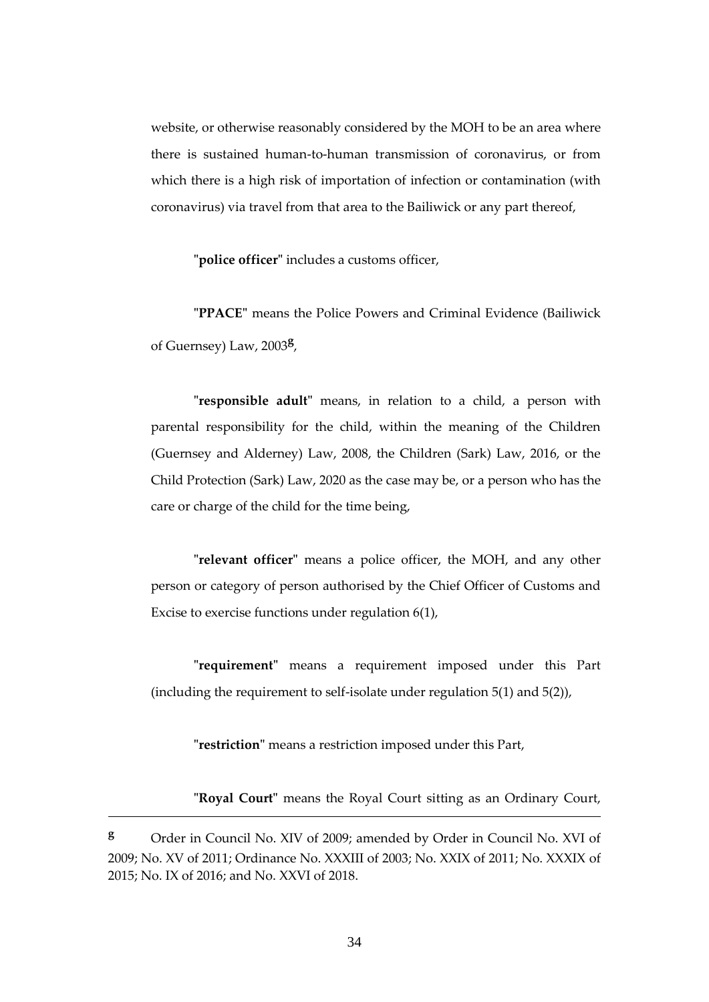website, or otherwise reasonably considered by the MOH to be an area where there is sustained human-to-human transmission of coronavirus, or from which there is a high risk of importation of infection or contamination (with coronavirus) via travel from that area to the Bailiwick or any part thereof,

**"police officer"** includes a customs officer,

**"PPACE"** means the Police Powers and Criminal Evidence (Bailiwick of Guernsey) Law, 2003**<sup>g</sup>** ,

**"responsible adult"** means, in relation to a child, a person with parental responsibility for the child, within the meaning of the Children (Guernsey and Alderney) Law, 2008, the Children (Sark) Law, 2016, or the Child Protection (Sark) Law, 2020 as the case may be, or a person who has the care or charge of the child for the time being,

**"relevant officer"** means a police officer, the MOH, and any other person or category of person authorised by the Chief Officer of Customs and Excise to exercise functions under regulation 6(1),

**"requirement"** means a requirement imposed under this Part (including the requirement to self-isolate under regulation 5(1) and 5(2)),

**"restriction"** means a restriction imposed under this Part,

**"Royal Court"** means the Royal Court sitting as an Ordinary Court,

**<sup>g</sup>** Order in Council No. XIV of 2009; amended by Order in Council No. XVI of 2009; No. XV of 2011; Ordinance No. XXXIII of 2003; No. XXIX of 2011; No. XXXIX of 2015; No. IX of 2016; and No. XXVI of 2018.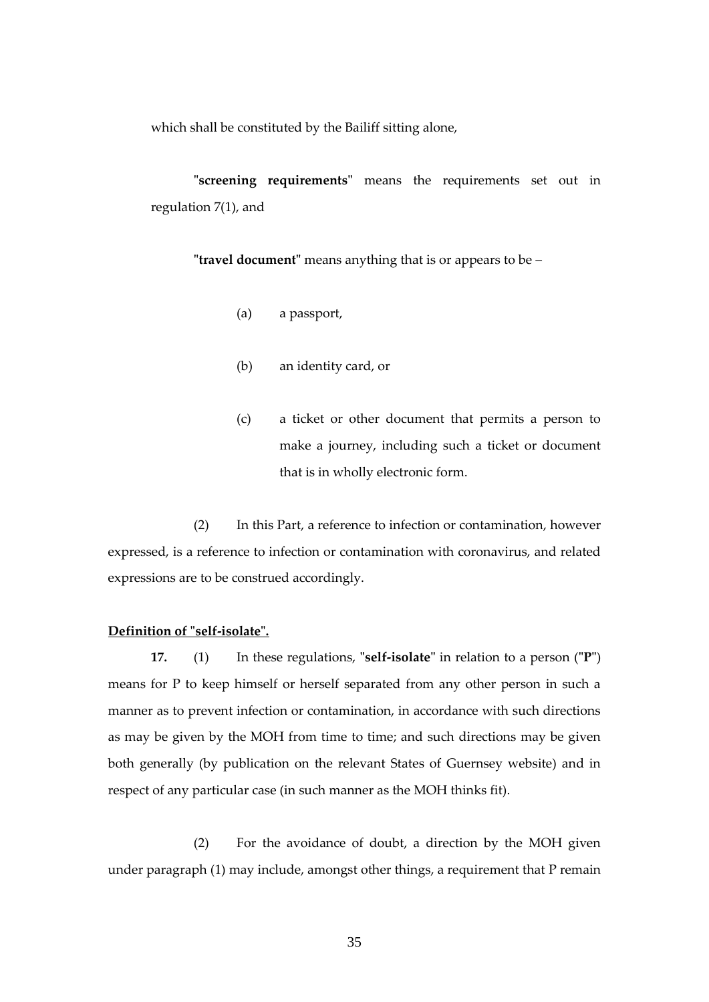which shall be constituted by the Bailiff sitting alone,

**"screening requirements"** means the requirements set out in regulation 7(1), and

**"travel document"** means anything that is or appears to be –

- (a) a passport,
- (b) an identity card, or
- (c) a ticket or other document that permits a person to make a journey, including such a ticket or document that is in wholly electronic form.

(2) In this Part, a reference to infection or contamination, however expressed, is a reference to infection or contamination with coronavirus, and related expressions are to be construed accordingly.

#### <span id="page-34-0"></span>**Definition of "self-isolate".**

**17.** (1) In these regulations, **"self-isolate"** in relation to a person (**"P"**) means for P to keep himself or herself separated from any other person in such a manner as to prevent infection or contamination, in accordance with such directions as may be given by the MOH from time to time; and such directions may be given both generally (by publication on the relevant States of Guernsey website) and in respect of any particular case (in such manner as the MOH thinks fit).

(2) For the avoidance of doubt, a direction by the MOH given under paragraph (1) may include, amongst other things, a requirement that P remain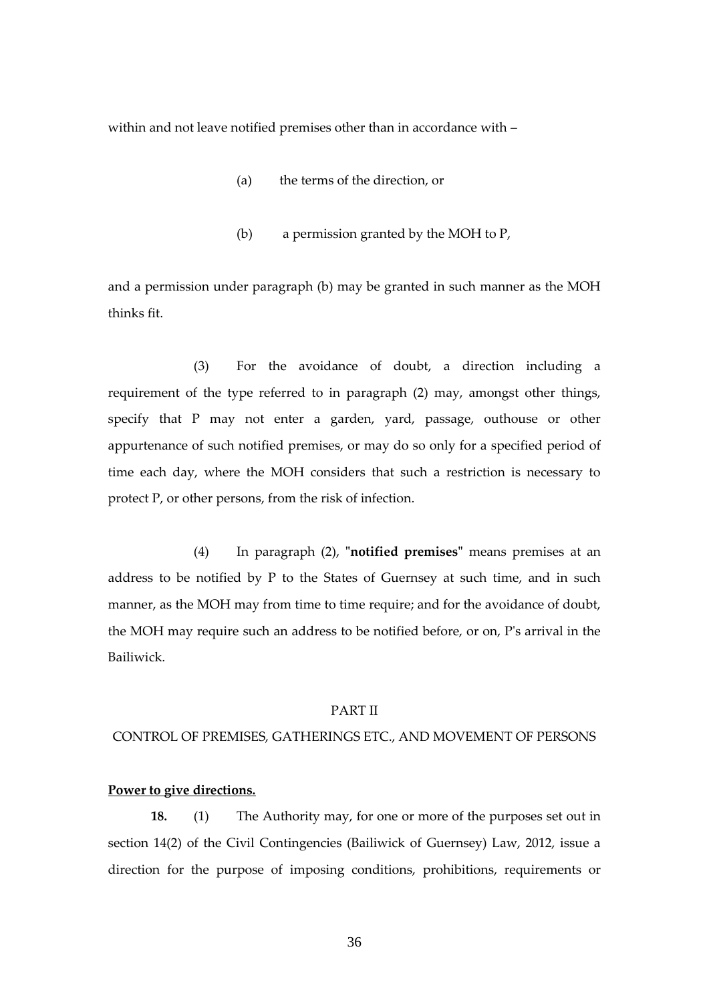within and not leave notified premises other than in accordance with –

- (a) the terms of the direction, or
- (b) a permission granted by the MOH to P,

and a permission under paragraph (b) may be granted in such manner as the MOH thinks fit.

(3) For the avoidance of doubt, a direction including a requirement of the type referred to in paragraph (2) may, amongst other things, specify that P may not enter a garden, yard, passage, outhouse or other appurtenance of such notified premises, or may do so only for a specified period of time each day, where the MOH considers that such a restriction is necessary to protect P, or other persons, from the risk of infection.

(4) In paragraph (2), **"notified premises"** means premises at an address to be notified by P to the States of Guernsey at such time, and in such manner, as the MOH may from time to time require; and for the avoidance of doubt, the MOH may require such an address to be notified before, or on, P's arrival in the Bailiwick.

#### PART II

#### CONTROL OF PREMISES, GATHERINGS ETC., AND MOVEMENT OF PERSONS

### **Power to give directions.**

**18.** (1) The Authority may, for one or more of the purposes set out in section 14(2) of the Civil Contingencies (Bailiwick of Guernsey) Law, 2012, issue a direction for the purpose of imposing conditions, prohibitions, requirements or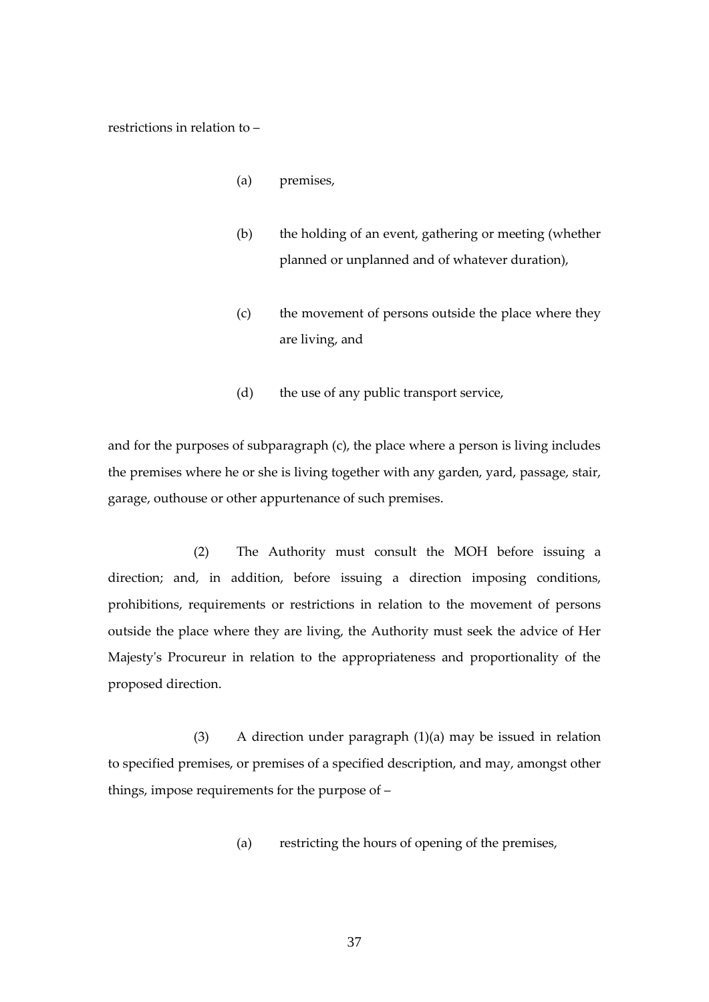restrictions in relation to –

- (a) premises,
- (b) the holding of an event, gathering or meeting (whether planned or unplanned and of whatever duration),
- (c) the movement of persons outside the place where they are living, and
- (d) the use of any public transport service,

and for the purposes of subparagraph (c), the place where a person is living includes the premises where he or she is living together with any garden, yard, passage, stair, garage, outhouse or other appurtenance of such premises.

(2) The Authority must consult the MOH before issuing a direction; and, in addition, before issuing a direction imposing conditions, prohibitions, requirements or restrictions in relation to the movement of persons outside the place where they are living, the Authority must seek the advice of Her Majesty's Procureur in relation to the appropriateness and proportionality of the proposed direction.

(3) A direction under paragraph (1)(a) may be issued in relation to specified premises, or premises of a specified description, and may, amongst other things, impose requirements for the purpose of –

(a) restricting the hours of opening of the premises,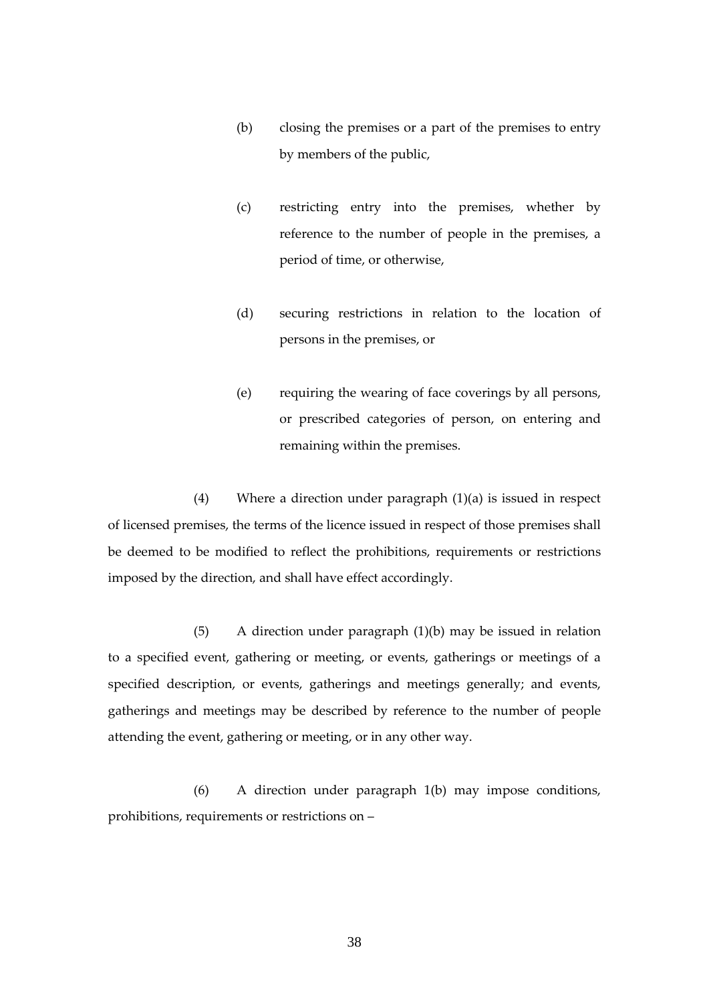- (b) closing the premises or a part of the premises to entry by members of the public,
- (c) restricting entry into the premises, whether by reference to the number of people in the premises, a period of time, or otherwise,
- (d) securing restrictions in relation to the location of persons in the premises, or
- (e) requiring the wearing of face coverings by all persons, or prescribed categories of person, on entering and remaining within the premises.

(4) Where a direction under paragraph (1)(a) is issued in respect of licensed premises, the terms of the licence issued in respect of those premises shall be deemed to be modified to reflect the prohibitions, requirements or restrictions imposed by the direction, and shall have effect accordingly.

(5) A direction under paragraph (1)(b) may be issued in relation to a specified event, gathering or meeting, or events, gatherings or meetings of a specified description, or events, gatherings and meetings generally; and events, gatherings and meetings may be described by reference to the number of people attending the event, gathering or meeting, or in any other way.

(6) A direction under paragraph 1(b) may impose conditions, prohibitions, requirements or restrictions on –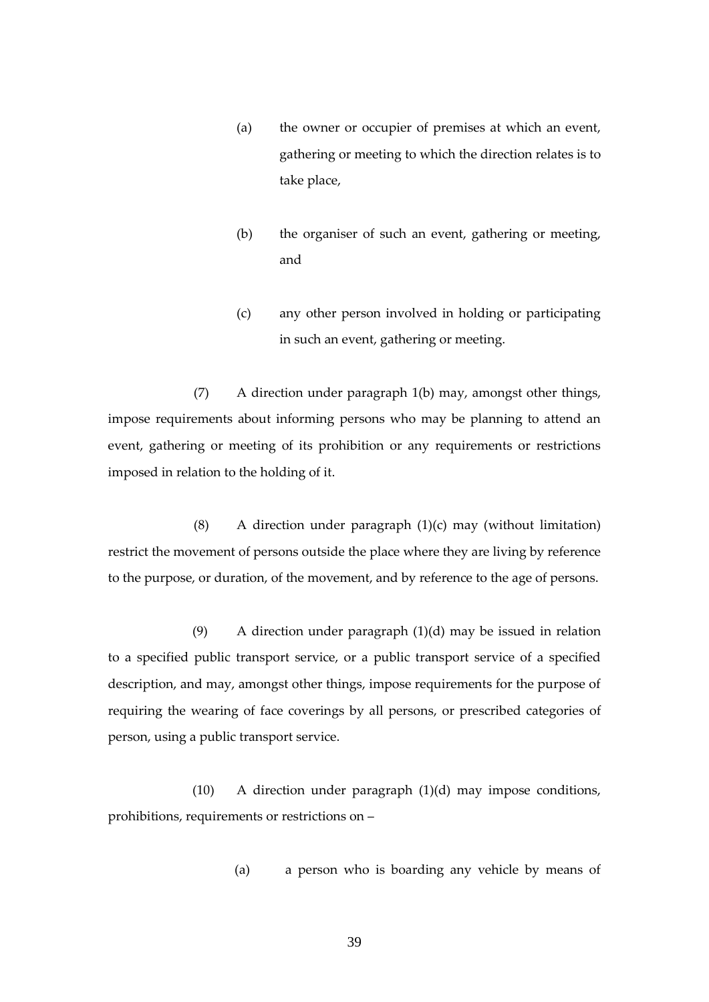- (a) the owner or occupier of premises at which an event, gathering or meeting to which the direction relates is to take place,
- (b) the organiser of such an event, gathering or meeting, and
- (c) any other person involved in holding or participating in such an event, gathering or meeting.

(7) A direction under paragraph 1(b) may, amongst other things, impose requirements about informing persons who may be planning to attend an event, gathering or meeting of its prohibition or any requirements or restrictions imposed in relation to the holding of it.

(8) A direction under paragraph  $(1)(c)$  may (without limitation) restrict the movement of persons outside the place where they are living by reference to the purpose, or duration, of the movement, and by reference to the age of persons.

(9) A direction under paragraph (1)(d) may be issued in relation to a specified public transport service, or a public transport service of a specified description, and may, amongst other things, impose requirements for the purpose of requiring the wearing of face coverings by all persons, or prescribed categories of person, using a public transport service.

(10) A direction under paragraph (1)(d) may impose conditions, prohibitions, requirements or restrictions on –

(a) a person who is boarding any vehicle by means of

39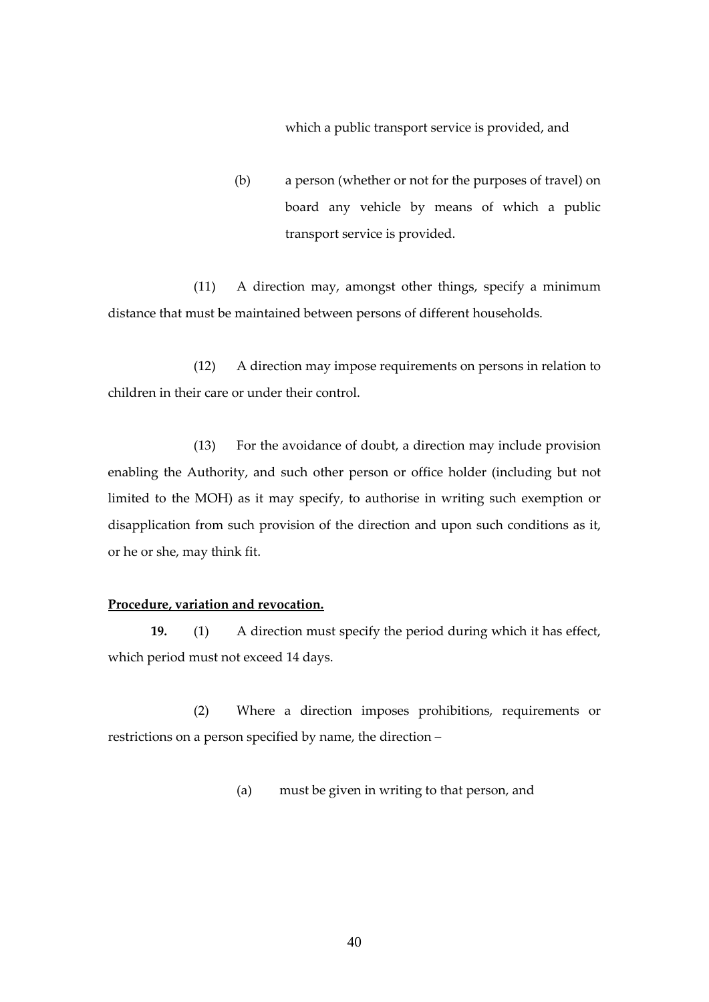which a public transport service is provided, and

(b) a person (whether or not for the purposes of travel) on board any vehicle by means of which a public transport service is provided.

(11) A direction may, amongst other things, specify a minimum distance that must be maintained between persons of different households.

(12) A direction may impose requirements on persons in relation to children in their care or under their control.

(13) For the avoidance of doubt, a direction may include provision enabling the Authority, and such other person or office holder (including but not limited to the MOH) as it may specify, to authorise in writing such exemption or disapplication from such provision of the direction and upon such conditions as it, or he or she, may think fit.

## **Procedure, variation and revocation.**

**19.** (1) A direction must specify the period during which it has effect, which period must not exceed 14 days.

(2) Where a direction imposes prohibitions, requirements or restrictions on a person specified by name, the direction –

(a) must be given in writing to that person, and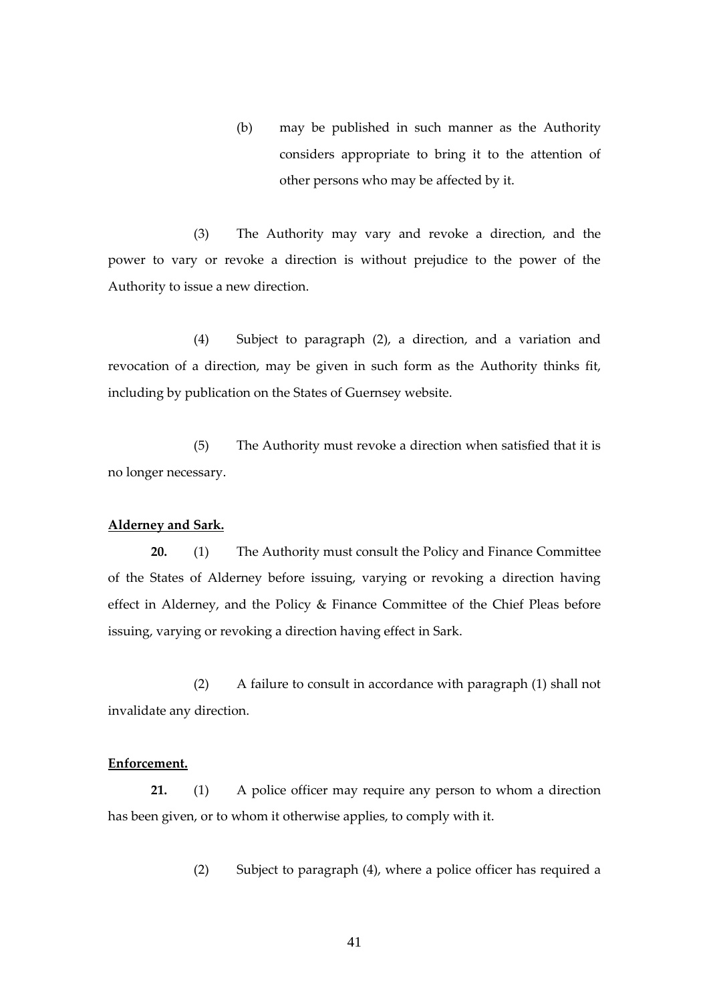(b) may be published in such manner as the Authority considers appropriate to bring it to the attention of other persons who may be affected by it.

(3) The Authority may vary and revoke a direction, and the power to vary or revoke a direction is without prejudice to the power of the Authority to issue a new direction.

(4) Subject to paragraph (2), a direction, and a variation and revocation of a direction, may be given in such form as the Authority thinks fit, including by publication on the States of Guernsey website.

(5) The Authority must revoke a direction when satisfied that it is no longer necessary.

#### **Alderney and Sark.**

**20.** (1) The Authority must consult the Policy and Finance Committee of the States of Alderney before issuing, varying or revoking a direction having effect in Alderney, and the Policy & Finance Committee of the Chief Pleas before issuing, varying or revoking a direction having effect in Sark.

(2) A failure to consult in accordance with paragraph (1) shall not invalidate any direction.

## **Enforcement.**

**21.** (1) A police officer may require any person to whom a direction has been given, or to whom it otherwise applies, to comply with it.

(2) Subject to paragraph (4), where a police officer has required a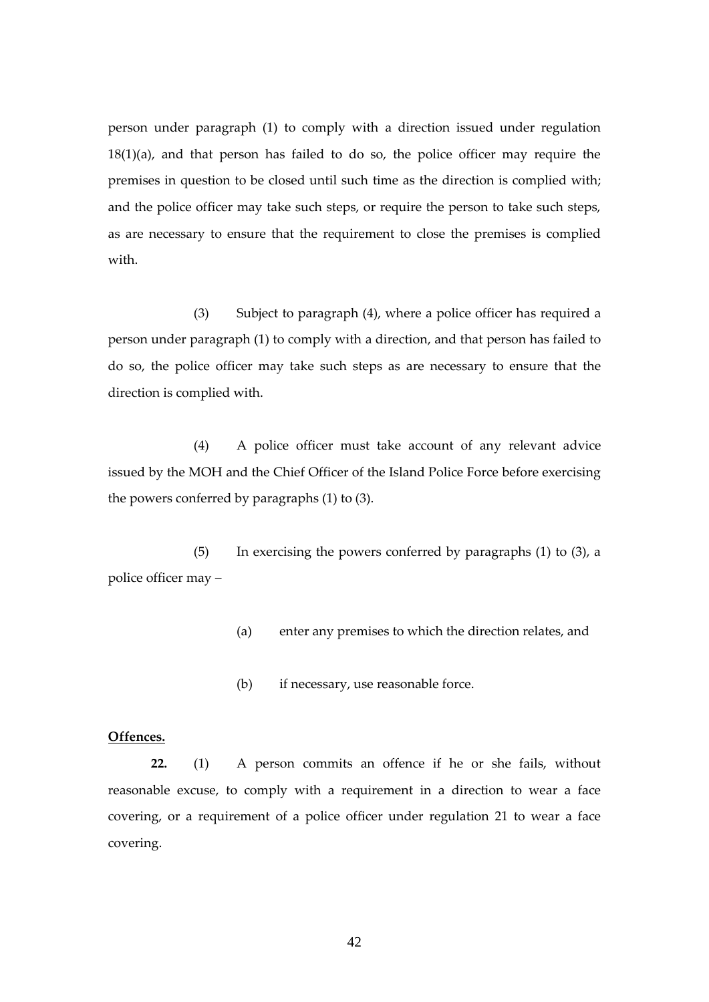person under paragraph (1) to comply with a direction issued under regulation 18(1)(a), and that person has failed to do so, the police officer may require the premises in question to be closed until such time as the direction is complied with; and the police officer may take such steps, or require the person to take such steps, as are necessary to ensure that the requirement to close the premises is complied with.

(3) Subject to paragraph (4), where a police officer has required a person under paragraph (1) to comply with a direction, and that person has failed to do so, the police officer may take such steps as are necessary to ensure that the direction is complied with.

(4) A police officer must take account of any relevant advice issued by the MOH and the Chief Officer of the Island Police Force before exercising the powers conferred by paragraphs (1) to (3).

(5) In exercising the powers conferred by paragraphs (1) to (3), a police officer may –

- (a) enter any premises to which the direction relates, and
- (b) if necessary, use reasonable force.

## **Offences.**

**22.** (1) A person commits an offence if he or she fails, without reasonable excuse, to comply with a requirement in a direction to wear a face covering, or a requirement of a police officer under regulation 21 to wear a face covering.

42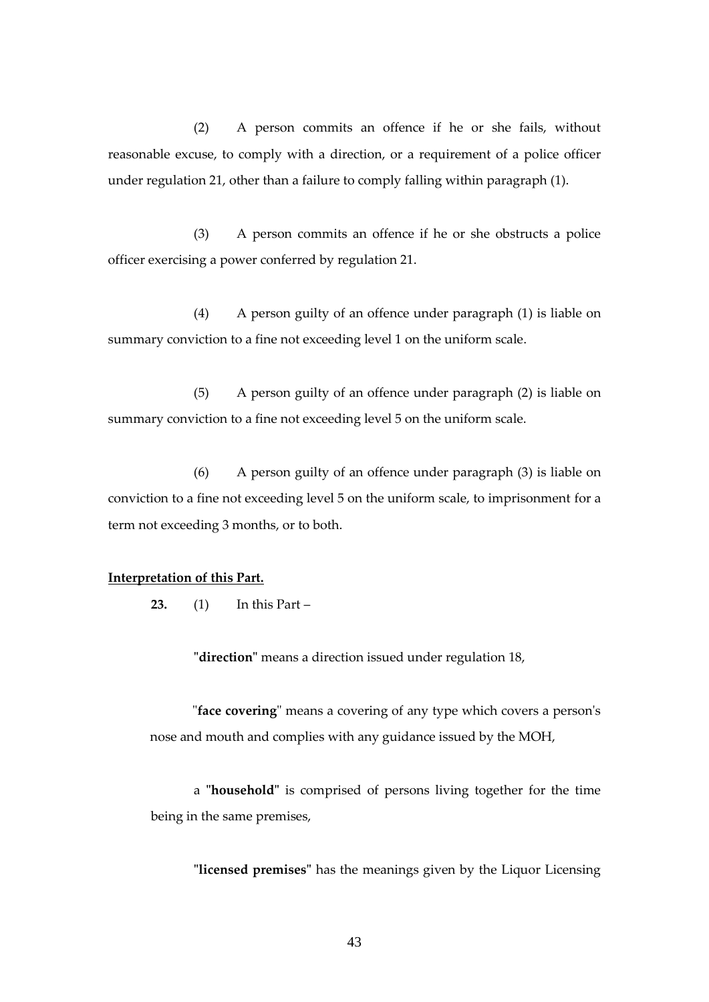(2) A person commits an offence if he or she fails, without reasonable excuse, to comply with a direction, or a requirement of a police officer under regulation 21, other than a failure to comply falling within paragraph (1).

(3) A person commits an offence if he or she obstructs a police officer exercising a power conferred by regulation 21.

(4) A person guilty of an offence under paragraph (1) is liable on summary conviction to a fine not exceeding level 1 on the uniform scale.

(5) A person guilty of an offence under paragraph (2) is liable on summary conviction to a fine not exceeding level 5 on the uniform scale.

(6) A person guilty of an offence under paragraph (3) is liable on conviction to a fine not exceeding level 5 on the uniform scale, to imprisonment for a term not exceeding 3 months, or to both.

## **Interpretation of this Part.**

**23.** (1) In this Part –

**"direction"** means a direction issued under regulation 18,

"**face covering**" means a covering of any type which covers a person's nose and mouth and complies with any guidance issued by the MOH,

a **"household"** is comprised of persons living together for the time being in the same premises,

**"licensed premises"** has the meanings given by the Liquor Licensing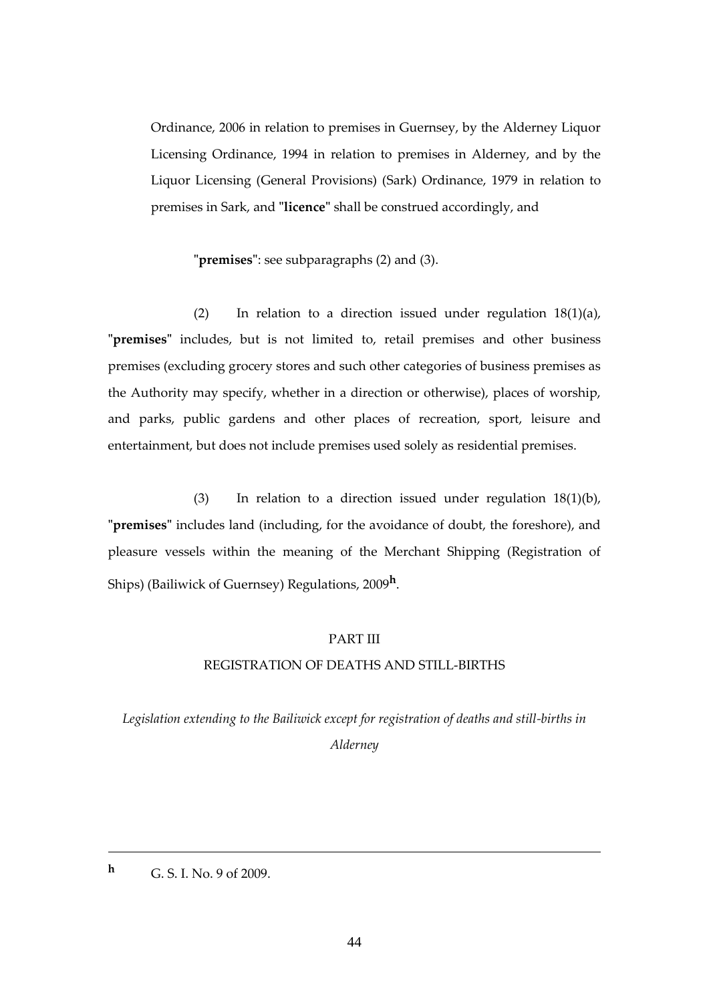Ordinance, 2006 in relation to premises in Guernsey, by the Alderney Liquor Licensing Ordinance, 1994 in relation to premises in Alderney, and by the Liquor Licensing (General Provisions) (Sark) Ordinance, 1979 in relation to premises in Sark, and **"licence"** shall be construed accordingly, and

**"premises"**: see subparagraphs (2) and (3).

(2) In relation to a direction issued under regulation  $18(1)(a)$ , **"premises"** includes, but is not limited to, retail premises and other business premises (excluding grocery stores and such other categories of business premises as the Authority may specify, whether in a direction or otherwise), places of worship, and parks, public gardens and other places of recreation, sport, leisure and entertainment, but does not include premises used solely as residential premises.

(3) In relation to a direction issued under regulation 18(1)(b), **"premises"** includes land (including, for the avoidance of doubt, the foreshore), and pleasure vessels within the meaning of the Merchant Shipping (Registration of Ships) (Bailiwick of Guernsey) Regulations, 2009**<sup>h</sup>** .

## PART III

## REGISTRATION OF DEATHS AND STILL-BIRTHS

*Legislation extending to the Bailiwick except for registration of deaths and still-births in Alderney*

**<sup>h</sup>** G. S. I. No. 9 of 2009.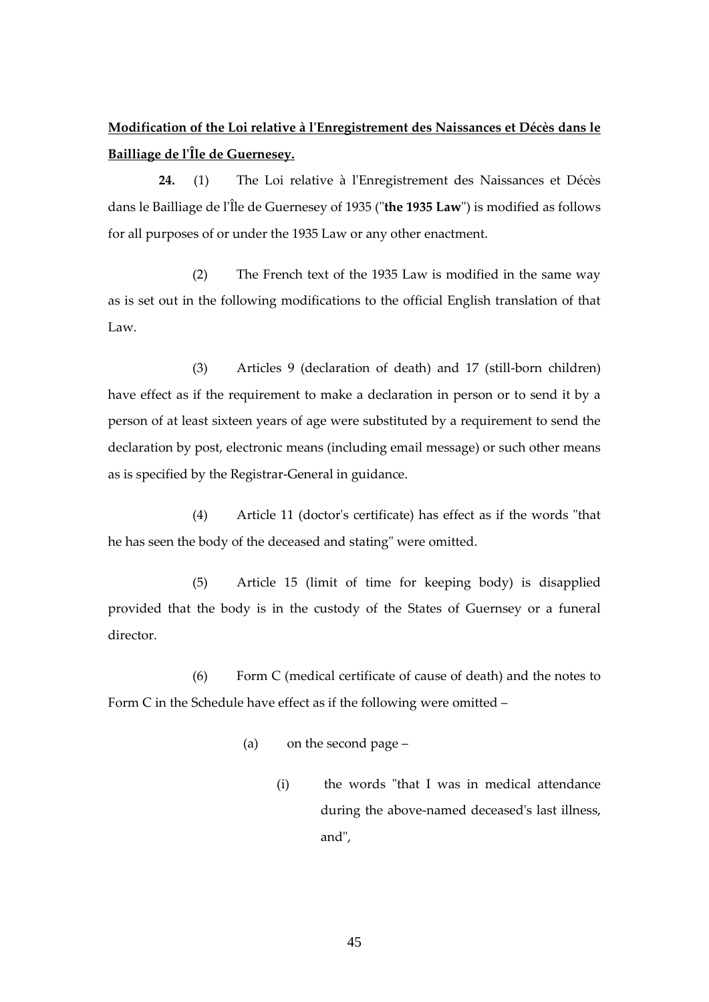# **Modification of the Loi relative à l'Enregistrement des Naissances et Décès dans le Bailliage de l'Île de Guernesey.**

**24.** (1) The Loi relative à l'Enregistrement des Naissances et Décès dans le Bailliage de l'Île de Guernesey of 1935 ("**the 1935 Law**") is modified as follows for all purposes of or under the 1935 Law or any other enactment.

(2) The French text of the 1935 Law is modified in the same way as is set out in the following modifications to the official English translation of that Law.

(3) Articles 9 (declaration of death) and 17 (still-born children) have effect as if the requirement to make a declaration in person or to send it by a person of at least sixteen years of age were substituted by a requirement to send the declaration by post, electronic means (including email message) or such other means as is specified by the Registrar-General in guidance.

(4) Article 11 (doctor's certificate) has effect as if the words "that he has seen the body of the deceased and stating" were omitted.

(5) Article 15 (limit of time for keeping body) is disapplied provided that the body is in the custody of the States of Guernsey or a funeral director.

(6) Form C (medical certificate of cause of death) and the notes to Form C in the Schedule have effect as if the following were omitted –

- (a) on the second page
	- (i) the words "that I was in medical attendance during the above-named deceased's last illness, and",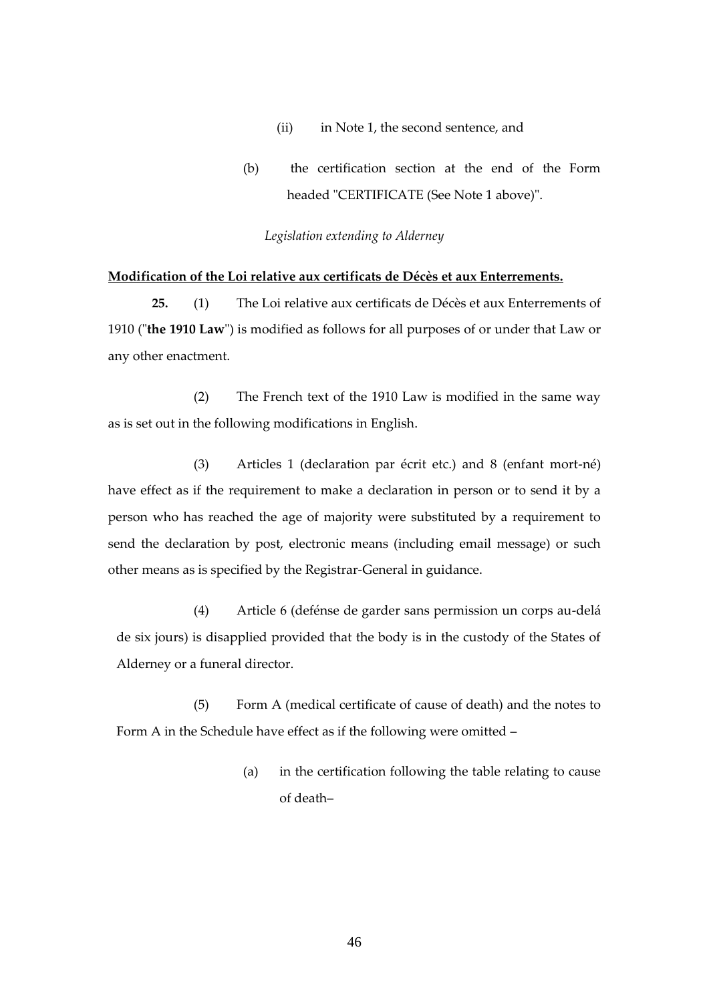- (ii) in Note 1, the second sentence, and
- (b) the certification section at the end of the Form headed "CERTIFICATE (See Note 1 above)".

#### *Legislation extending to Alderney*

## **Modification of the Loi relative aux certificats de Décès et aux Enterrements.**

**25.** (1) The Loi relative aux certificats de Décès et aux Enterrements of 1910 ("**the 1910 Law**") is modified as follows for all purposes of or under that Law or any other enactment.

(2) The French text of the 1910 Law is modified in the same way as is set out in the following modifications in English.

(3) Articles 1 (declaration par écrit etc.) and 8 (enfant mort-né) have effect as if the requirement to make a declaration in person or to send it by a person who has reached the age of majority were substituted by a requirement to send the declaration by post, electronic means (including email message) or such other means as is specified by the Registrar-General in guidance.

(4) Article 6 (defénse de garder sans permission un corps au-delá de six jours) is disapplied provided that the body is in the custody of the States of Alderney or a funeral director.

(5) Form A (medical certificate of cause of death) and the notes to Form A in the Schedule have effect as if the following were omitted –

> (a) in the certification following the table relating to cause of death–

> > 46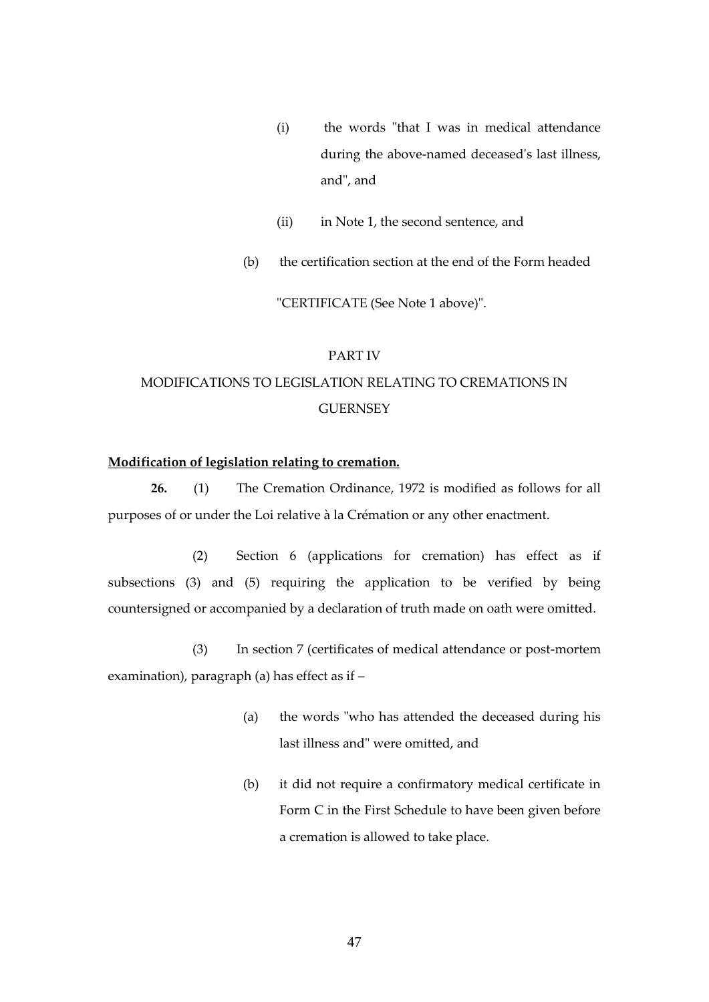- (i) the words "that I was in medical attendance during the above-named deceased's last illness, and", and
- (ii) in Note 1, the second sentence, and
- (b) the certification section at the end of the Form headed

"CERTIFICATE (See Note 1 above)".

# PART IV MODIFICATIONS TO LEGISLATION RELATING TO CREMATIONS IN **GUERNSEY**

# **Modification of legislation relating to cremation.**

**26.** (1) The Cremation Ordinance, 1972 is modified as follows for all purposes of or under the Loi relative à la Crémation or any other enactment.

(2) Section 6 (applications for cremation) has effect as if subsections (3) and (5) requiring the application to be verified by being countersigned or accompanied by a declaration of truth made on oath were omitted.

(3) In section 7 (certificates of medical attendance or post-mortem examination), paragraph (a) has effect as if –

- (a) the words "who has attended the deceased during his last illness and" were omitted, and
- (b) it did not require a confirmatory medical certificate in Form C in the First Schedule to have been given before a cremation is allowed to take place.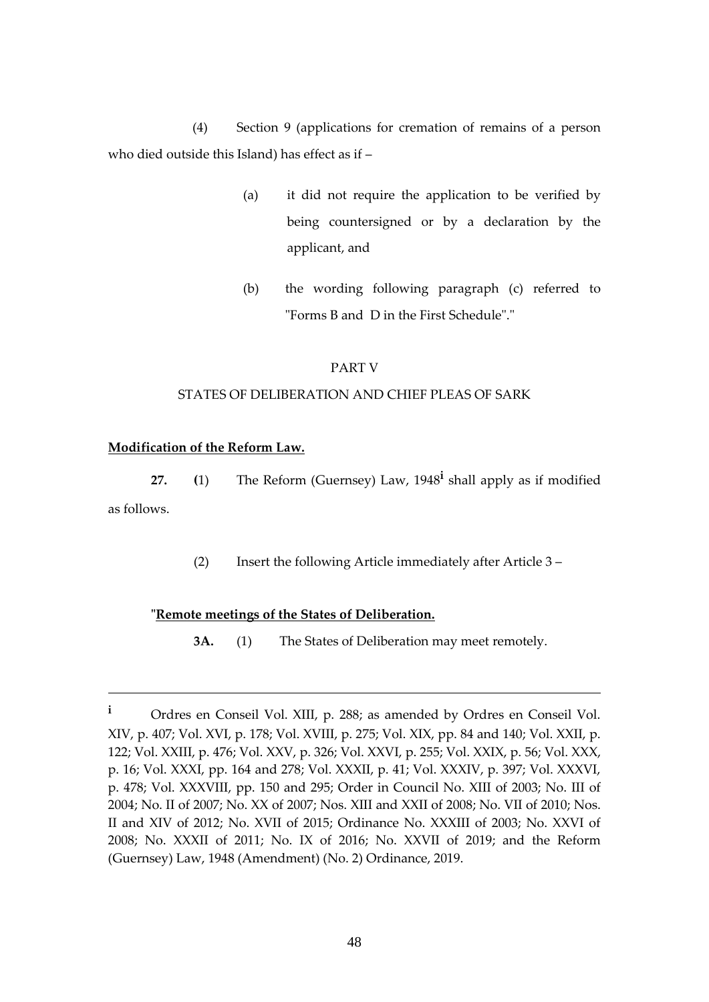(4) Section 9 (applications for cremation of remains of a person who died outside this Island) has effect as if –

- (a) it did not require the application to be verified by being countersigned or by a declaration by the applicant, and
- (b) the wording following paragraph (c) referred to "Forms B and D in the First Schedule"."

# PART V

# STATES OF DELIBERATION AND CHIEF PLEAS OF SARK

# **Modification of the Reform Law.**

**27. (**1) The Reform (Guernsey) Law, 1948**<sup>i</sup>** shall apply as if modified as follows.

(2) Insert the following Article immediately after Article 3 –

# **"Remote meetings of the States of Deliberation.**

**3A.** (1) The States of Deliberation may meet remotely.

**<sup>i</sup>** Ordres en Conseil Vol. XIII, p. 288; as amended by Ordres en Conseil Vol. XIV, p. 407; Vol. XVI, p. 178; Vol. XVIII, p. 275; Vol. XIX, pp. 84 and 140; Vol. XXII, p. 122; Vol. XXIII, p. 476; Vol. XXV, p. 326; Vol. XXVI, p. 255; Vol. XXIX, p. 56; Vol. XXX, p. 16; Vol. XXXI, pp. 164 and 278; Vol. XXXII, p. 41; Vol. XXXIV, p. 397; Vol. XXXVI, p. 478; Vol. XXXVIII, pp. 150 and 295; Order in Council No. XIII of 2003; No. III of 2004; No. II of 2007; No. XX of 2007; Nos. XIII and XXII of 2008; No. VII of 2010; Nos. II and XIV of 2012; No. XVII of 2015; Ordinance No. XXXIII of 2003; No. XXVI of 2008; No. XXXII of 2011; No. IX of 2016; No. XXVII of 2019; and the Reform (Guernsey) Law, 1948 (Amendment) (No. 2) Ordinance, 2019.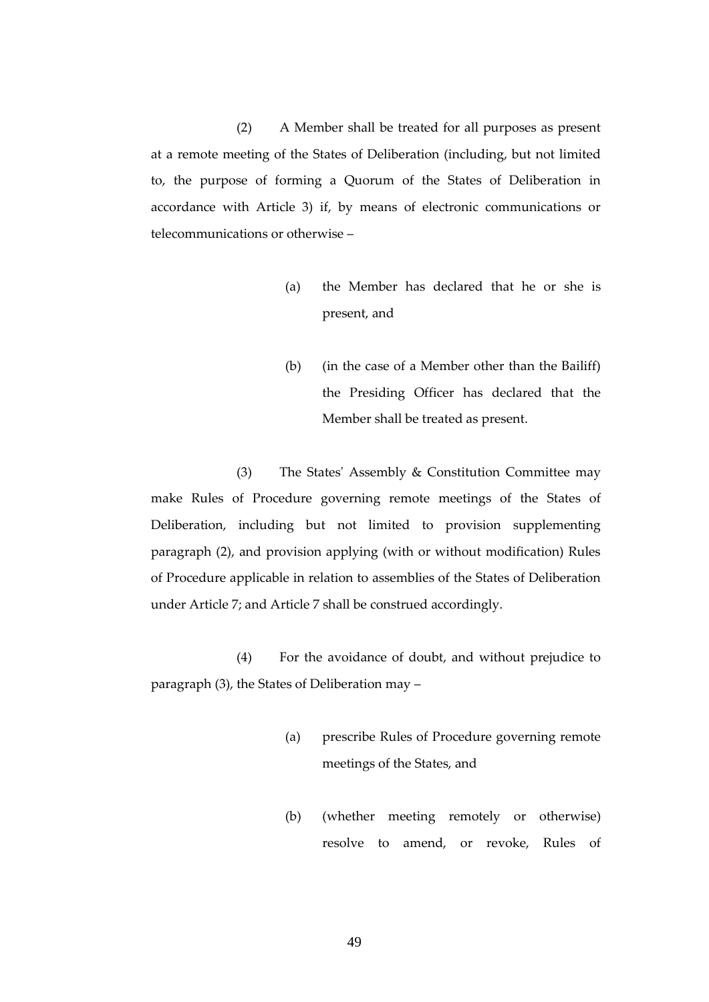(2) A Member shall be treated for all purposes as present at a remote meeting of the States of Deliberation (including, but not limited to, the purpose of forming a Quorum of the States of Deliberation in accordance with Article 3) if, by means of electronic communications or telecommunications or otherwise –

- (a) the Member has declared that he or she is present, and
- (b) (in the case of a Member other than the Bailiff) the Presiding Officer has declared that the Member shall be treated as present.

(3) The States' Assembly & Constitution Committee may make Rules of Procedure governing remote meetings of the States of Deliberation, including but not limited to provision supplementing paragraph (2), and provision applying (with or without modification) Rules of Procedure applicable in relation to assemblies of the States of Deliberation under Article 7; and Article 7 shall be construed accordingly.

(4) For the avoidance of doubt, and without prejudice to paragraph (3), the States of Deliberation may –

- (a) prescribe Rules of Procedure governing remote meetings of the States, and
- (b) (whether meeting remotely or otherwise) resolve to amend, or revoke, Rules of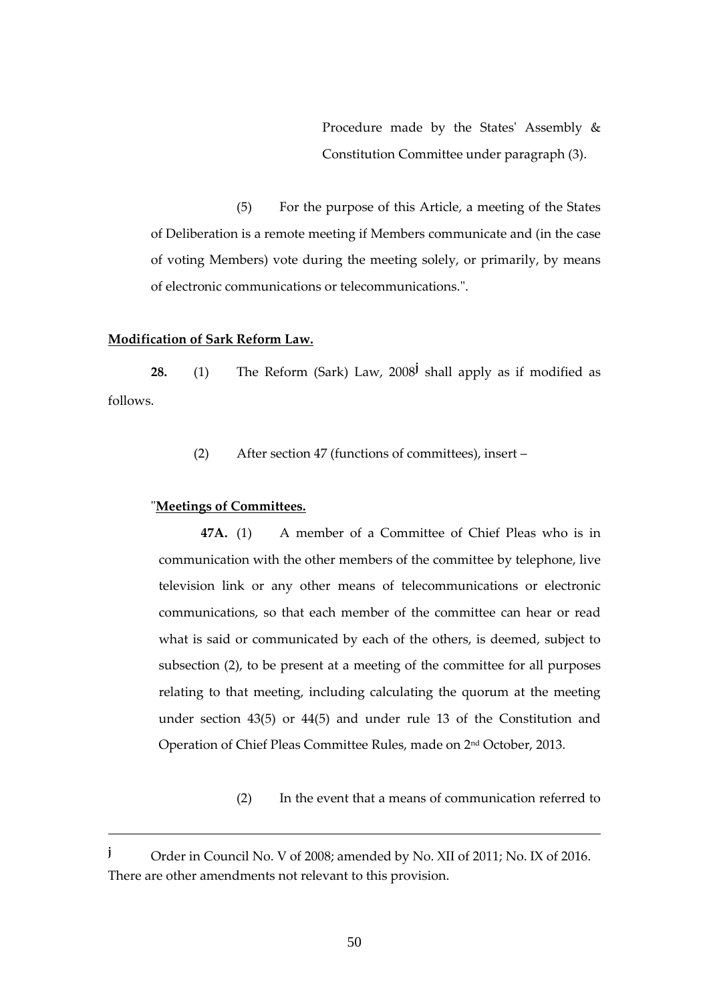Procedure made by the States' Assembly & Constitution Committee under paragraph (3).

(5) For the purpose of this Article, a meeting of the States of Deliberation is a remote meeting if Members communicate and (in the case of voting Members) vote during the meeting solely, or primarily, by means of electronic communications or telecommunications.".

## **Modification of Sark Reform Law.**

**28.** (1) The Reform (Sark) Law, 2008**<sup>j</sup>** shall apply as if modified as follows.

(2) After section 47 (functions of committees), insert –

## "**Meetings of Committees.**

**47A.** (1) A member of a Committee of Chief Pleas who is in communication with the other members of the committee by telephone, live television link or any other means of telecommunications or electronic communications, so that each member of the committee can hear or read what is said or communicated by each of the others, is deemed, subject to subsection (2), to be present at a meeting of the committee for all purposes relating to that meeting, including calculating the quorum at the meeting under section 43(5) or 44(5) and under rule 13 of the Constitution and Operation of Chief Pleas Committee Rules, made on 2nd October, 2013.

(2) In the event that a means of communication referred to

**<sup>j</sup>** Order in Council No. V of 2008; amended by No. XII of 2011; No. IX of 2016. There are other amendments not relevant to this provision.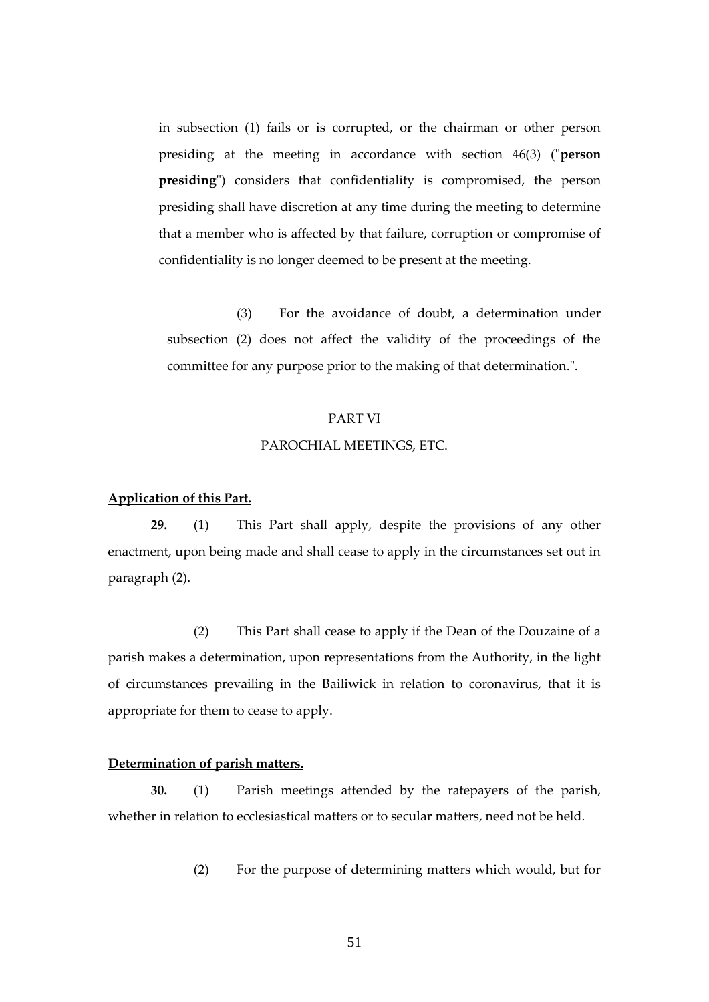in subsection (1) fails or is corrupted, or the chairman or other person presiding at the meeting in accordance with section 46(3) ("**person presiding**") considers that confidentiality is compromised, the person presiding shall have discretion at any time during the meeting to determine that a member who is affected by that failure, corruption or compromise of confidentiality is no longer deemed to be present at the meeting.

(3) For the avoidance of doubt, a determination under subsection (2) does not affect the validity of the proceedings of the committee for any purpose prior to the making of that determination.".

# PART VI PAROCHIAL MEETINGS, ETC.

# **Application of this Part.**

**29.** (1) This Part shall apply, despite the provisions of any other enactment, upon being made and shall cease to apply in the circumstances set out in paragraph (2).

(2) This Part shall cease to apply if the Dean of the Douzaine of a parish makes a determination, upon representations from the Authority, in the light of circumstances prevailing in the Bailiwick in relation to coronavirus, that it is appropriate for them to cease to apply.

## **Determination of parish matters.**

**30.** (1) Parish meetings attended by the ratepayers of the parish, whether in relation to ecclesiastical matters or to secular matters, need not be held.

(2) For the purpose of determining matters which would, but for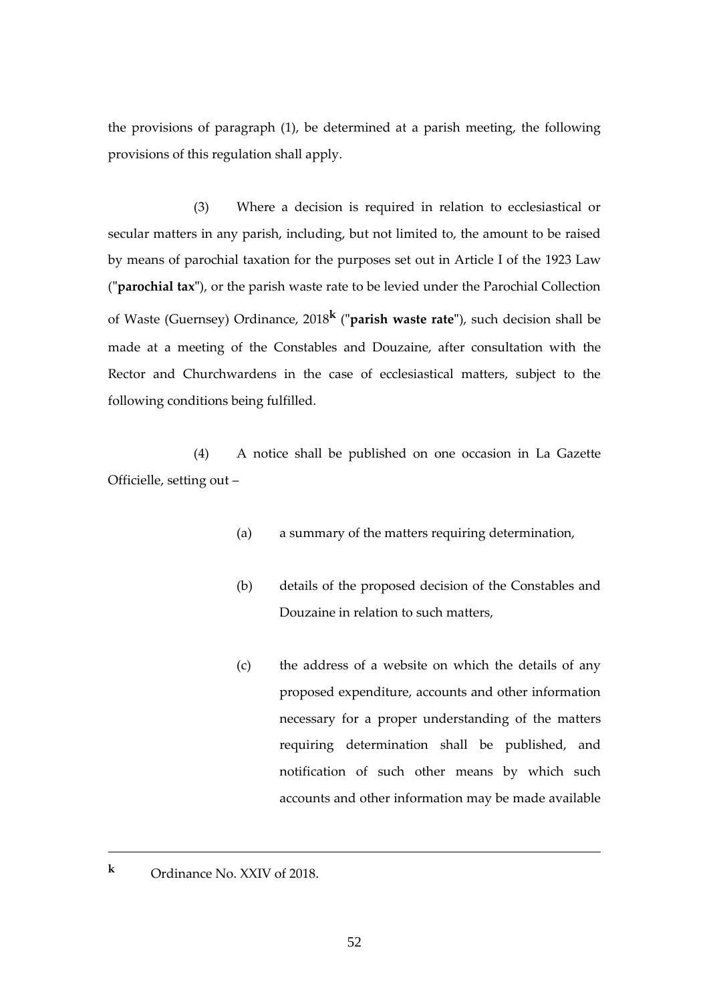the provisions of paragraph (1), be determined at a parish meeting, the following provisions of this regulation shall apply.

(3) Where a decision is required in relation to ecclesiastical or secular matters in any parish, including, but not limited to, the amount to be raised by means of parochial taxation for the purposes set out in Article I of the 1923 Law (**"parochial tax"**), or the parish waste rate to be levied under the Parochial Collection of Waste (Guernsey) Ordinance, 2018**<sup>k</sup>** (**"parish waste rate"**), such decision shall be made at a meeting of the Constables and Douzaine, after consultation with the Rector and Churchwardens in the case of ecclesiastical matters, subject to the following conditions being fulfilled.

(4) A notice shall be published on one occasion in La Gazette Officielle, setting out –

- (a) a summary of the matters requiring determination,
- (b) details of the proposed decision of the Constables and Douzaine in relation to such matters,
- (c) the address of a website on which the details of any proposed expenditure, accounts and other information necessary for a proper understanding of the matters requiring determination shall be published, and notification of such other means by which such accounts and other information may be made available
- **<sup>k</sup>** Ordinance No. XXIV of 2018.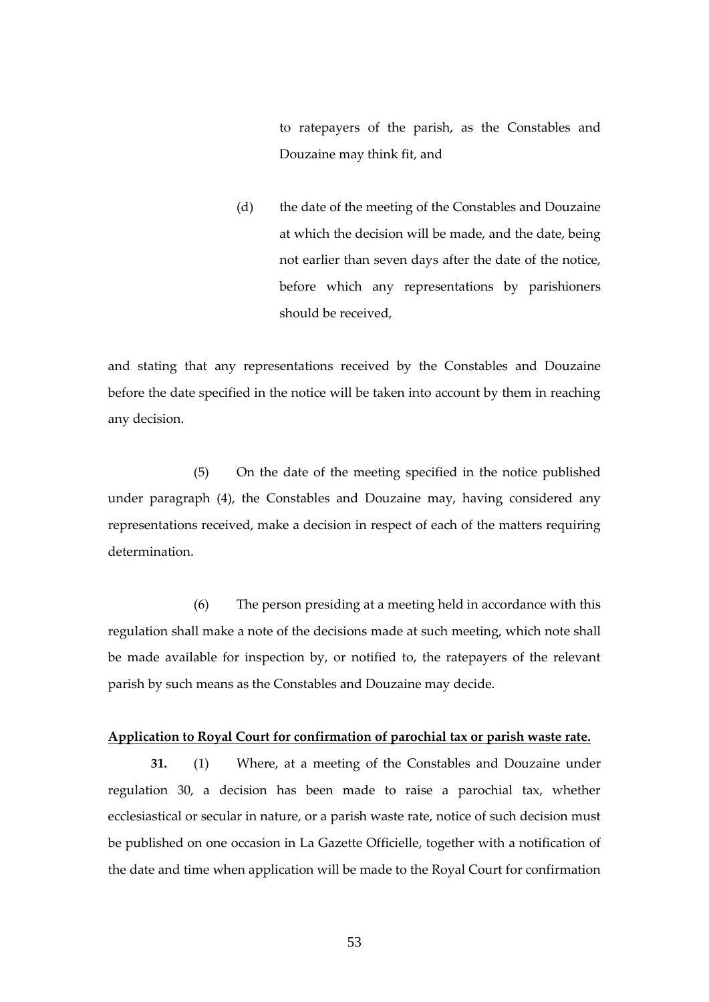to ratepayers of the parish, as the Constables and Douzaine may think fit, and

(d) the date of the meeting of the Constables and Douzaine at which the decision will be made, and the date, being not earlier than seven days after the date of the notice, before which any representations by parishioners should be received,

and stating that any representations received by the Constables and Douzaine before the date specified in the notice will be taken into account by them in reaching any decision.

(5) On the date of the meeting specified in the notice published under paragraph (4), the Constables and Douzaine may, having considered any representations received, make a decision in respect of each of the matters requiring determination.

(6) The person presiding at a meeting held in accordance with this regulation shall make a note of the decisions made at such meeting, which note shall be made available for inspection by, or notified to, the ratepayers of the relevant parish by such means as the Constables and Douzaine may decide.

## **Application to Royal Court for confirmation of parochial tax or parish waste rate.**

**31.** (1) Where, at a meeting of the Constables and Douzaine under regulation 30, a decision has been made to raise a parochial tax, whether ecclesiastical or secular in nature, or a parish waste rate, notice of such decision must be published on one occasion in La Gazette Officielle, together with a notification of the date and time when application will be made to the Royal Court for confirmation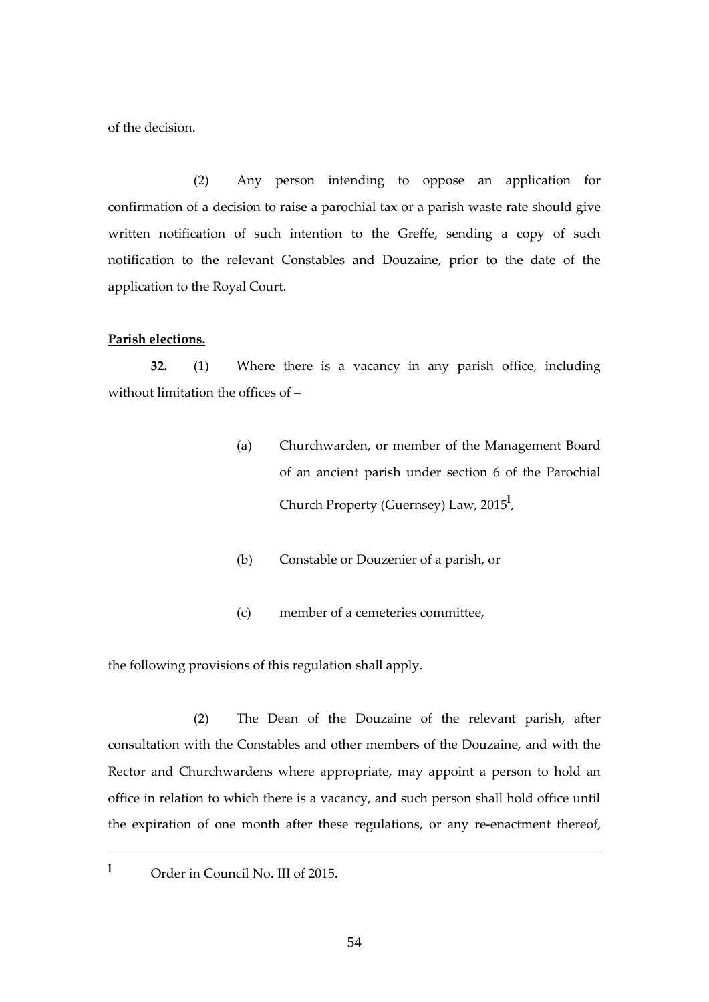of the decision.

(2) Any person intending to oppose an application for confirmation of a decision to raise a parochial tax or a parish waste rate should give written notification of such intention to the Greffe, sending a copy of such notification to the relevant Constables and Douzaine, prior to the date of the application to the Royal Court.

#### **Parish elections.**

**32.** (1) Where there is a vacancy in any parish office, including without limitation the offices of –

- (a) Churchwarden, or member of the Management Board of an ancient parish under section 6 of the Parochial Church Property (Guernsey) Law, 2015**<sup>l</sup>** ,
- (b) Constable or Douzenier of a parish, or
- (c) member of a cemeteries committee,

the following provisions of this regulation shall apply.

(2) The Dean of the Douzaine of the relevant parish, after consultation with the Constables and other members of the Douzaine, and with the Rector and Churchwardens where appropriate, may appoint a person to hold an office in relation to which there is a vacancy, and such person shall hold office until the expiration of one month after these regulations, or any re-enactment thereof,

**<sup>l</sup>** Order in Council No. III of 2015.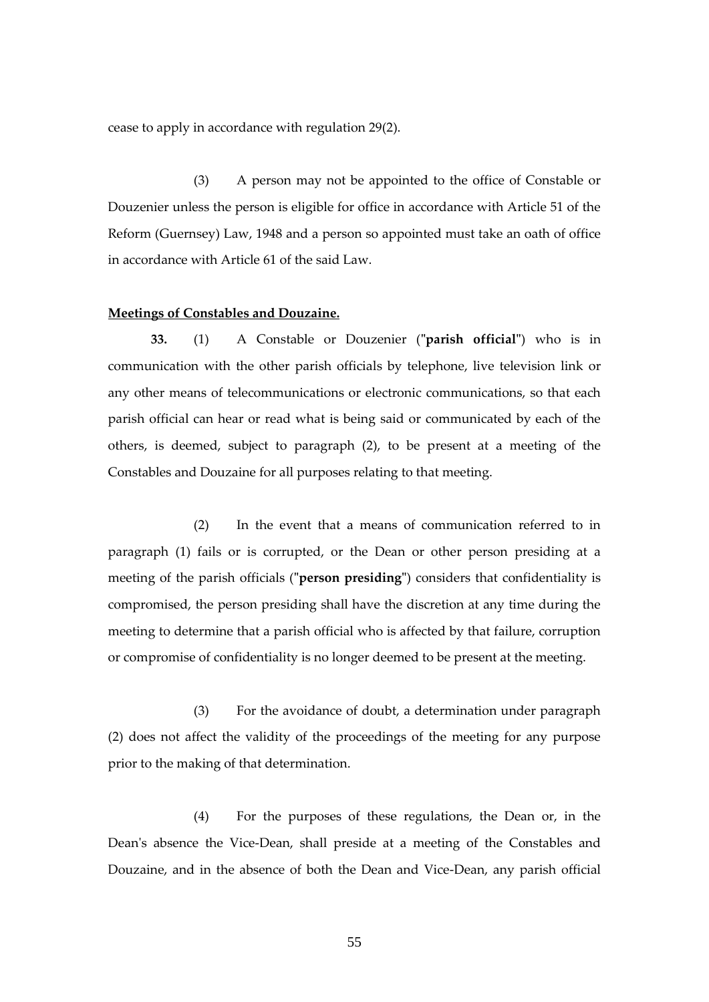cease to apply in accordance with regulation 29(2).

(3) A person may not be appointed to the office of Constable or Douzenier unless the person is eligible for office in accordance with Article 51 of the Reform (Guernsey) Law, 1948 and a person so appointed must take an oath of office in accordance with Article 61 of the said Law.

#### **Meetings of Constables and Douzaine.**

**33.** (1) A Constable or Douzenier (**"parish official"**) who is in communication with the other parish officials by telephone, live television link or any other means of telecommunications or electronic communications, so that each parish official can hear or read what is being said or communicated by each of the others, is deemed, subject to paragraph (2), to be present at a meeting of the Constables and Douzaine for all purposes relating to that meeting.

(2) In the event that a means of communication referred to in paragraph (1) fails or is corrupted, or the Dean or other person presiding at a meeting of the parish officials (**"person presiding"**) considers that confidentiality is compromised, the person presiding shall have the discretion at any time during the meeting to determine that a parish official who is affected by that failure, corruption or compromise of confidentiality is no longer deemed to be present at the meeting.

(3) For the avoidance of doubt, a determination under paragraph (2) does not affect the validity of the proceedings of the meeting for any purpose prior to the making of that determination.

(4) For the purposes of these regulations, the Dean or, in the Dean's absence the Vice-Dean, shall preside at a meeting of the Constables and Douzaine, and in the absence of both the Dean and Vice-Dean, any parish official

55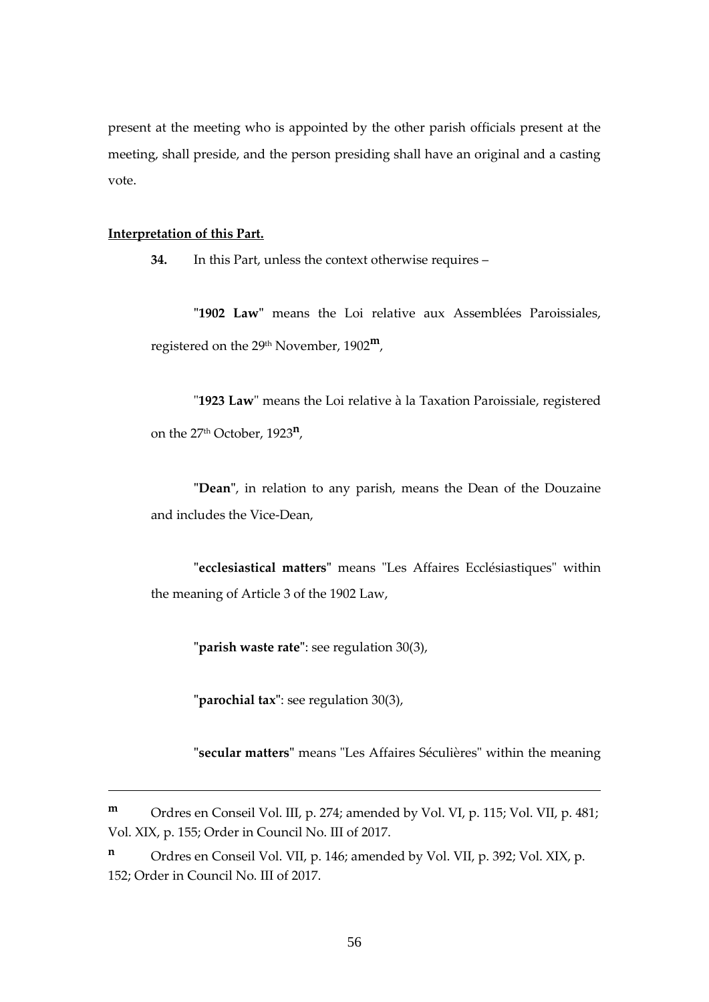present at the meeting who is appointed by the other parish officials present at the meeting, shall preside, and the person presiding shall have an original and a casting vote.

#### **Interpretation of this Part.**

**34.** In this Part, unless the context otherwise requires –

**"1902 Law"** means the Loi relative aux Assemblées Paroissiales, registered on the 29th November, 1902**m**,

"**1923 Law**" means the Loi relative à la Taxation Paroissiale, registered on the 27th October, 1923**<sup>n</sup>** ,

**"Dean"**, in relation to any parish, means the Dean of the Douzaine and includes the Vice-Dean,

**"ecclesiastical matters"** means "Les Affaires Ecclésiastiques" within the meaning of Article 3 of the 1902 Law,

**"parish waste rate"**: see regulation 30(3),

**"parochial tax"**: see regulation 30(3),

**"secular matters"** means "Les Affaires Séculières" within the meaning

**<sup>m</sup>** Ordres en Conseil Vol. III, p. 274; amended by Vol. VI, p. 115; Vol. VII, p. 481; Vol. XIX, p. 155; Order in Council No. III of 2017.

**<sup>n</sup>** Ordres en Conseil Vol. VII, p. 146; amended by Vol. VII, p. 392; Vol. XIX, p. 152; Order in Council No. III of 2017.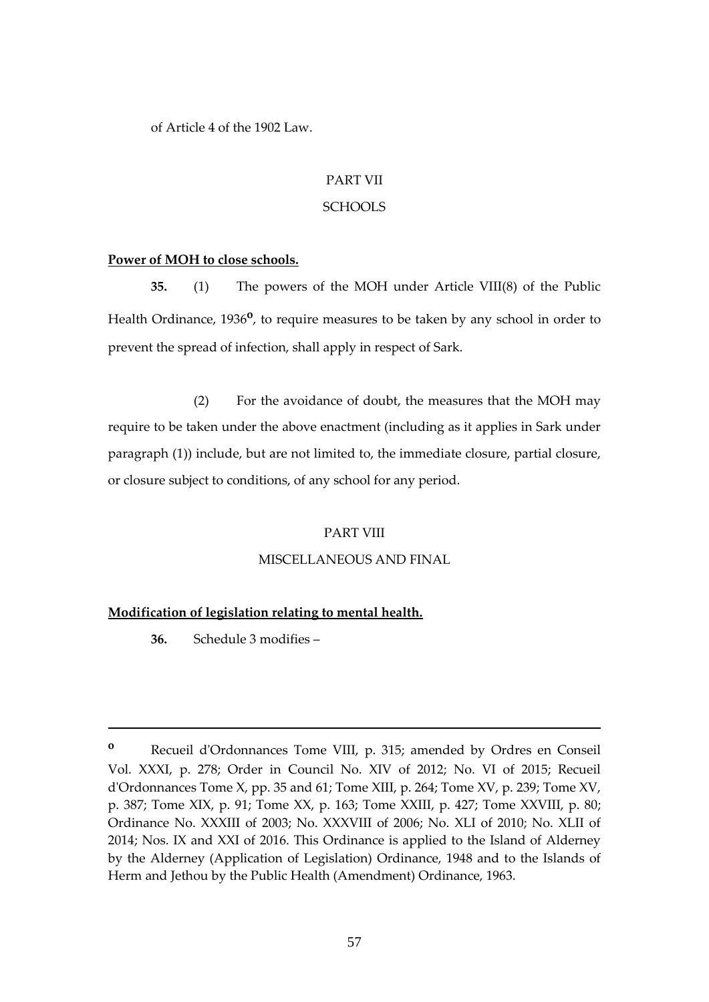of Article 4 of the 1902 Law.

## PART VII

## **SCHOOLS**

## **Power of MOH to close schools.**

**35.** (1) The powers of the MOH under Article VIII(8) of the Public Health Ordinance, 1936<sup>o</sup>, to require measures to be taken by any school in order to prevent the spread of infection, shall apply in respect of Sark.

(2) For the avoidance of doubt, the measures that the MOH may require to be taken under the above enactment (including as it applies in Sark under paragraph (1)) include, but are not limited to, the immediate closure, partial closure, or closure subject to conditions, of any school for any period.

## PART VIII

# MISCELLANEOUS AND FINAL

# **Modification of legislation relating to mental health.**

**36.** Schedule 3 modifies –

**<sup>o</sup>** Recueil d'Ordonnances Tome VIII, p. 315; amended by Ordres en Conseil Vol. XXXI, p. 278; Order in Council No. XIV of 2012; No. VI of 2015; Recueil d'Ordonnances Tome X, pp. 35 and 61; Tome XIII, p. 264; Tome XV, p. 239; Tome XV, p. 387; Tome XIX, p. 91; Tome XX, p. 163; Tome XXIII, p. 427; Tome XXVIII, p. 80; Ordinance No. XXXIII of 2003; No. XXXVIII of 2006; No. XLI of 2010; No. XLII of 2014; Nos. IX and XXI of 2016. This Ordinance is applied to the Island of Alderney by the Alderney (Application of Legislation) Ordinance, 1948 and to the Islands of Herm and Jethou by the Public Health (Amendment) Ordinance, 1963.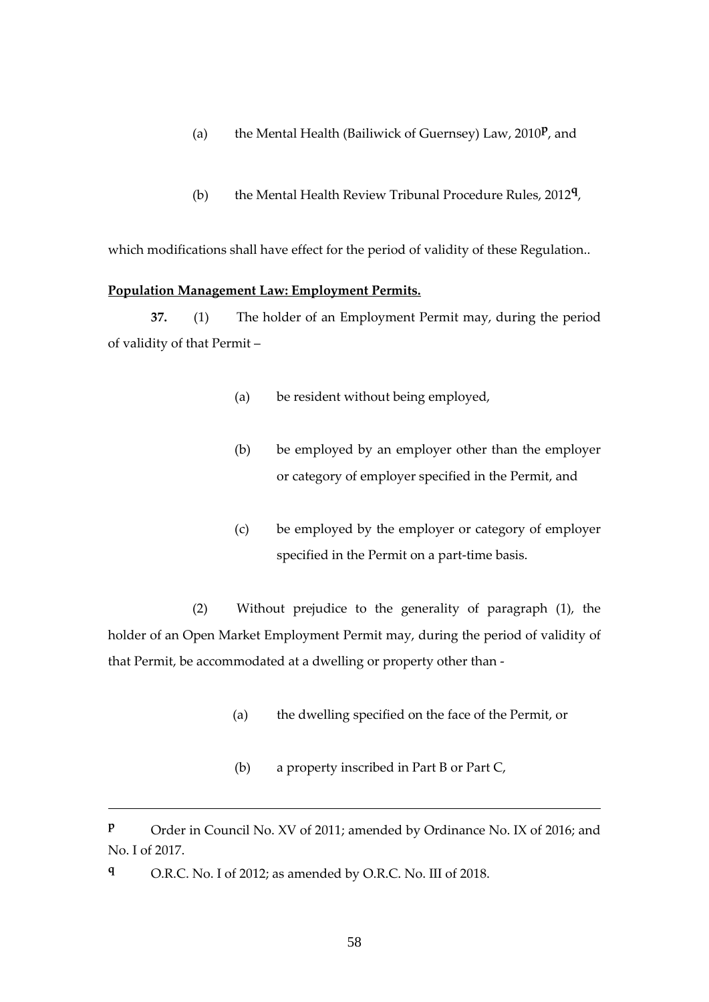- (a) the Mental Health (Bailiwick of Guernsey) Law, 2010**<sup>p</sup>** , and
- (b) the Mental Health Review Tribunal Procedure Rules, 2012**<sup>q</sup>** ,

which modifications shall have effect for the period of validity of these Regulation..

#### **Population Management Law: Employment Permits.**

**37.** (1) The holder of an Employment Permit may, during the period of validity of that Permit –

- (a) be resident without being employed,
- (b) be employed by an employer other than the employer or category of employer specified in the Permit, and
- (c) be employed by the employer or category of employer specified in the Permit on a part-time basis.

(2) Without prejudice to the generality of paragraph (1), the holder of an Open Market Employment Permit may, during the period of validity of that Permit, be accommodated at a dwelling or property other than -

- (a) the dwelling specified on the face of the Permit, or
- (b) a property inscribed in Part B or Part C,

**P** Order in Council No. XV of 2011; amended by Ordinance No. IX of 2016; and No. I of 2017.

**<sup>q</sup>** O.R.C. No. I of 2012; as amended by O.R.C. No. III of 2018.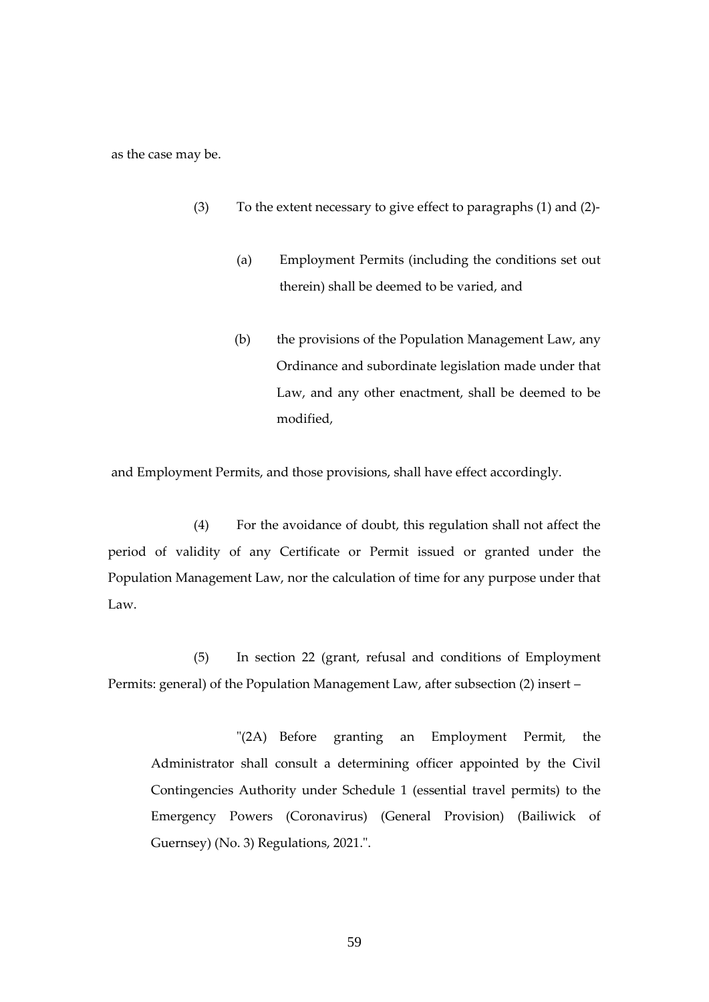as the case may be.

- (3) To the extent necessary to give effect to paragraphs (1) and (2)-
	- (a) Employment Permits (including the conditions set out therein) shall be deemed to be varied, and
	- (b) the provisions of the Population Management Law, any Ordinance and subordinate legislation made under that Law, and any other enactment, shall be deemed to be modified,

and Employment Permits, and those provisions, shall have effect accordingly.

(4) For the avoidance of doubt, this regulation shall not affect the period of validity of any Certificate or Permit issued or granted under the Population Management Law, nor the calculation of time for any purpose under that Law.

(5) In section 22 (grant, refusal and conditions of Employment Permits: general) of the Population Management Law, after subsection (2) insert –

"(2A) Before granting an Employment Permit, the Administrator shall consult a determining officer appointed by the Civil Contingencies Authority under Schedule 1 (essential travel permits) to the Emergency Powers (Coronavirus) (General Provision) (Bailiwick of Guernsey) (No. 3) Regulations, 2021.".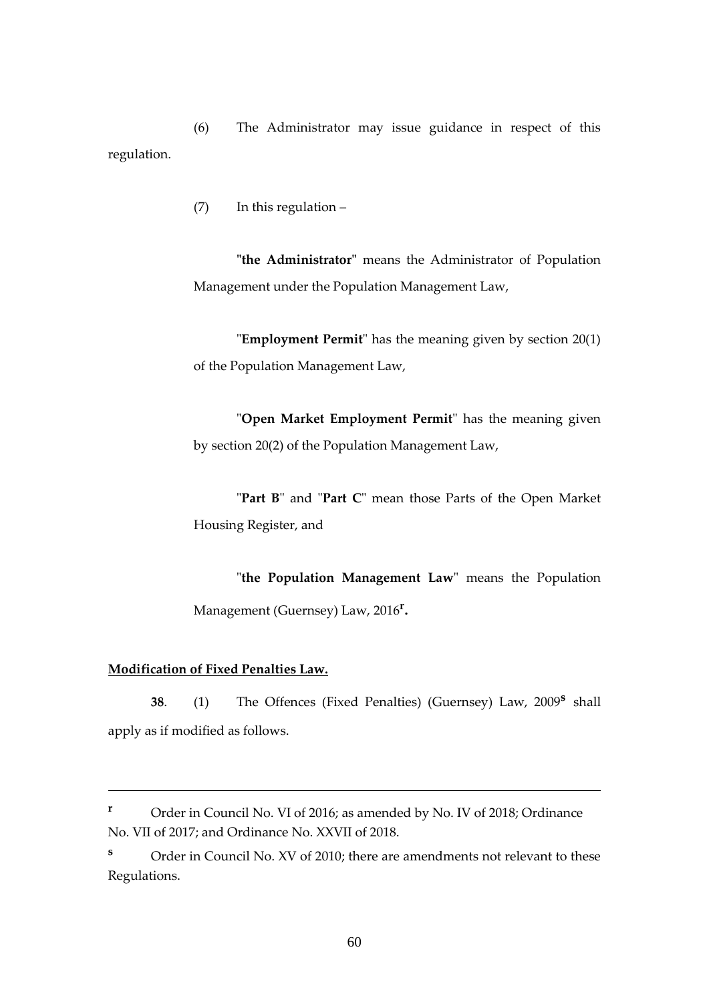(6) The Administrator may issue guidance in respect of this regulation.

(7) In this regulation –

**"the Administrator"** means the Administrator of Population Management under the Population Management Law,

"**Employment Permit**" has the meaning given by section 20(1) of the Population Management Law,

"**Open Market Employment Permit**" has the meaning given by section 20(2) of the Population Management Law,

"**Part B**" and "**Part C**" mean those Parts of the Open Market Housing Register, and

"**the Population Management Law**" means the Population Management (Guernsey) Law, 2016**<sup>r</sup>** .

## **Modification of Fixed Penalties Law.**

**38**. (1) The Offences (Fixed Penalties) (Guernsey) Law, 2009**<sup>s</sup>** shall apply as if modified as follows.

**<sup>r</sup>** Order in Council No. VI of 2016; as amended by No. IV of 2018; Ordinance No. VII of 2017; and Ordinance No. XXVII of 2018.

**<sup>s</sup>** Order in Council No. XV of 2010; there are amendments not relevant to these Regulations.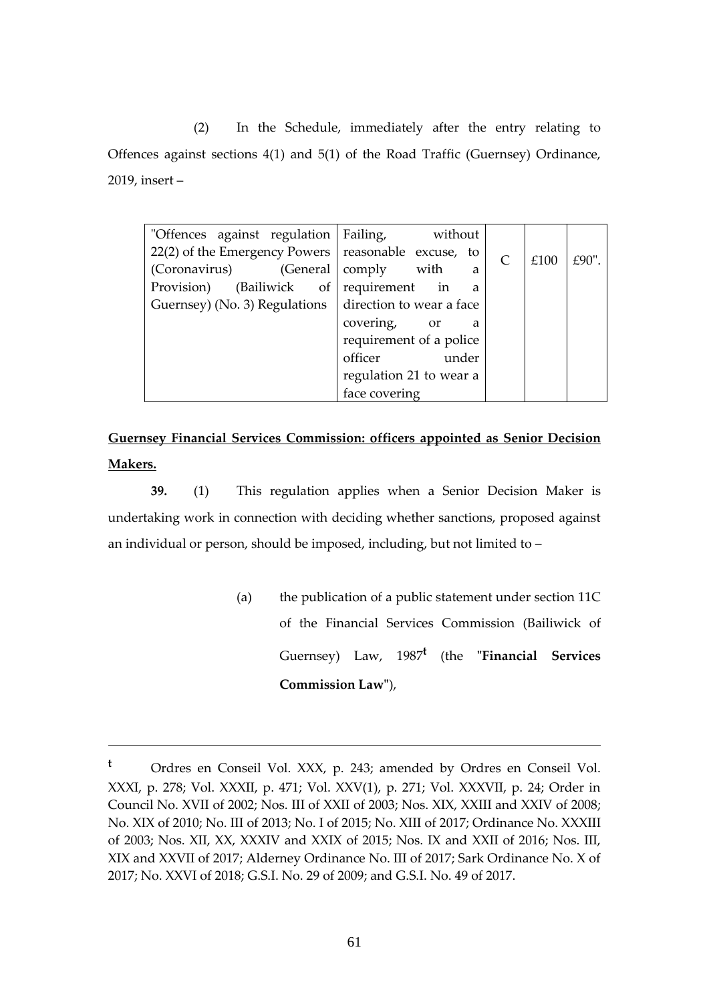(2) In the Schedule, immediately after the entry relating to Offences against sections 4(1) and 5(1) of the Road Traffic (Guernsey) Ordinance, 2019, insert –

| "Offences against regulation Failing,                   | without                         |           |      |           |
|---------------------------------------------------------|---------------------------------|-----------|------|-----------|
| $22(2)$ of the Emergency Powers   reasonable excuse, to |                                 | $\subset$ | £100 | £ $90"$ . |
| (Coronavirus)<br>(General                               | comply<br>with<br>a             |           |      |           |
| Provision)<br>(Bailiwick of requirement                 | in<br>a                         |           |      |           |
| Guernsey) (No. 3) Regulations                           | direction to wear a face        |           |      |           |
|                                                         | covering,<br><sub>or</sub><br>a |           |      |           |
|                                                         | requirement of a police         |           |      |           |
|                                                         | officer<br>under                |           |      |           |
|                                                         | regulation 21 to wear a         |           |      |           |
|                                                         | face covering                   |           |      |           |

**Guernsey Financial Services Commission: officers appointed as Senior Decision Makers.**

**39.** (1) This regulation applies when a Senior Decision Maker is undertaking work in connection with deciding whether sanctions, proposed against an individual or person, should be imposed, including, but not limited to –

> (a) the publication of a public statement under section 11C of the Financial Services Commission (Bailiwick of Guernsey) Law, 1987**<sup>t</sup>** (the **"Financial Services Commission Law"**),

**<sup>t</sup>** Ordres en Conseil Vol. XXX, p. 243; amended by Ordres en Conseil Vol. XXXI, p. 278; Vol. XXXII, p. 471; Vol. XXV(1), p. 271; Vol. XXXVII, p. 24; Order in Council No. XVII of 2002; Nos. III of XXII of 2003; Nos. XIX, XXIII and XXIV of 2008; No. XIX of 2010; No. III of 2013; No. I of 2015; No. XIII of 2017; Ordinance No. XXXIII of 2003; Nos. XII, XX, XXXIV and XXIX of 2015; Nos. IX and XXII of 2016; Nos. III, XIX and XXVII of 2017; Alderney Ordinance No. III of 2017; Sark Ordinance No. X of 2017; No. XXVI of 2018; G.S.I. No. 29 of 2009; and G.S.I. No. 49 of 2017.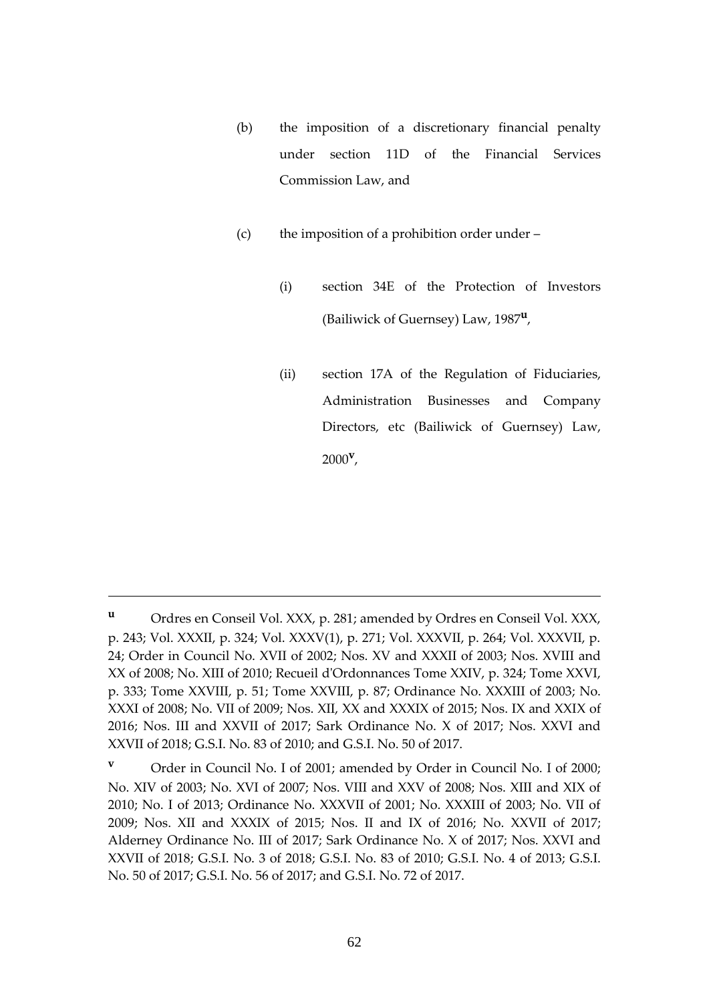- (b) the imposition of a discretionary financial penalty under section 11D of the Financial Services Commission Law, and
- (c) the imposition of a prohibition order under
	- (i) section 34E of the Protection of Investors (Bailiwick of Guernsey) Law, 1987**<sup>u</sup>** ,
	- (ii) section 17A of the Regulation of Fiduciaries, Administration Businesses and Company Directors, etc (Bailiwick of Guernsey) Law, 2000**<sup>v</sup>** ,

**<sup>u</sup>** Ordres en Conseil Vol. XXX, p. 281; amended by Ordres en Conseil Vol. XXX, p. 243; Vol. XXXII, p. 324; Vol. XXXV(1), p. 271; Vol. XXXVII, p. 264; Vol. XXXVII, p. 24; Order in Council No. XVII of 2002; Nos. XV and XXXII of 2003; Nos. XVIII and XX of 2008; No. XIII of 2010; Recueil d'Ordonnances Tome XXIV, p. 324; Tome XXVI, p. 333; Tome XXVIII, p. 51; Tome XXVIII, p. 87; Ordinance No. XXXIII of 2003; No. XXXI of 2008; No. VII of 2009; Nos. XII, XX and XXXIX of 2015; Nos. IX and XXIX of 2016; Nos. III and XXVII of 2017; Sark Ordinance No. X of 2017; Nos. XXVI and XXVII of 2018; G.S.I. No. 83 of 2010; and G.S.I. No. 50 of 2017.

**<sup>v</sup>** Order in Council No. I of 2001; amended by Order in Council No. I of 2000; No. XIV of 2003; No. XVI of 2007; Nos. VIII and XXV of 2008; Nos. XIII and XIX of 2010; No. I of 2013; Ordinance No. XXXVII of 2001; No. XXXIII of 2003; No. VII of 2009; Nos. XII and XXXIX of 2015; Nos. II and IX of 2016; No. XXVII of 2017; Alderney Ordinance No. III of 2017; Sark Ordinance No. X of 2017; Nos. XXVI and XXVII of 2018; G.S.I. No. 3 of 2018; G.S.I. No. 83 of 2010; G.S.I. No. 4 of 2013; G.S.I. No. 50 of 2017; G.S.I. No. 56 of 2017; and G.S.I. No. 72 of 2017.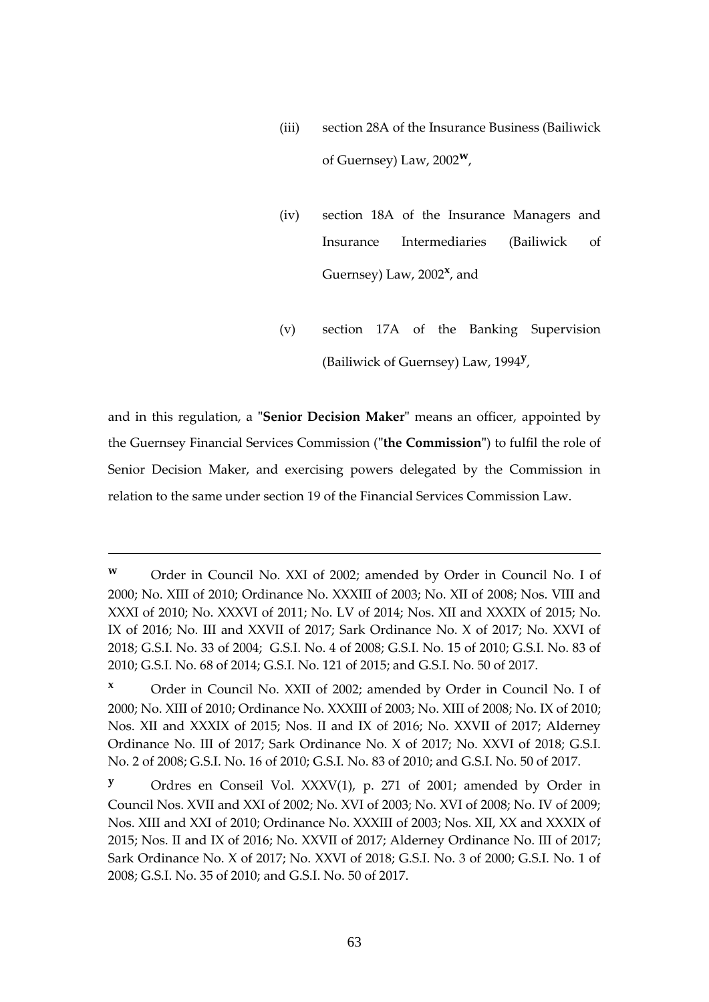- (iii) section 28A of the Insurance Business (Bailiwick of Guernsey) Law, 2002**w**,
- (iv) section 18A of the Insurance Managers and Insurance Intermediaries (Bailiwick of Guernsey) Law, 2002<sup>x</sup>, and
- (v) section 17A of the Banking Supervision (Bailiwick of Guernsey) Law, 1994**<sup>y</sup>** ,

and in this regulation, a **"Senior Decision Maker"** means an officer, appointed by the Guernsey Financial Services Commission (**"the Commission"**) to fulfil the role of Senior Decision Maker, and exercising powers delegated by the Commission in relation to the same under section 19 of the Financial Services Commission Law.

**<sup>w</sup>** Order in Council No. XXI of 2002; amended by Order in Council No. I of 2000; No. XIII of 2010; Ordinance No. XXXIII of 2003; No. XII of 2008; Nos. VIII and XXXI of 2010; No. XXXVI of 2011; No. LV of 2014; Nos. XII and XXXIX of 2015; No. IX of 2016; No. III and XXVII of 2017; Sark Ordinance No. X of 2017; No. XXVI of 2018; G.S.I. No. 33 of 2004; G.S.I. No. 4 of 2008; G.S.I. No. 15 of 2010; G.S.I. No. 83 of 2010; G.S.I. No. 68 of 2014; G.S.I. No. 121 of 2015; and G.S.I. No. 50 of 2017.

**<sup>x</sup>** Order in Council No. XXII of 2002; amended by Order in Council No. I of 2000; No. XIII of 2010; Ordinance No. XXXIII of 2003; No. XIII of 2008; No. IX of 2010; Nos. XII and XXXIX of 2015; Nos. II and IX of 2016; No. XXVII of 2017; Alderney Ordinance No. III of 2017; Sark Ordinance No. X of 2017; No. XXVI of 2018; G.S.I. No. 2 of 2008; G.S.I. No. 16 of 2010; G.S.I. No. 83 of 2010; and G.S.I. No. 50 of 2017.

**<sup>y</sup>** Ordres en Conseil Vol. XXXV(1), p. 271 of 2001; amended by Order in Council Nos. XVII and XXI of 2002; No. XVI of 2003; No. XVI of 2008; No. IV of 2009; Nos. XIII and XXI of 2010; Ordinance No. XXXIII of 2003; Nos. XII, XX and XXXIX of 2015; Nos. II and IX of 2016; No. XXVII of 2017; Alderney Ordinance No. III of 2017; Sark Ordinance No. X of 2017; No. XXVI of 2018; G.S.I. No. 3 of 2000; G.S.I. No. 1 of 2008; G.S.I. No. 35 of 2010; and G.S.I. No. 50 of 2017.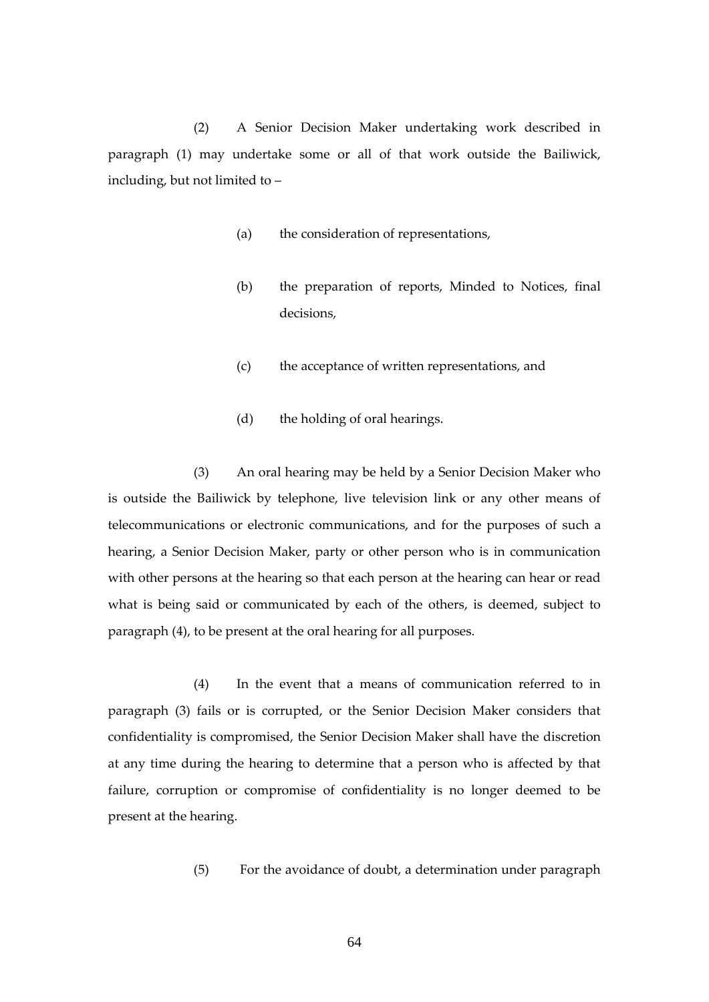(2) A Senior Decision Maker undertaking work described in paragraph (1) may undertake some or all of that work outside the Bailiwick, including, but not limited to –

- (a) the consideration of representations,
- (b) the preparation of reports, Minded to Notices, final decisions,
- (c) the acceptance of written representations, and
- (d) the holding of oral hearings.

(3) An oral hearing may be held by a Senior Decision Maker who is outside the Bailiwick by telephone, live television link or any other means of telecommunications or electronic communications, and for the purposes of such a hearing, a Senior Decision Maker, party or other person who is in communication with other persons at the hearing so that each person at the hearing can hear or read what is being said or communicated by each of the others, is deemed, subject to paragraph (4), to be present at the oral hearing for all purposes.

(4) In the event that a means of communication referred to in paragraph (3) fails or is corrupted, or the Senior Decision Maker considers that confidentiality is compromised, the Senior Decision Maker shall have the discretion at any time during the hearing to determine that a person who is affected by that failure, corruption or compromise of confidentiality is no longer deemed to be present at the hearing.

(5) For the avoidance of doubt, a determination under paragraph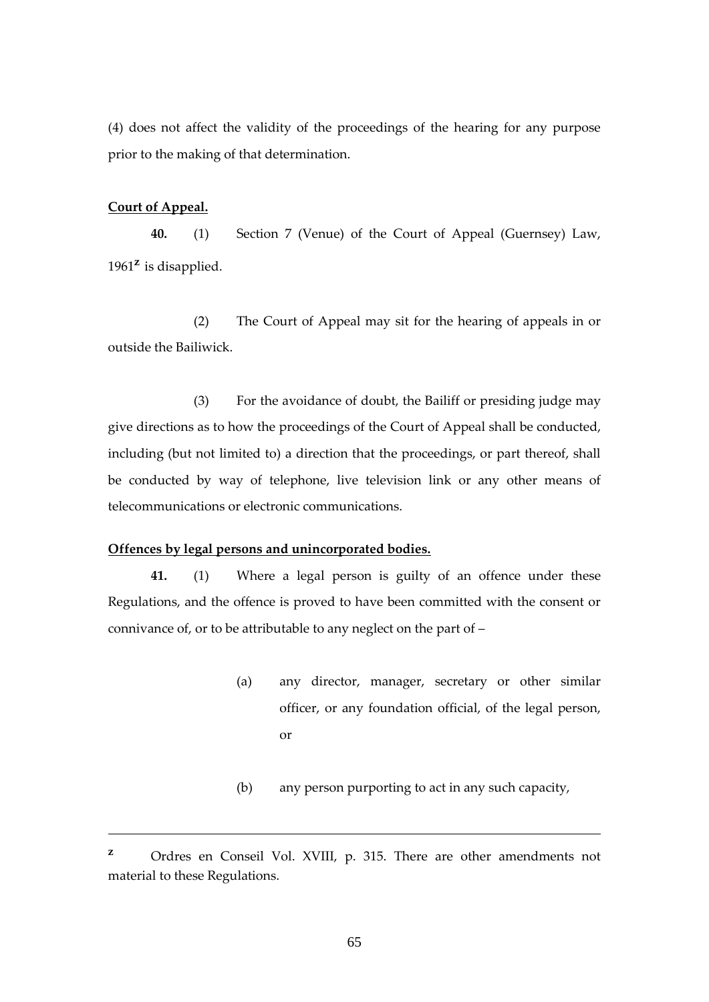(4) does not affect the validity of the proceedings of the hearing for any purpose prior to the making of that determination.

## **Court of Appeal.**

**40.** (1) Section 7 (Venue) of the Court of Appeal (Guernsey) Law, 1961**<sup>z</sup>** is disapplied.

(2) The Court of Appeal may sit for the hearing of appeals in or outside the Bailiwick.

(3) For the avoidance of doubt, the Bailiff or presiding judge may give directions as to how the proceedings of the Court of Appeal shall be conducted, including (but not limited to) a direction that the proceedings, or part thereof, shall be conducted by way of telephone, live television link or any other means of telecommunications or electronic communications.

## **Offences by legal persons and unincorporated bodies.**

**41.** (1) Where a legal person is guilty of an offence under these Regulations, and the offence is proved to have been committed with the consent or connivance of, or to be attributable to any neglect on the part of –

- (a) any director, manager, secretary or other similar officer, or any foundation official, of the legal person, or
- (b) any person purporting to act in any such capacity,

**<sup>z</sup>** Ordres en Conseil Vol. XVIII, p. 315. There are other amendments not material to these Regulations.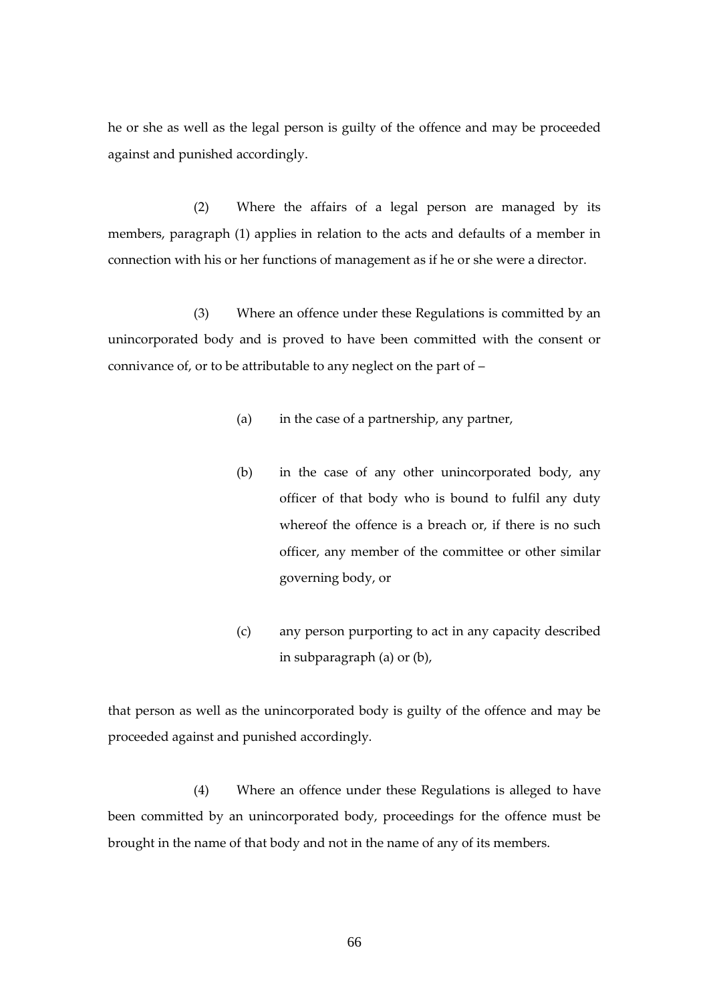he or she as well as the legal person is guilty of the offence and may be proceeded against and punished accordingly.

(2) Where the affairs of a legal person are managed by its members, paragraph (1) applies in relation to the acts and defaults of a member in connection with his or her functions of management as if he or she were a director.

(3) Where an offence under these Regulations is committed by an unincorporated body and is proved to have been committed with the consent or connivance of, or to be attributable to any neglect on the part of –

- (a) in the case of a partnership, any partner,
- (b) in the case of any other unincorporated body, any officer of that body who is bound to fulfil any duty whereof the offence is a breach or, if there is no such officer, any member of the committee or other similar governing body, or
- (c) any person purporting to act in any capacity described in subparagraph (a) or (b),

that person as well as the unincorporated body is guilty of the offence and may be proceeded against and punished accordingly.

(4) Where an offence under these Regulations is alleged to have been committed by an unincorporated body, proceedings for the offence must be brought in the name of that body and not in the name of any of its members.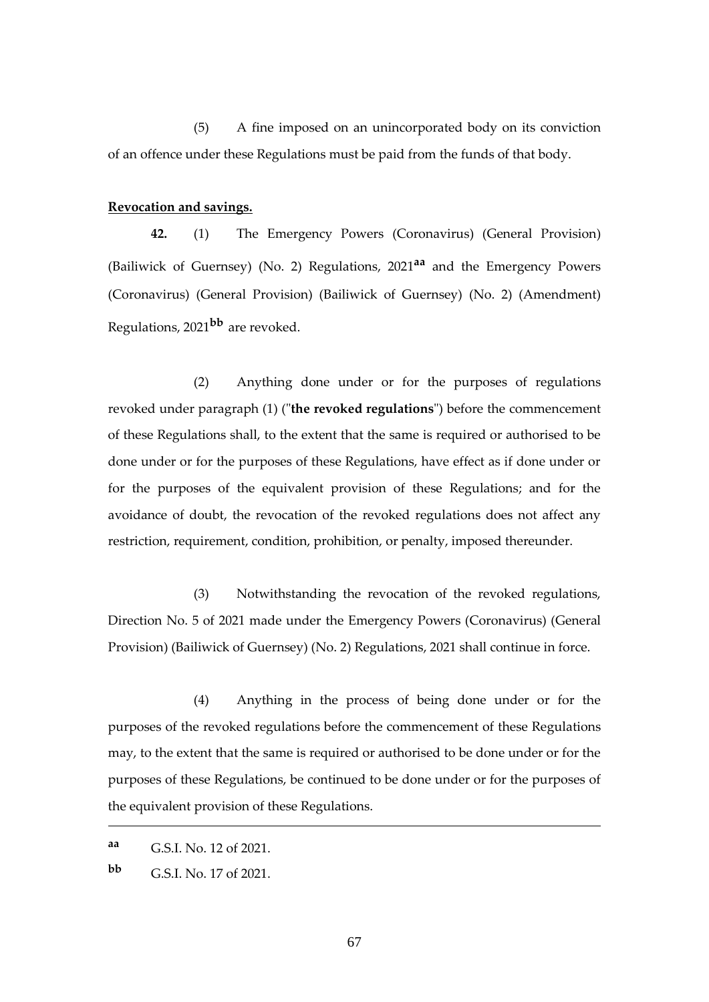(5) A fine imposed on an unincorporated body on its conviction of an offence under these Regulations must be paid from the funds of that body.

## **Revocation and savings.**

**42.** (1) The Emergency Powers (Coronavirus) (General Provision) (Bailiwick of Guernsey) (No. 2) Regulations, 2021**aa** and the Emergency Powers (Coronavirus) (General Provision) (Bailiwick of Guernsey) (No. 2) (Amendment) Regulations, 2021**bb** are revoked.

(2) Anything done under or for the purposes of regulations revoked under paragraph (1) ("**the revoked regulations**") before the commencement of these Regulations shall, to the extent that the same is required or authorised to be done under or for the purposes of these Regulations, have effect as if done under or for the purposes of the equivalent provision of these Regulations; and for the avoidance of doubt, the revocation of the revoked regulations does not affect any restriction, requirement, condition, prohibition, or penalty, imposed thereunder.

(3) Notwithstanding the revocation of the revoked regulations, Direction No. 5 of 2021 made under the Emergency Powers (Coronavirus) (General Provision) (Bailiwick of Guernsey) (No. 2) Regulations, 2021 shall continue in force.

(4) Anything in the process of being done under or for the purposes of the revoked regulations before the commencement of these Regulations may, to the extent that the same is required or authorised to be done under or for the purposes of these Regulations, be continued to be done under or for the purposes of the equivalent provision of these Regulations.

**aa** G.S.I. No. 12 of 2021.

**bb** G.S.I. No. 17 of 2021.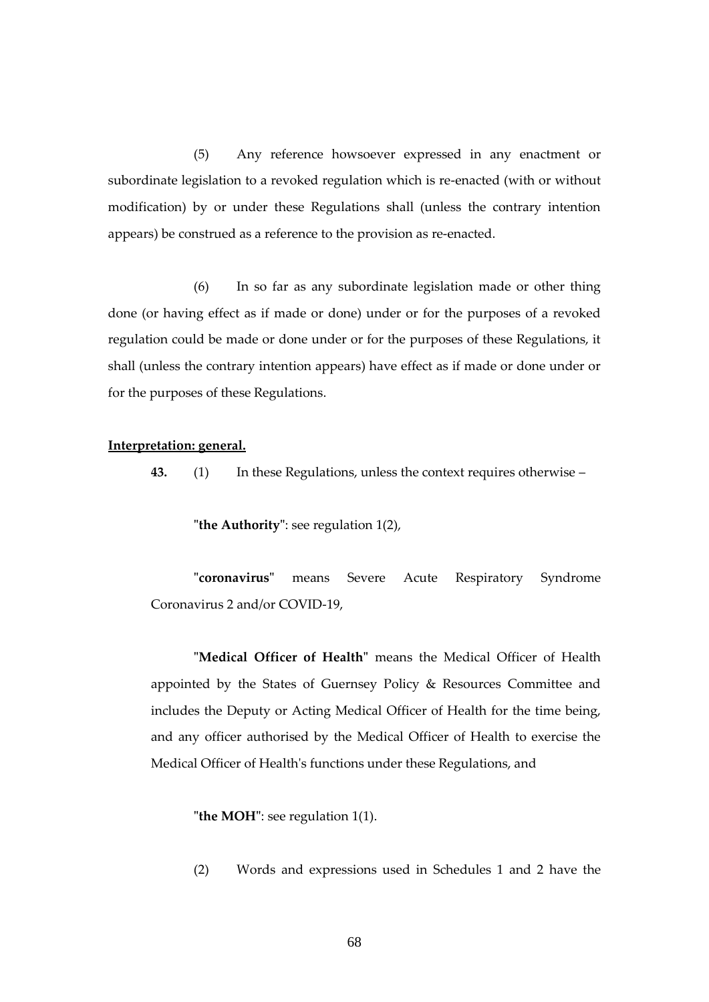(5) Any reference howsoever expressed in any enactment or subordinate legislation to a revoked regulation which is re-enacted (with or without modification) by or under these Regulations shall (unless the contrary intention appears) be construed as a reference to the provision as re-enacted.

(6) In so far as any subordinate legislation made or other thing done (or having effect as if made or done) under or for the purposes of a revoked regulation could be made or done under or for the purposes of these Regulations, it shall (unless the contrary intention appears) have effect as if made or done under or for the purposes of these Regulations.

#### **Interpretation: general.**

**43.** (1) In these Regulations, unless the context requires otherwise –

**"the Authority"**: see regulation 1(2),

**"coronavirus"** means Severe Acute Respiratory Syndrome Coronavirus 2 and/or COVID-19,

**"Medical Officer of Health"** means the Medical Officer of Health appointed by the States of Guernsey Policy & Resources Committee and includes the Deputy or Acting Medical Officer of Health for the time being, and any officer authorised by the Medical Officer of Health to exercise the Medical Officer of Health's functions under these Regulations, and

**"the MOH"**: see regulation 1(1).

(2) Words and expressions used in Schedules 1 and 2 have the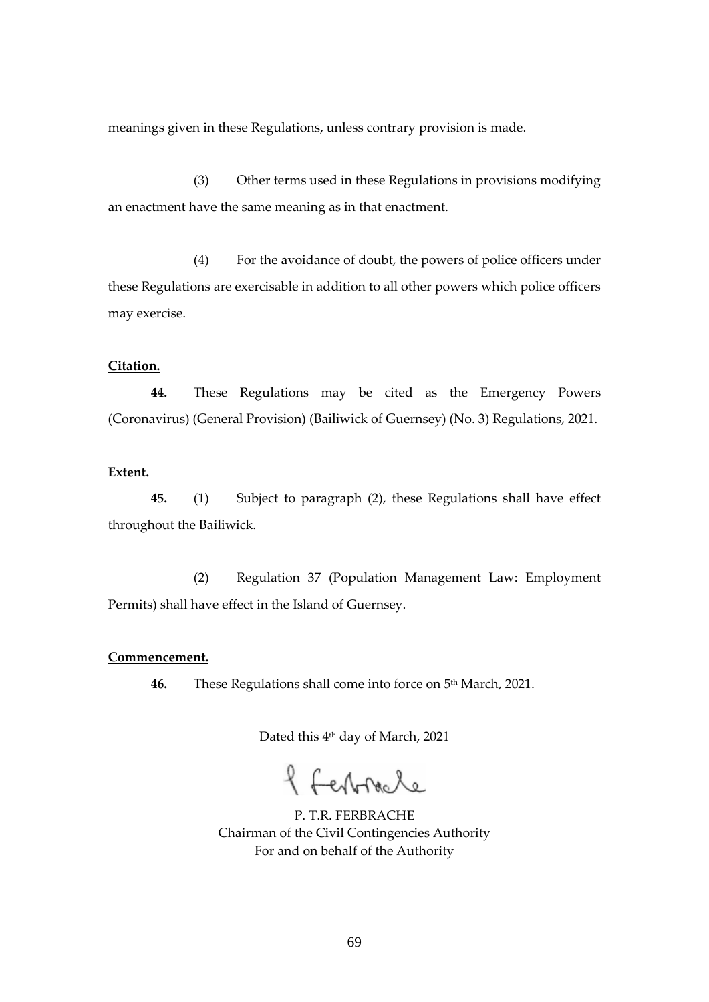meanings given in these Regulations, unless contrary provision is made.

(3) Other terms used in these Regulations in provisions modifying an enactment have the same meaning as in that enactment.

(4) For the avoidance of doubt, the powers of police officers under these Regulations are exercisable in addition to all other powers which police officers may exercise.

#### **Citation.**

**44.** These Regulations may be cited as the Emergency Powers (Coronavirus) (General Provision) (Bailiwick of Guernsey) (No. 3) Regulations, 2021.

#### **Extent.**

**45.** (1) Subject to paragraph (2), these Regulations shall have effect throughout the Bailiwick.

(2) Regulation 37 (Population Management Law: Employment Permits) shall have effect in the Island of Guernsey.

#### **Commencement.**

**46.** These Regulations shall come into force on 5<sup>th</sup> March, 2021.

Dated this 4th day of March, 2021

f ferbracle

P. T.R. FERBRACHE Chairman of the Civil Contingencies Authority For and on behalf of the Authority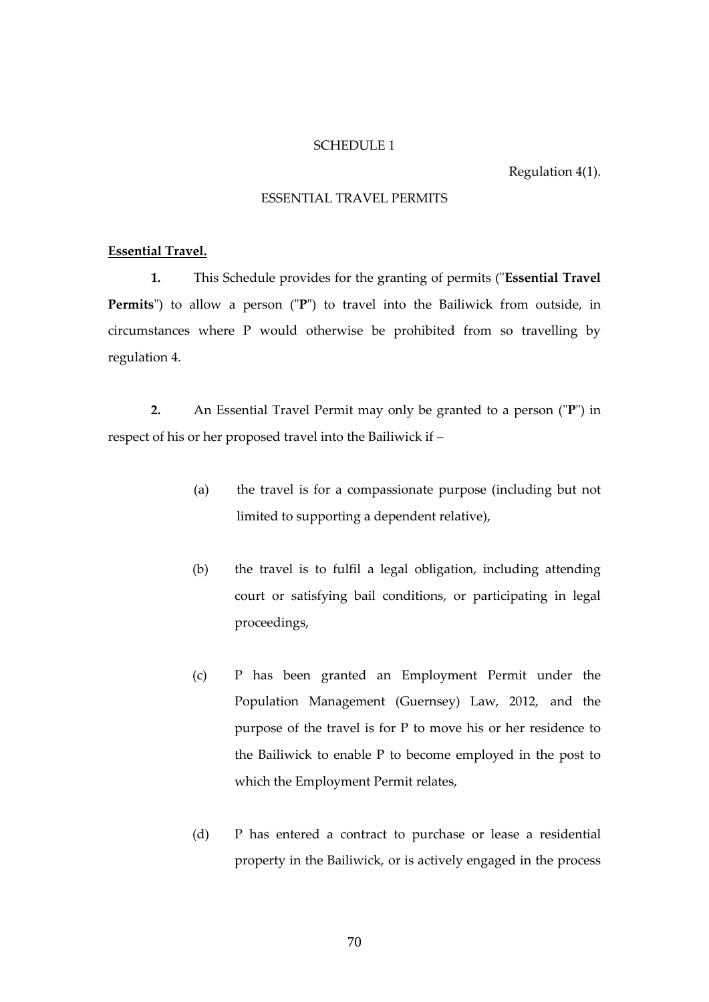#### SCHEDULE 1

Regulation 4(1).

## ESSENTIAL TRAVEL PERMITS

#### **Essential Travel.**

**1.** This Schedule provides for the granting of permits ("**Essential Travel Permits**") to allow a person ("**P**") to travel into the Bailiwick from outside, in circumstances where P would otherwise be prohibited from so travelling by regulation 4.

**2.** An Essential Travel Permit may only be granted to a person ("**P**") in respect of his or her proposed travel into the Bailiwick if –

- (a) the travel is for a compassionate purpose (including but not limited to supporting a dependent relative),
- (b) the travel is to fulfil a legal obligation, including attending court or satisfying bail conditions, or participating in legal proceedings,
- (c) P has been granted an Employment Permit under the Population Management (Guernsey) Law, 2012, and the purpose of the travel is for P to move his or her residence to the Bailiwick to enable P to become employed in the post to which the Employment Permit relates,
- (d) P has entered a contract to purchase or lease a residential property in the Bailiwick, or is actively engaged in the process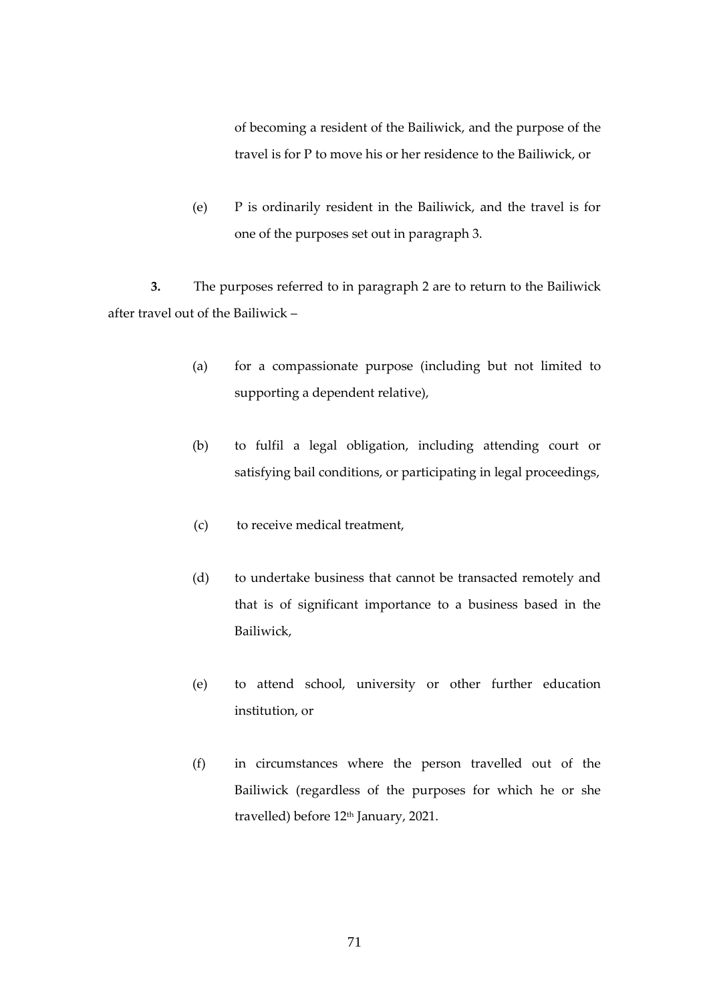of becoming a resident of the Bailiwick, and the purpose of the travel is for P to move his or her residence to the Bailiwick, or

(e) P is ordinarily resident in the Bailiwick, and the travel is for one of the purposes set out in paragraph 3.

**3.** The purposes referred to in paragraph 2 are to return to the Bailiwick after travel out of the Bailiwick –

- (a) for a compassionate purpose (including but not limited to supporting a dependent relative),
- (b) to fulfil a legal obligation, including attending court or satisfying bail conditions, or participating in legal proceedings,
- (c) to receive medical treatment,
- (d) to undertake business that cannot be transacted remotely and that is of significant importance to a business based in the Bailiwick,
- (e) to attend school, university or other further education institution, or
- (f) in circumstances where the person travelled out of the Bailiwick (regardless of the purposes for which he or she travelled) before 12<sup>th</sup> January, 2021.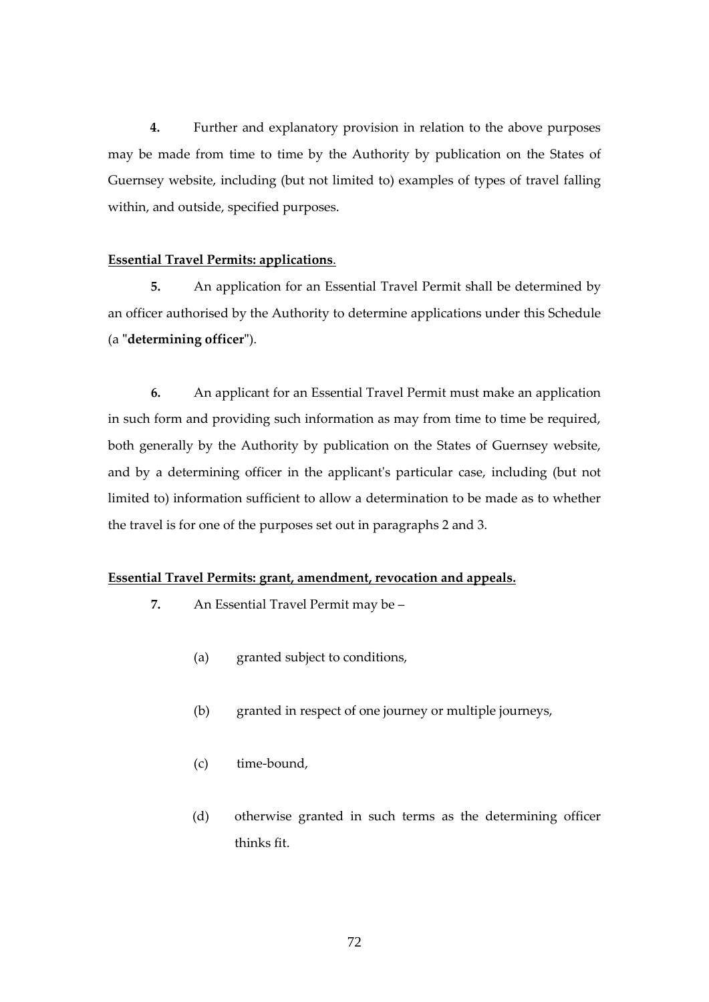**4.** Further and explanatory provision in relation to the above purposes may be made from time to time by the Authority by publication on the States of Guernsey website, including (but not limited to) examples of types of travel falling within, and outside, specified purposes.

## **Essential Travel Permits: applications**.

**5.** An application for an Essential Travel Permit shall be determined by an officer authorised by the Authority to determine applications under this Schedule (a **"determining officer"**).

**6.** An applicant for an Essential Travel Permit must make an application in such form and providing such information as may from time to time be required, both generally by the Authority by publication on the States of Guernsey website, and by a determining officer in the applicant's particular case, including (but not limited to) information sufficient to allow a determination to be made as to whether the travel is for one of the purposes set out in paragraphs 2 and 3.

# **Essential Travel Permits: grant, amendment, revocation and appeals.**

- **7.** An Essential Travel Permit may be
	- (a) granted subject to conditions,
	- (b) granted in respect of one journey or multiple journeys,
	- (c) time-bound,
	- (d) otherwise granted in such terms as the determining officer thinks fit.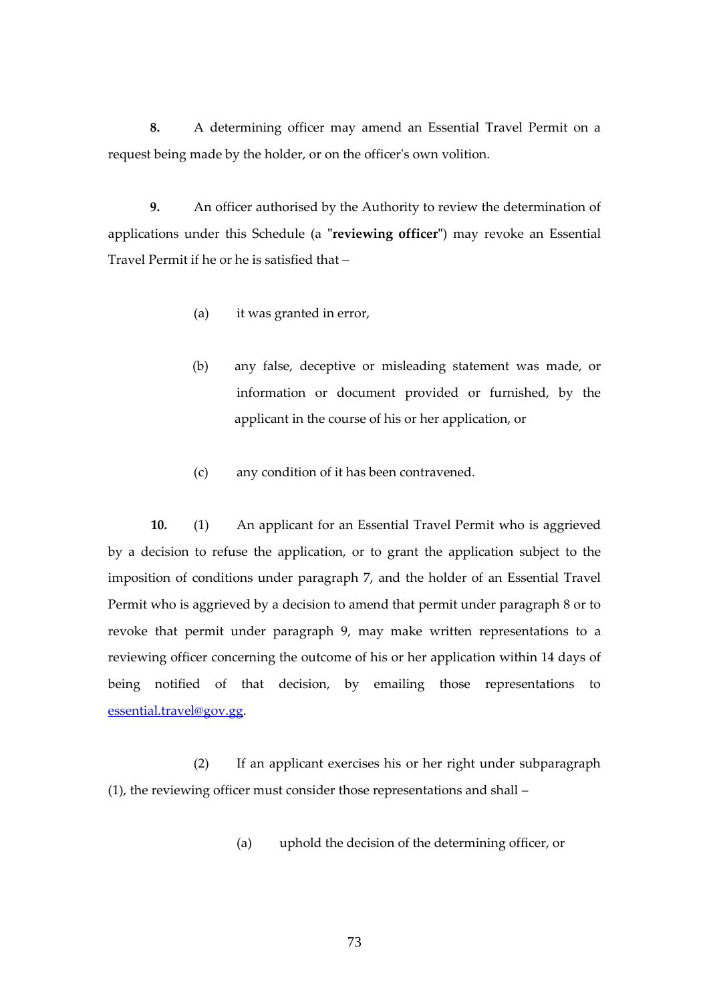**8.** A determining officer may amend an Essential Travel Permit on a request being made by the holder, or on the officer's own volition.

**9.** An officer authorised by the Authority to review the determination of applications under this Schedule (a **"reviewing officer"**) may revoke an Essential Travel Permit if he or he is satisfied that –

- (a) it was granted in error,
- (b) any false, deceptive or misleading statement was made, or information or document provided or furnished, by the applicant in the course of his or her application, or
- (c) any condition of it has been contravened.

**10.** (1) An applicant for an Essential Travel Permit who is aggrieved by a decision to refuse the application, or to grant the application subject to the imposition of conditions under paragraph 7, and the holder of an Essential Travel Permit who is aggrieved by a decision to amend that permit under paragraph 8 or to revoke that permit under paragraph 9, may make written representations to a reviewing officer concerning the outcome of his or her application within 14 days of being notified of that decision, by emailing those representations to [essential.travel@gov.gg.](mailto:essential.travel@gov.gg)

(2) If an applicant exercises his or her right under subparagraph (1), the reviewing officer must consider those representations and shall –

(a) uphold the decision of the determining officer, or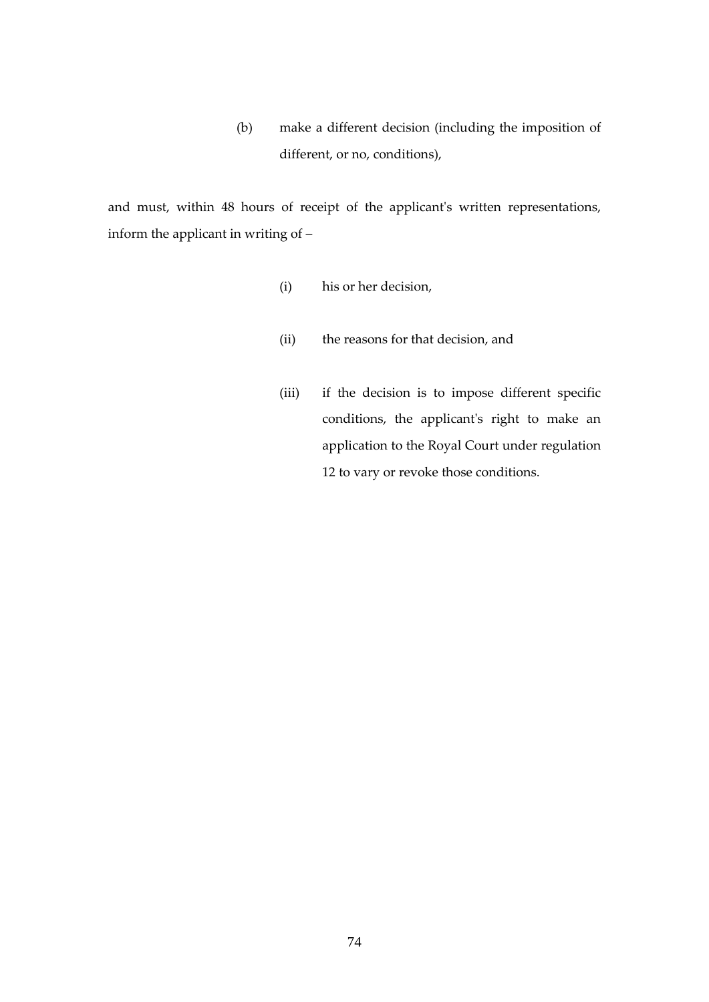(b) make a different decision (including the imposition of different, or no, conditions),

and must, within 48 hours of receipt of the applicant's written representations, inform the applicant in writing of –

- (i) his or her decision,
- (ii) the reasons for that decision, and
- (iii) if the decision is to impose different specific conditions, the applicant's right to make an application to the Royal Court under regulation 12 to vary or revoke those conditions.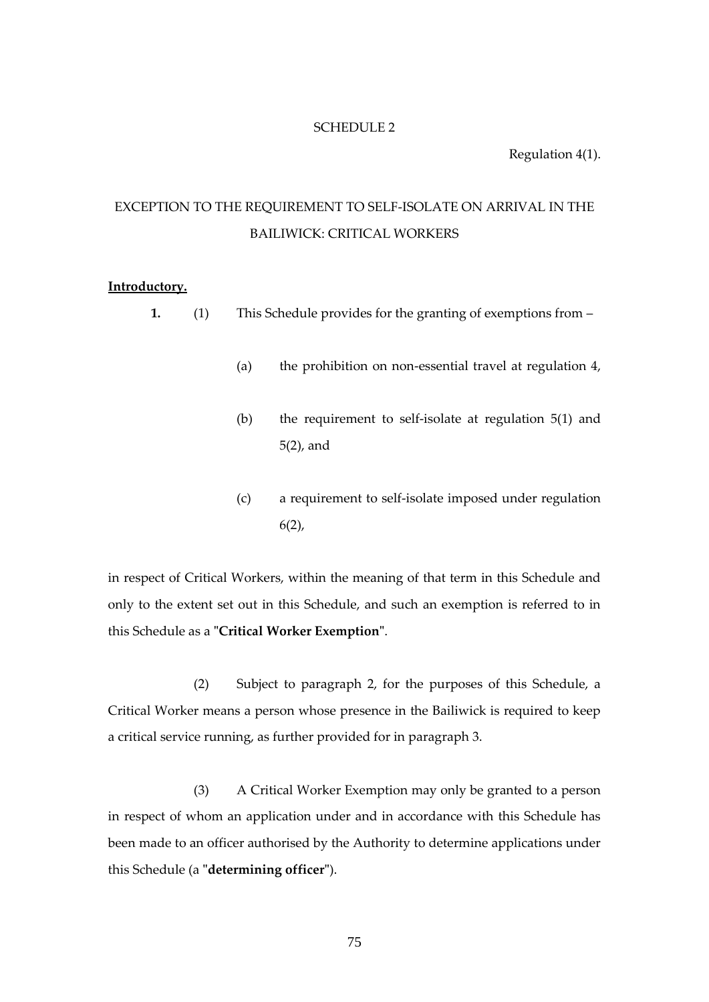#### SCHEDULE 2

Regulation 4(1).

# EXCEPTION TO THE REQUIREMENT TO SELF-ISOLATE ON ARRIVAL IN THE BAILIWICK: CRITICAL WORKERS

#### **Introductory.**

- **1.** (1) This Schedule provides for the granting of exemptions from
	- (a) the prohibition on non-essential travel at regulation 4,
	- (b) the requirement to self-isolate at regulation 5(1) and 5(2), and
	- (c) a requirement to self-isolate imposed under regulation  $6(2)$ ,

in respect of Critical Workers, within the meaning of that term in this Schedule and only to the extent set out in this Schedule, and such an exemption is referred to in this Schedule as a **"Critical Worker Exemption"**.

(2) Subject to paragraph 2, for the purposes of this Schedule, a Critical Worker means a person whose presence in the Bailiwick is required to keep a critical service running, as further provided for in paragraph 3.

(3) A Critical Worker Exemption may only be granted to a person in respect of whom an application under and in accordance with this Schedule has been made to an officer authorised by the Authority to determine applications under this Schedule (a **"determining officer"**).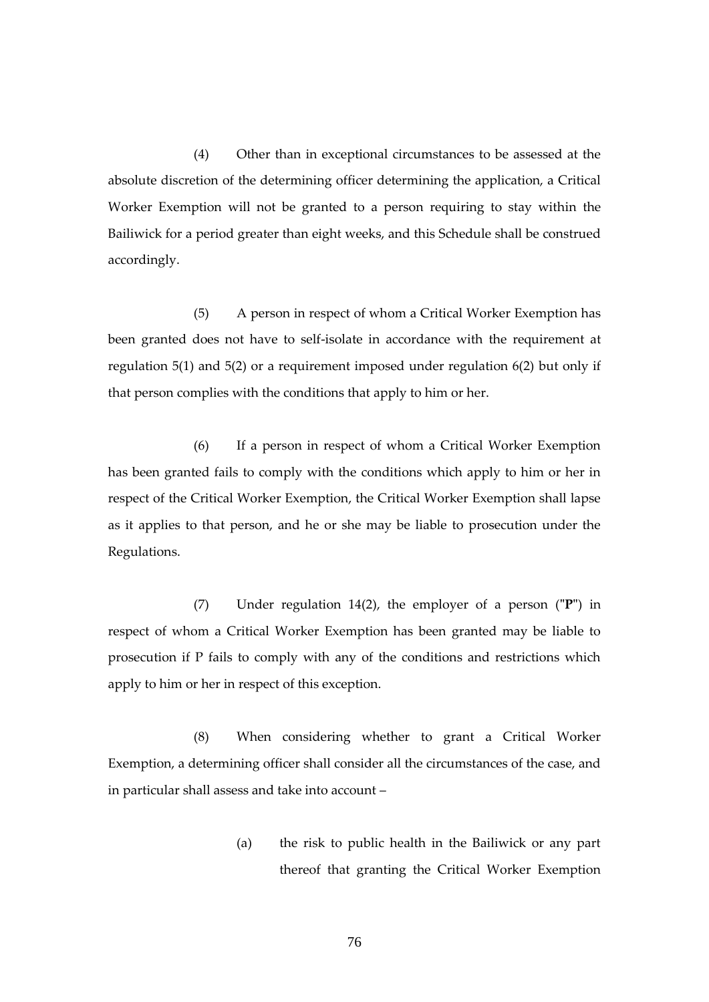(4) Other than in exceptional circumstances to be assessed at the absolute discretion of the determining officer determining the application, a Critical Worker Exemption will not be granted to a person requiring to stay within the Bailiwick for a period greater than eight weeks, and this Schedule shall be construed accordingly.

(5) A person in respect of whom a Critical Worker Exemption has been granted does not have to self-isolate in accordance with the requirement at regulation 5(1) and 5(2) or a requirement imposed under regulation 6(2) but only if that person complies with the conditions that apply to him or her.

(6) If a person in respect of whom a Critical Worker Exemption has been granted fails to comply with the conditions which apply to him or her in respect of the Critical Worker Exemption, the Critical Worker Exemption shall lapse as it applies to that person, and he or she may be liable to prosecution under the Regulations.

(7) Under regulation 14(2), the employer of a person (**"P"**) in respect of whom a Critical Worker Exemption has been granted may be liable to prosecution if P fails to comply with any of the conditions and restrictions which apply to him or her in respect of this exception.

(8) When considering whether to grant a Critical Worker Exemption, a determining officer shall consider all the circumstances of the case, and in particular shall assess and take into account –

> (a) the risk to public health in the Bailiwick or any part thereof that granting the Critical Worker Exemption

> > 76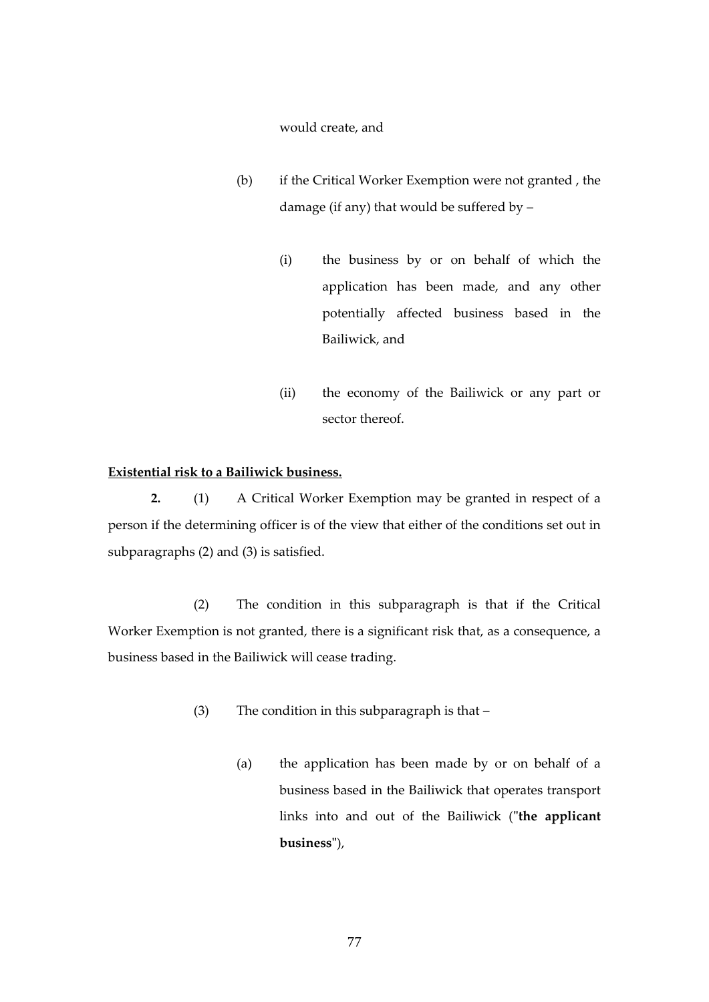would create, and

- (b) if the Critical Worker Exemption were not granted , the damage (if any) that would be suffered by –
	- (i) the business by or on behalf of which the application has been made, and any other potentially affected business based in the Bailiwick, and
	- (ii) the economy of the Bailiwick or any part or sector thereof.

## **Existential risk to a Bailiwick business.**

**2.** (1) A Critical Worker Exemption may be granted in respect of a person if the determining officer is of the view that either of the conditions set out in subparagraphs (2) and (3) is satisfied.

(2) The condition in this subparagraph is that if the Critical Worker Exemption is not granted, there is a significant risk that, as a consequence, a business based in the Bailiwick will cease trading.

- (3) The condition in this subparagraph is that
	- (a) the application has been made by or on behalf of a business based in the Bailiwick that operates transport links into and out of the Bailiwick (**"the applicant business"**),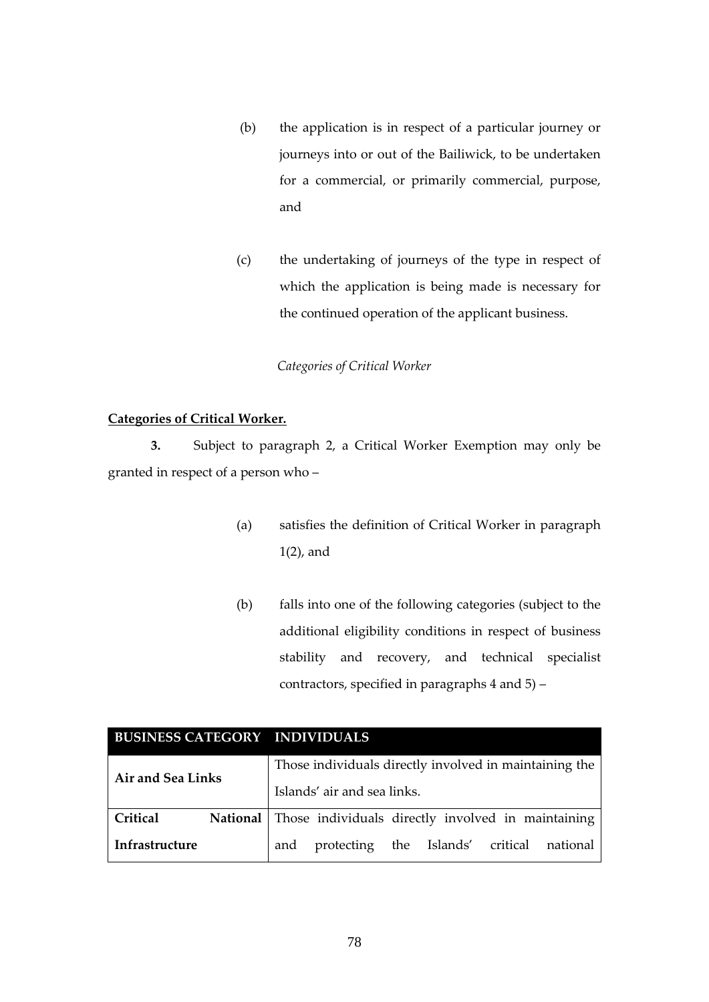- (b) the application is in respect of a particular journey or journeys into or out of the Bailiwick, to be undertaken for a commercial, or primarily commercial, purpose, and
- (c) the undertaking of journeys of the type in respect of which the application is being made is necessary for the continued operation of the applicant business.

*Categories of Critical Worker*

# **Categories of Critical Worker.**

**3.** Subject to paragraph 2, a Critical Worker Exemption may only be granted in respect of a person who –

- (a) satisfies the definition of Critical Worker in paragraph 1(2), and
- (b) falls into one of the following categories (subject to the additional eligibility conditions in respect of business stability and recovery, and technical specialist contractors, specified in paragraphs 4 and 5) –

| <b>BUSINESS CATEGORY INDIVIDUALS</b> |          |                                                        |                                                    |  |  |  |          |
|--------------------------------------|----------|--------------------------------------------------------|----------------------------------------------------|--|--|--|----------|
| <b>Air and Sea Links</b>             |          | Those individuals directly involved in maintaining the |                                                    |  |  |  |          |
|                                      |          | Islands' air and sea links.                            |                                                    |  |  |  |          |
| Critical                             | National |                                                        | Those individuals directly involved in maintaining |  |  |  |          |
| Infrastructure                       |          | and                                                    | protecting the Islands' critical                   |  |  |  | national |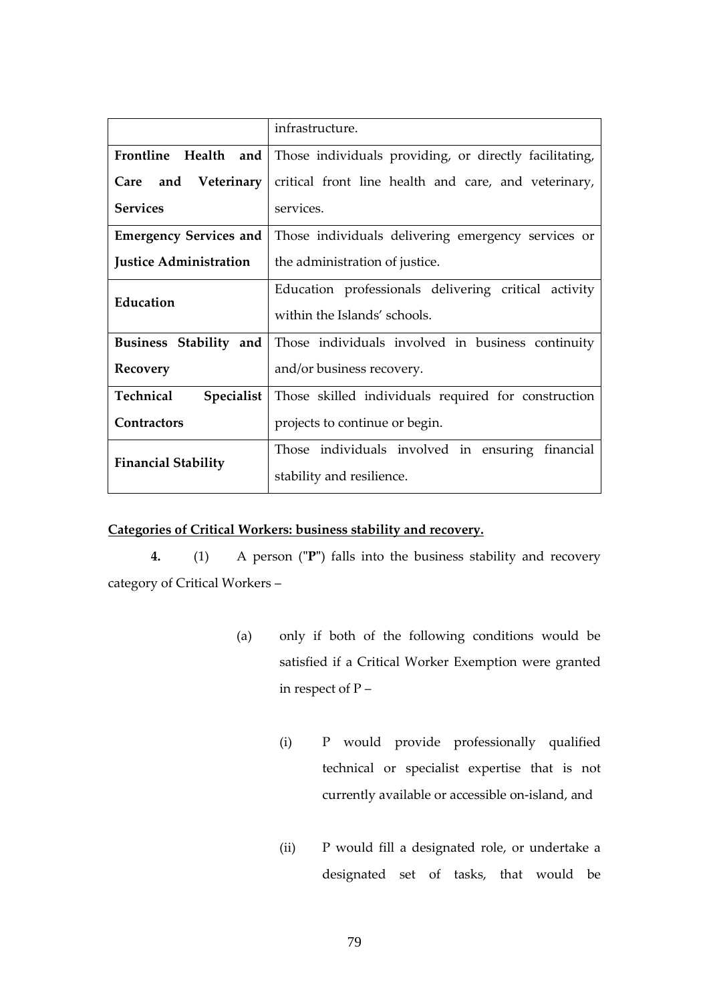|                               | infrastructure.                                                               |  |  |  |
|-------------------------------|-------------------------------------------------------------------------------|--|--|--|
|                               | Frontline Health and   Those individuals providing, or directly facilitating, |  |  |  |
| Care and Veterinary           | critical front line health and care, and veterinary,                          |  |  |  |
| <b>Services</b>               | services.                                                                     |  |  |  |
| <b>Emergency Services and</b> | Those individuals delivering emergency services or                            |  |  |  |
| <b>Justice Administration</b> | the administration of justice.                                                |  |  |  |
| Education                     | Education professionals delivering critical activity                          |  |  |  |
|                               | within the Islands' schools.                                                  |  |  |  |
| Business Stability and        | Those individuals involved in business continuity                             |  |  |  |
| Recovery                      | and/or business recovery.                                                     |  |  |  |
| Technical<br>Specialist       | Those skilled individuals required for construction                           |  |  |  |
| Contractors                   | projects to continue or begin.                                                |  |  |  |
| <b>Financial Stability</b>    | Those individuals involved in ensuring financial                              |  |  |  |
|                               | stability and resilience.                                                     |  |  |  |

# **Categories of Critical Workers: business stability and recovery.**

**4.** (1) A person (**"P"**) falls into the business stability and recovery category of Critical Workers –

- (a) only if both of the following conditions would be satisfied if a Critical Worker Exemption were granted in respect of P –
	- (i) P would provide professionally qualified technical or specialist expertise that is not currently available or accessible on-island, and
	- (ii) P would fill a designated role, or undertake a designated set of tasks, that would be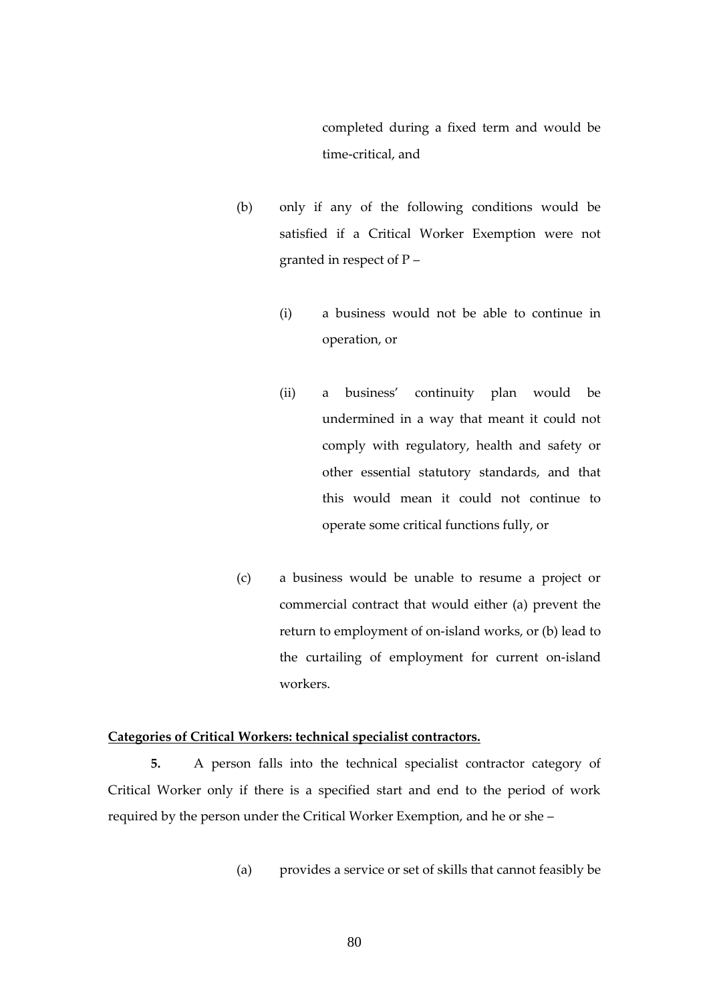completed during a fixed term and would be time-critical, and

- (b) only if any of the following conditions would be satisfied if a Critical Worker Exemption were not granted in respect of P –
	- (i) a business would not be able to continue in operation, or
	- (ii) a business' continuity plan would be undermined in a way that meant it could not comply with regulatory, health and safety or other essential statutory standards, and that this would mean it could not continue to operate some critical functions fully, or
- (c) a business would be unable to resume a project or commercial contract that would either (a) prevent the return to employment of on-island works, or (b) lead to the curtailing of employment for current on-island workers.

#### **Categories of Critical Workers: technical specialist contractors.**

**5.** A person falls into the technical specialist contractor category of Critical Worker only if there is a specified start and end to the period of work required by the person under the Critical Worker Exemption, and he or she –

(a) provides a service or set of skills that cannot feasibly be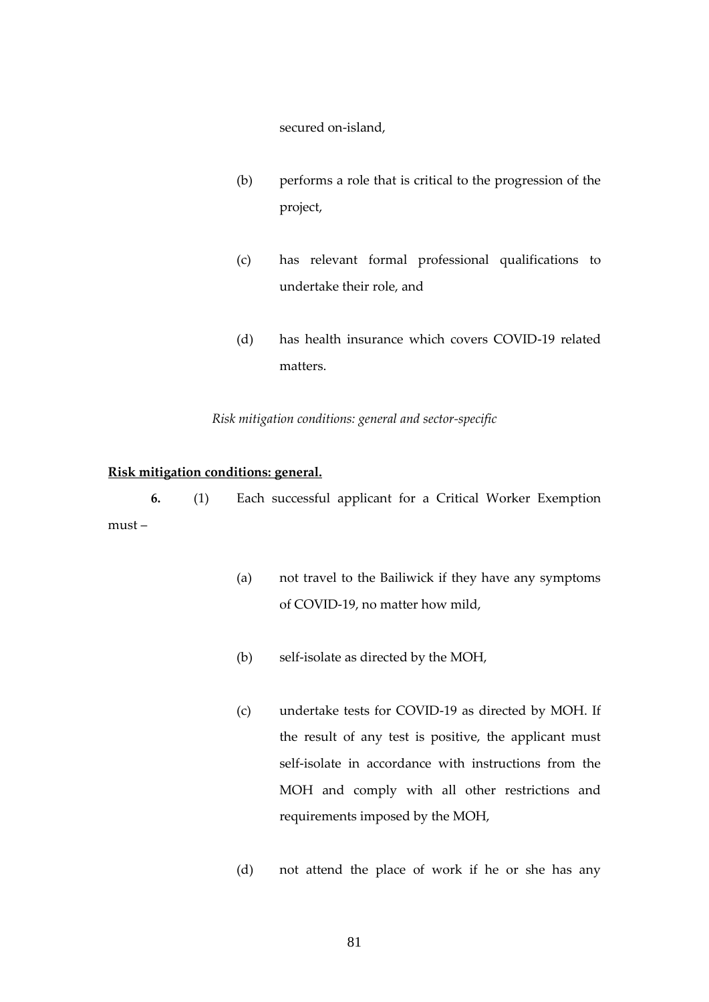secured on-island,

- (b) performs a role that is critical to the progression of the project,
- (c) has relevant formal professional qualifications to undertake their role, and
- (d) has health insurance which covers COVID-19 related matters.

## *Risk mitigation conditions: general and sector-specific*

#### **Risk mitigation conditions: general.**

**6.** (1) Each successful applicant for a Critical Worker Exemption must –

- (a) not travel to the Bailiwick if they have any symptoms of COVID-19, no matter how mild,
- (b) self-isolate as directed by the MOH,
- (c) undertake tests for COVID-19 as directed by MOH. If the result of any test is positive, the applicant must self-isolate in accordance with instructions from the MOH and comply with all other restrictions and requirements imposed by the MOH,
- (d) not attend the place of work if he or she has any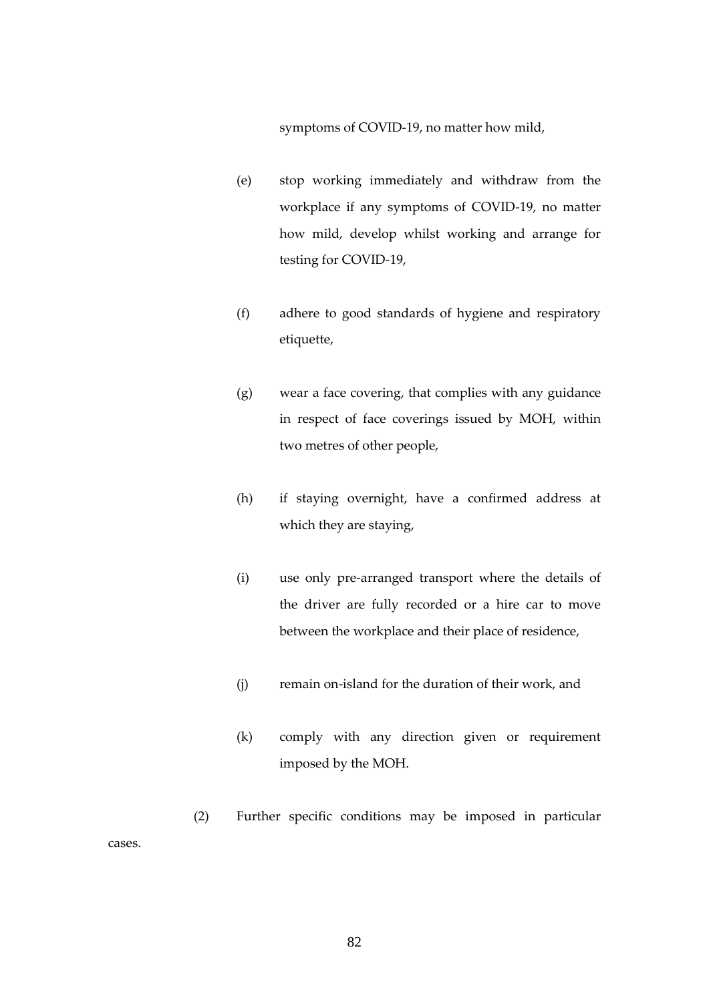symptoms of COVID-19, no matter how mild,

- (e) stop working immediately and withdraw from the workplace if any symptoms of COVID-19, no matter how mild, develop whilst working and arrange for testing for COVID-19,
- (f) adhere to good standards of hygiene and respiratory etiquette,
- (g) wear a face covering, that complies with any guidance in respect of face coverings issued by MOH, within two metres of other people,
- (h) if staying overnight, have a confirmed address at which they are staying,
- (i) use only pre-arranged transport where the details of the driver are fully recorded or a hire car to move between the workplace and their place of residence,
- (j) remain on-island for the duration of their work, and
- (k) comply with any direction given or requirement imposed by the MOH.
- (2) Further specific conditions may be imposed in particular

cases.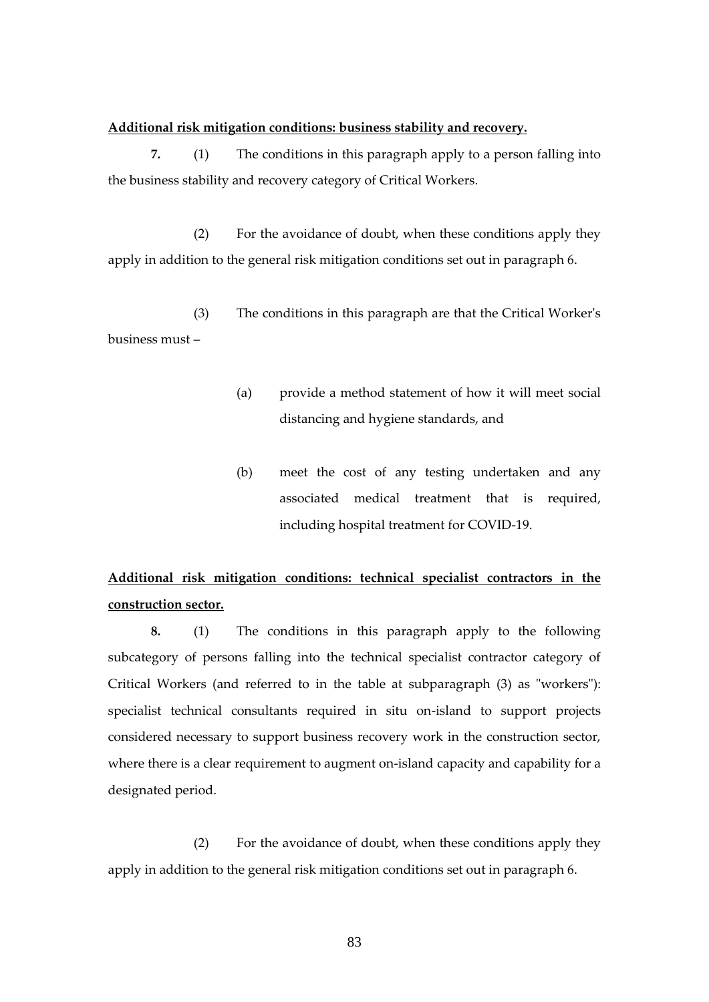#### **Additional risk mitigation conditions: business stability and recovery.**

**7.** (1) The conditions in this paragraph apply to a person falling into the business stability and recovery category of Critical Workers.

(2) For the avoidance of doubt, when these conditions apply they apply in addition to the general risk mitigation conditions set out in paragraph 6.

(3) The conditions in this paragraph are that the Critical Worker's business must –

- (a) provide a method statement of how it will meet social distancing and hygiene standards, and
- (b) meet the cost of any testing undertaken and any associated medical treatment that is required, including hospital treatment for COVID-19.

# **Additional risk mitigation conditions: technical specialist contractors in the construction sector.**

**8.** (1) The conditions in this paragraph apply to the following subcategory of persons falling into the technical specialist contractor category of Critical Workers (and referred to in the table at subparagraph (3) as "workers"): specialist technical consultants required in situ on-island to support projects considered necessary to support business recovery work in the construction sector, where there is a clear requirement to augment on-island capacity and capability for a designated period.

(2) For the avoidance of doubt, when these conditions apply they apply in addition to the general risk mitigation conditions set out in paragraph 6.

83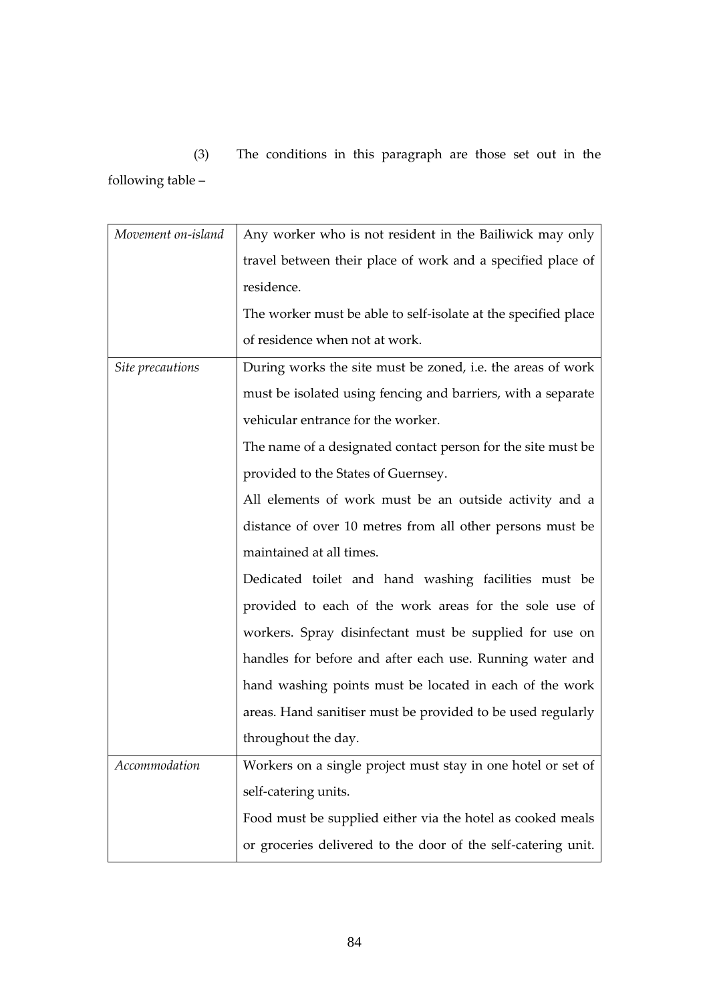(3) The conditions in this paragraph are those set out in the following table –

| Movement on-island | Any worker who is not resident in the Bailiwick may only       |
|--------------------|----------------------------------------------------------------|
|                    | travel between their place of work and a specified place of    |
|                    | residence.                                                     |
|                    | The worker must be able to self-isolate at the specified place |
|                    | of residence when not at work.                                 |
| Site precautions   | During works the site must be zoned, i.e. the areas of work    |
|                    | must be isolated using fencing and barriers, with a separate   |
|                    | vehicular entrance for the worker.                             |
|                    | The name of a designated contact person for the site must be   |
|                    | provided to the States of Guernsey.                            |
|                    | All elements of work must be an outside activity and a         |
|                    | distance of over 10 metres from all other persons must be      |
|                    | maintained at all times.                                       |
|                    | Dedicated toilet and hand washing facilities must be           |
|                    | provided to each of the work areas for the sole use of         |
|                    | workers. Spray disinfectant must be supplied for use on        |
|                    | handles for before and after each use. Running water and       |
|                    | hand washing points must be located in each of the work        |
|                    | areas. Hand sanitiser must be provided to be used regularly    |
|                    | throughout the day.                                            |
| Accommodation      | Workers on a single project must stay in one hotel or set of   |
|                    | self-catering units.                                           |
|                    | Food must be supplied either via the hotel as cooked meals     |
|                    | or groceries delivered to the door of the self-catering unit.  |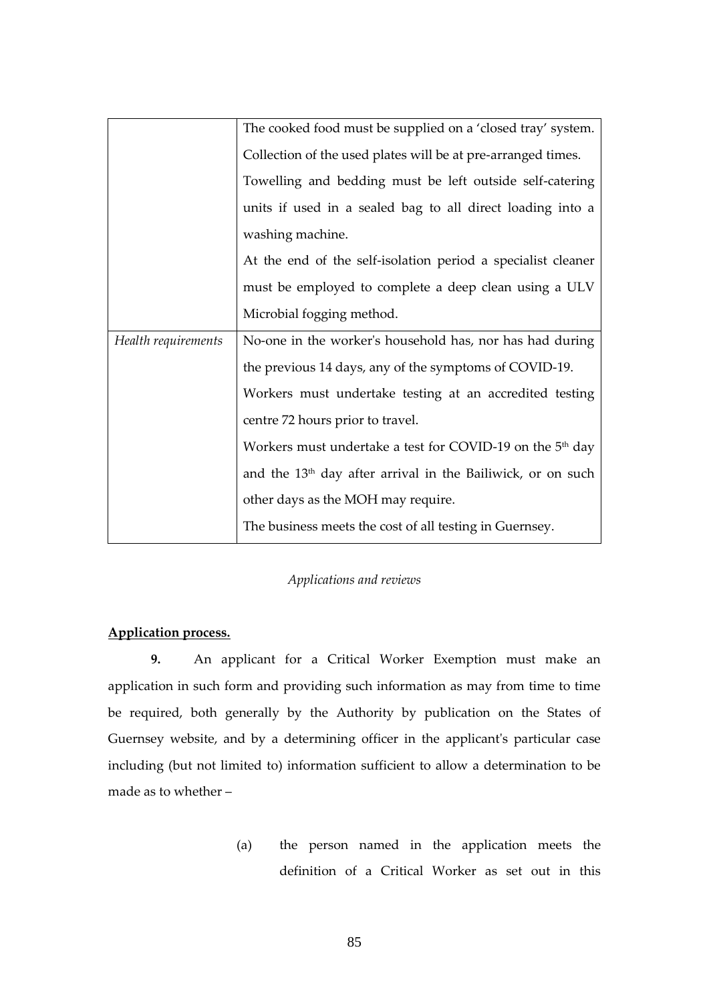|                     | The cooked food must be supplied on a 'closed tray' system.             |
|---------------------|-------------------------------------------------------------------------|
|                     | Collection of the used plates will be at pre-arranged times.            |
|                     | Towelling and bedding must be left outside self-catering                |
|                     | units if used in a sealed bag to all direct loading into a              |
|                     | washing machine.                                                        |
|                     | At the end of the self-isolation period a specialist cleaner            |
|                     | must be employed to complete a deep clean using a ULV                   |
|                     | Microbial fogging method.                                               |
| Health requirements | No-one in the worker's household has, nor has had during                |
|                     | the previous 14 days, any of the symptoms of COVID-19.                  |
|                     | Workers must undertake testing at an accredited testing                 |
|                     | centre 72 hours prior to travel.                                        |
|                     | Workers must undertake a test for COVID-19 on the 5 <sup>th</sup> day   |
|                     | and the 13 <sup>th</sup> day after arrival in the Bailiwick, or on such |
|                     | other days as the MOH may require.                                      |
|                     | The business meets the cost of all testing in Guernsey.                 |

# *Applications and reviews*

# **Application process.**

**9.** An applicant for a Critical Worker Exemption must make an application in such form and providing such information as may from time to time be required, both generally by the Authority by publication on the States of Guernsey website, and by a determining officer in the applicant's particular case including (but not limited to) information sufficient to allow a determination to be made as to whether –

> (a) the person named in the application meets the definition of a Critical Worker as set out in this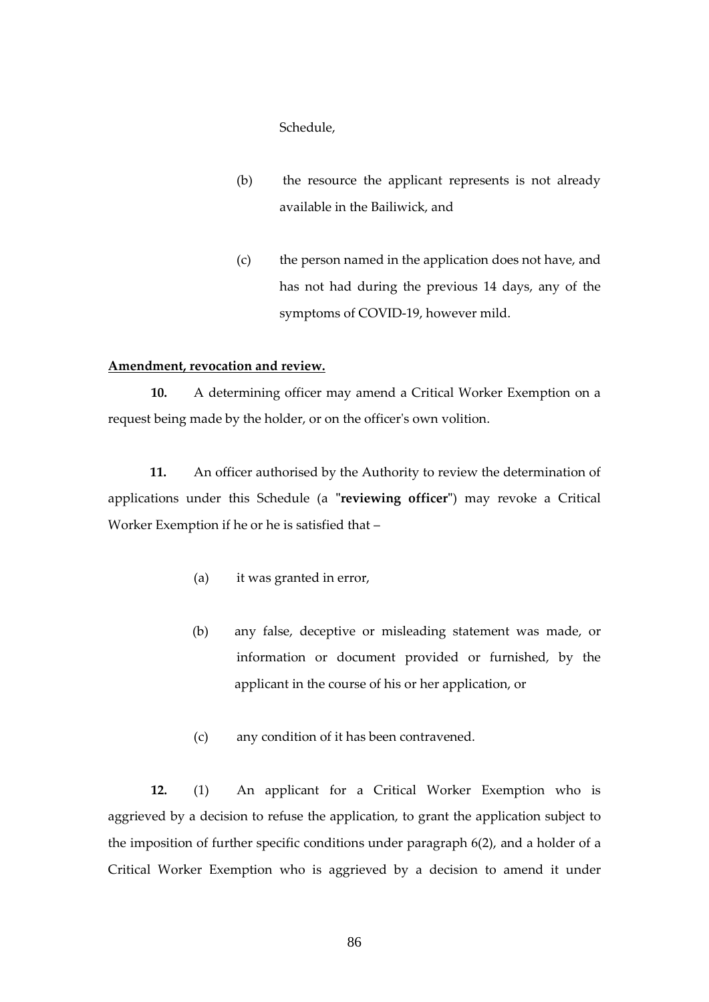Schedule,

- (b) the resource the applicant represents is not already available in the Bailiwick, and
- (c) the person named in the application does not have, and has not had during the previous 14 days, any of the symptoms of COVID-19, however mild.

#### **Amendment, revocation and review.**

**10.** A determining officer may amend a Critical Worker Exemption on a request being made by the holder, or on the officer's own volition.

**11.** An officer authorised by the Authority to review the determination of applications under this Schedule (a **"reviewing officer"**) may revoke a Critical Worker Exemption if he or he is satisfied that –

- (a) it was granted in error,
- (b) any false, deceptive or misleading statement was made, or information or document provided or furnished, by the applicant in the course of his or her application, or
- (c) any condition of it has been contravened.

**12.** (1) An applicant for a Critical Worker Exemption who is aggrieved by a decision to refuse the application, to grant the application subject to the imposition of further specific conditions under paragraph 6(2), and a holder of a Critical Worker Exemption who is aggrieved by a decision to amend it under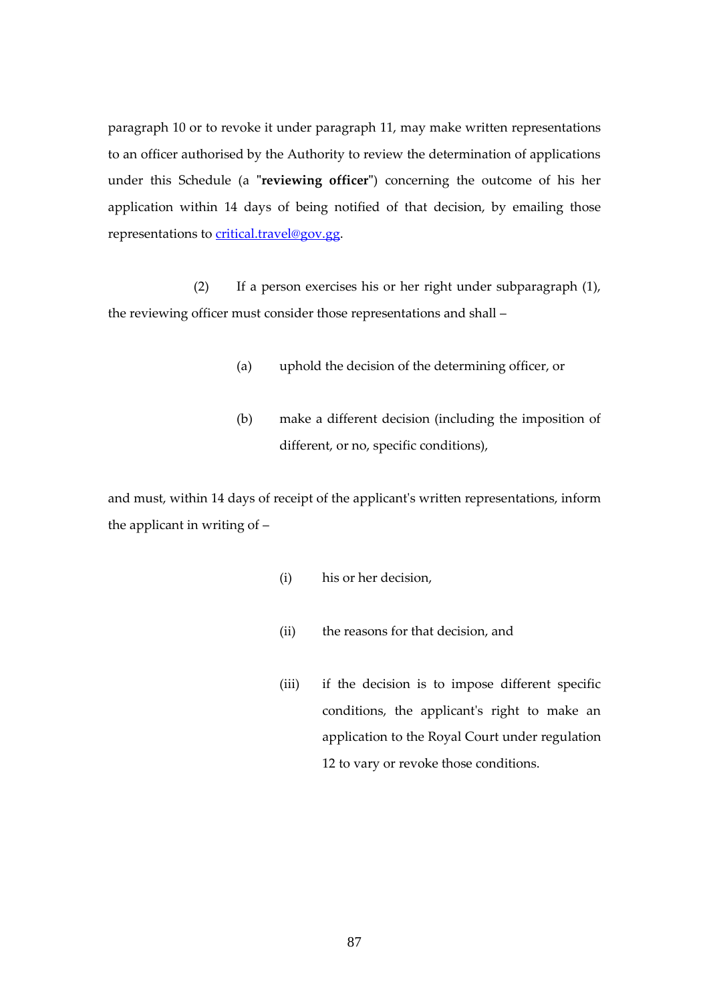paragraph 10 or to revoke it under paragraph 11, may make written representations to an officer authorised by the Authority to review the determination of applications under this Schedule (a **"reviewing officer"**) concerning the outcome of his her application within 14 days of being notified of that decision, by emailing those representations to [critical.travel@gov.gg.](mailto:critical.travel@gov.gg)

(2) If a person exercises his or her right under subparagraph (1), the reviewing officer must consider those representations and shall –

- (a) uphold the decision of the determining officer, or
- (b) make a different decision (including the imposition of different, or no, specific conditions),

and must, within 14 days of receipt of the applicant's written representations, inform the applicant in writing of –

- (i) his or her decision,
- (ii) the reasons for that decision, and
- (iii) if the decision is to impose different specific conditions, the applicant's right to make an application to the Royal Court under regulation 12 to vary or revoke those conditions.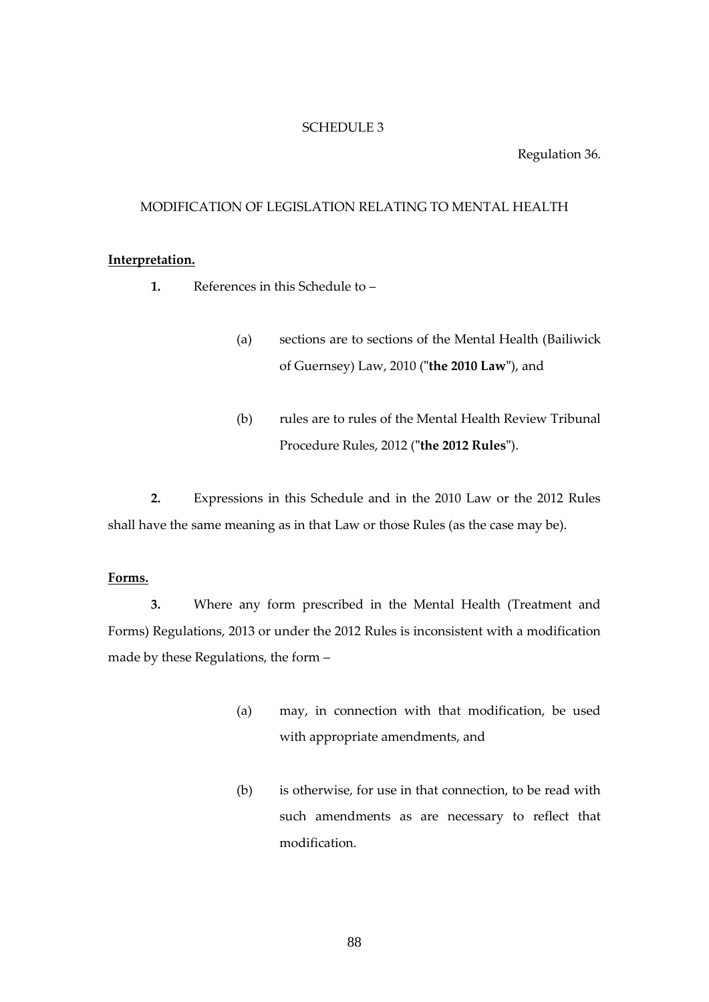#### SCHEDULE 3

#### Regulation 36.

## MODIFICATION OF LEGISLATION RELATING TO MENTAL HEALTH

#### **Interpretation.**

- **1.** References in this Schedule to
	- (a) sections are to sections of the Mental Health (Bailiwick of Guernsey) Law, 2010 (**"the 2010 Law"**), and
	- (b) rules are to rules of the Mental Health Review Tribunal Procedure Rules, 2012 (**"the 2012 Rules"**).

**2.** Expressions in this Schedule and in the 2010 Law or the 2012 Rules shall have the same meaning as in that Law or those Rules (as the case may be).

## **Forms.**

**3.** Where any form prescribed in the Mental Health (Treatment and Forms) Regulations, 2013 or under the 2012 Rules is inconsistent with a modification made by these Regulations, the form –

- (a) may, in connection with that modification, be used with appropriate amendments, and
- (b) is otherwise, for use in that connection, to be read with such amendments as are necessary to reflect that modification.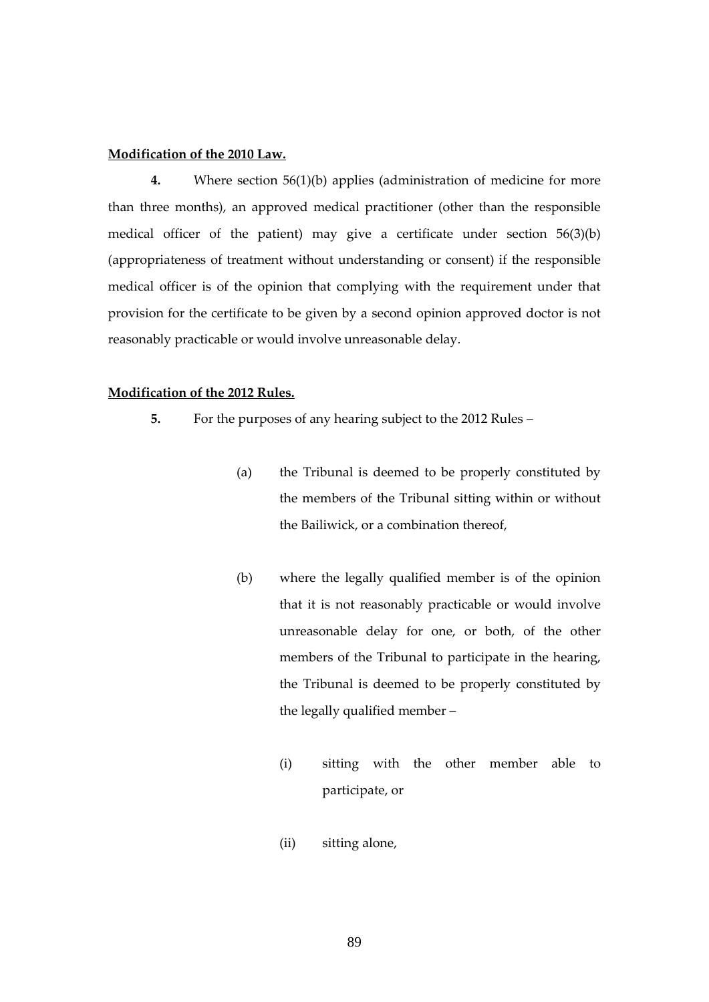#### **Modification of the 2010 Law.**

**4.** Where section 56(1)(b) applies (administration of medicine for more than three months), an approved medical practitioner (other than the responsible medical officer of the patient) may give a certificate under section 56(3)(b) (appropriateness of treatment without understanding or consent) if the responsible medical officer is of the opinion that complying with the requirement under that provision for the certificate to be given by a second opinion approved doctor is not reasonably practicable or would involve unreasonable delay.

#### **Modification of the 2012 Rules.**

- **5.** For the purposes of any hearing subject to the 2012 Rules
	- (a) the Tribunal is deemed to be properly constituted by the members of the Tribunal sitting within or without the Bailiwick, or a combination thereof,
	- (b) where the legally qualified member is of the opinion that it is not reasonably practicable or would involve unreasonable delay for one, or both, of the other members of the Tribunal to participate in the hearing, the Tribunal is deemed to be properly constituted by the legally qualified member –
		- (i) sitting with the other member able to participate, or
		- (ii) sitting alone,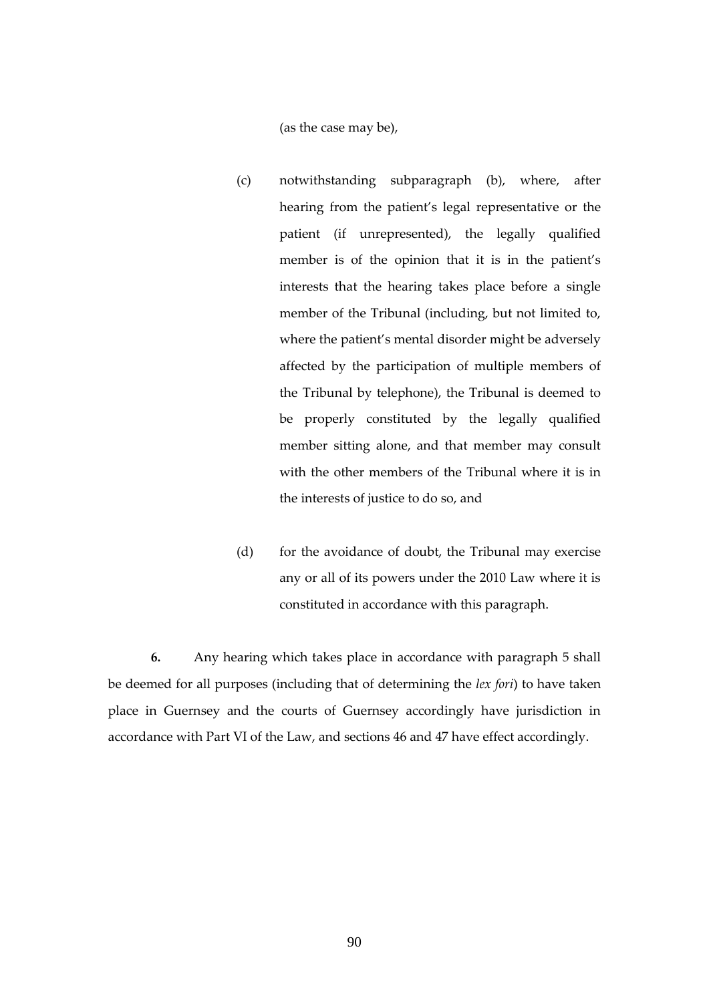(as the case may be),

- (c) notwithstanding subparagraph (b), where, after hearing from the patient's legal representative or the patient (if unrepresented), the legally qualified member is of the opinion that it is in the patient's interests that the hearing takes place before a single member of the Tribunal (including, but not limited to, where the patient's mental disorder might be adversely affected by the participation of multiple members of the Tribunal by telephone), the Tribunal is deemed to be properly constituted by the legally qualified member sitting alone, and that member may consult with the other members of the Tribunal where it is in the interests of justice to do so, and
- (d) for the avoidance of doubt, the Tribunal may exercise any or all of its powers under the 2010 Law where it is constituted in accordance with this paragraph.

**6.** Any hearing which takes place in accordance with paragraph 5 shall be deemed for all purposes (including that of determining the *lex fori*) to have taken place in Guernsey and the courts of Guernsey accordingly have jurisdiction in accordance with Part VI of the Law, and sections 46 and 47 have effect accordingly.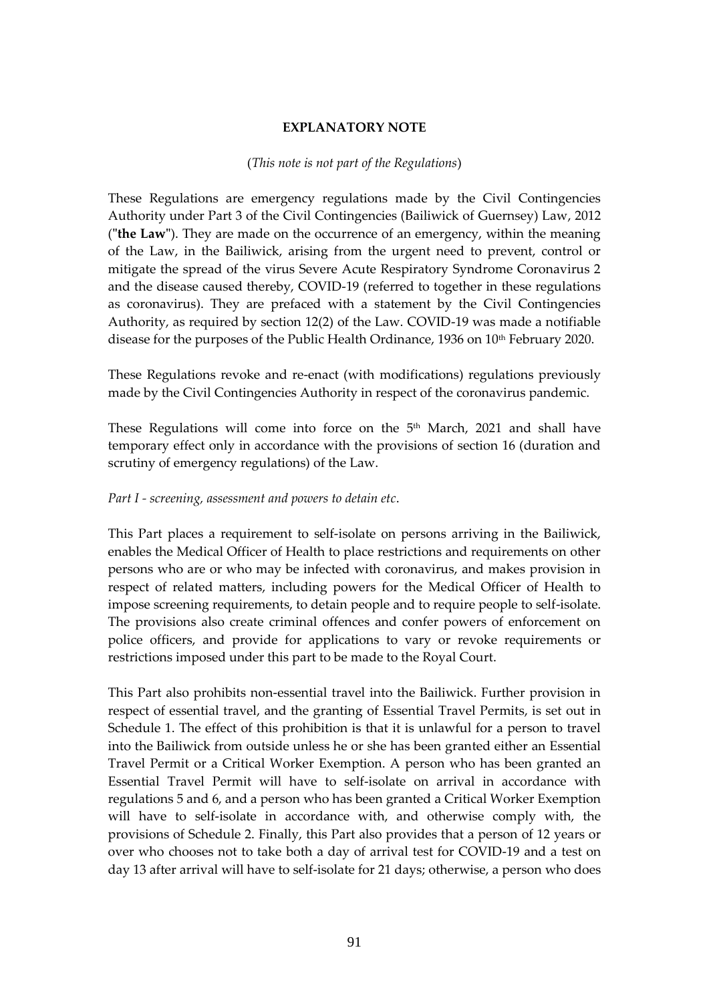# **EXPLANATORY NOTE**

# (*This note is not part of the Regulations*)

These Regulations are emergency regulations made by the Civil Contingencies Authority under Part 3 of the Civil Contingencies (Bailiwick of Guernsey) Law, 2012 (**"the Law"**). They are made on the occurrence of an emergency, within the meaning of the Law, in the Bailiwick, arising from the urgent need to prevent, control or mitigate the spread of the virus Severe Acute Respiratory Syndrome Coronavirus 2 and the disease caused thereby, COVID-19 (referred to together in these regulations as coronavirus). They are prefaced with a statement by the Civil Contingencies Authority, as required by section 12(2) of the Law. COVID-19 was made a notifiable disease for the purposes of the Public Health Ordinance, 1936 on 10<sup>th</sup> February 2020.

These Regulations revoke and re-enact (with modifications) regulations previously made by the Civil Contingencies Authority in respect of the coronavirus pandemic.

These Regulations will come into force on the  $5<sup>th</sup>$  March, 2021 and shall have temporary effect only in accordance with the provisions of section 16 (duration and scrutiny of emergency regulations) of the Law.

# *Part I - screening, assessment and powers to detain etc*.

This Part places a requirement to self-isolate on persons arriving in the Bailiwick, enables the Medical Officer of Health to place restrictions and requirements on other persons who are or who may be infected with coronavirus, and makes provision in respect of related matters, including powers for the Medical Officer of Health to impose screening requirements, to detain people and to require people to self-isolate. The provisions also create criminal offences and confer powers of enforcement on police officers, and provide for applications to vary or revoke requirements or restrictions imposed under this part to be made to the Royal Court.

This Part also prohibits non-essential travel into the Bailiwick. Further provision in respect of essential travel, and the granting of Essential Travel Permits, is set out in Schedule 1. The effect of this prohibition is that it is unlawful for a person to travel into the Bailiwick from outside unless he or she has been granted either an Essential Travel Permit or a Critical Worker Exemption. A person who has been granted an Essential Travel Permit will have to self-isolate on arrival in accordance with regulations 5 and 6, and a person who has been granted a Critical Worker Exemption will have to self-isolate in accordance with, and otherwise comply with, the provisions of Schedule 2. Finally, this Part also provides that a person of 12 years or over who chooses not to take both a day of arrival test for COVID-19 and a test on day 13 after arrival will have to self-isolate for 21 days; otherwise, a person who does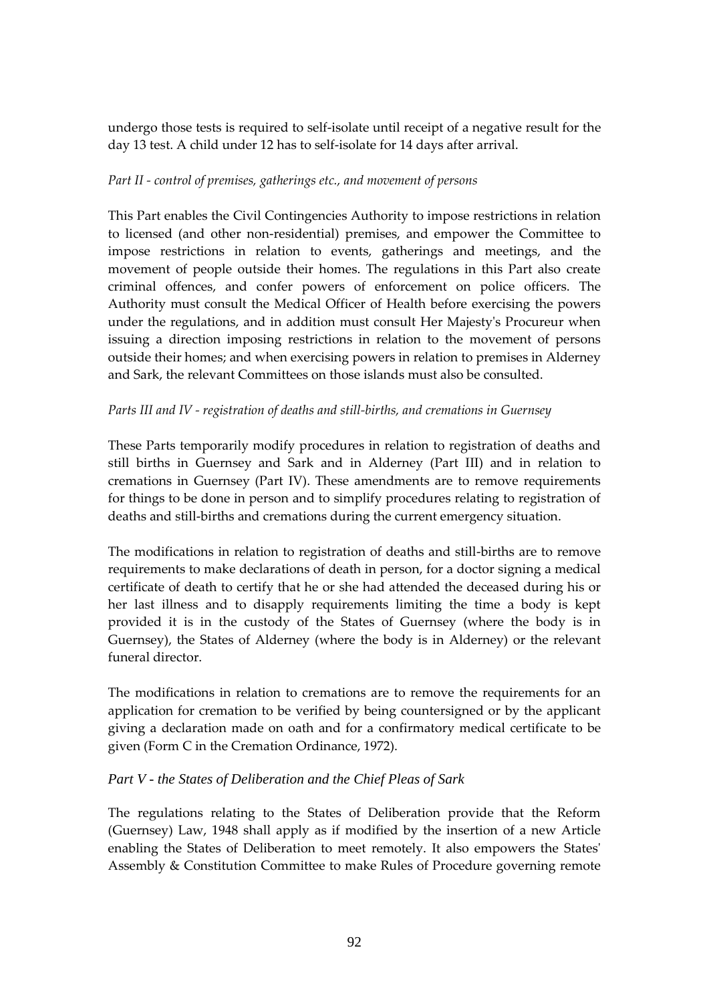undergo those tests is required to self-isolate until receipt of a negative result for the day 13 test. A child under 12 has to self-isolate for 14 days after arrival.

# *Part II - control of premises, gatherings etc., and movement of persons*

This Part enables the Civil Contingencies Authority to impose restrictions in relation to licensed (and other non-residential) premises, and empower the Committee to impose restrictions in relation to events, gatherings and meetings, and the movement of people outside their homes. The regulations in this Part also create criminal offences, and confer powers of enforcement on police officers. The Authority must consult the Medical Officer of Health before exercising the powers under the regulations, and in addition must consult Her Majesty's Procureur when issuing a direction imposing restrictions in relation to the movement of persons outside their homes; and when exercising powers in relation to premises in Alderney and Sark, the relevant Committees on those islands must also be consulted.

# *Parts III and IV - registration of deaths and still-births, and cremations in Guernsey*

These Parts temporarily modify procedures in relation to registration of deaths and still births in Guernsey and Sark and in Alderney (Part III) and in relation to cremations in Guernsey (Part IV). These amendments are to remove requirements for things to be done in person and to simplify procedures relating to registration of deaths and still-births and cremations during the current emergency situation.

The modifications in relation to registration of deaths and still-births are to remove requirements to make declarations of death in person, for a doctor signing a medical certificate of death to certify that he or she had attended the deceased during his or her last illness and to disapply requirements limiting the time a body is kept provided it is in the custody of the States of Guernsey (where the body is in Guernsey), the States of Alderney (where the body is in Alderney) or the relevant funeral director.

The modifications in relation to cremations are to remove the requirements for an application for cremation to be verified by being countersigned or by the applicant giving a declaration made on oath and for a confirmatory medical certificate to be given (Form C in the Cremation Ordinance, 1972).

# *Part V - the States of Deliberation and the Chief Pleas of Sark*

The regulations relating to the States of Deliberation provide that the Reform (Guernsey) Law, 1948 shall apply as if modified by the insertion of a new Article enabling the States of Deliberation to meet remotely. It also empowers the States' Assembly & Constitution Committee to make Rules of Procedure governing remote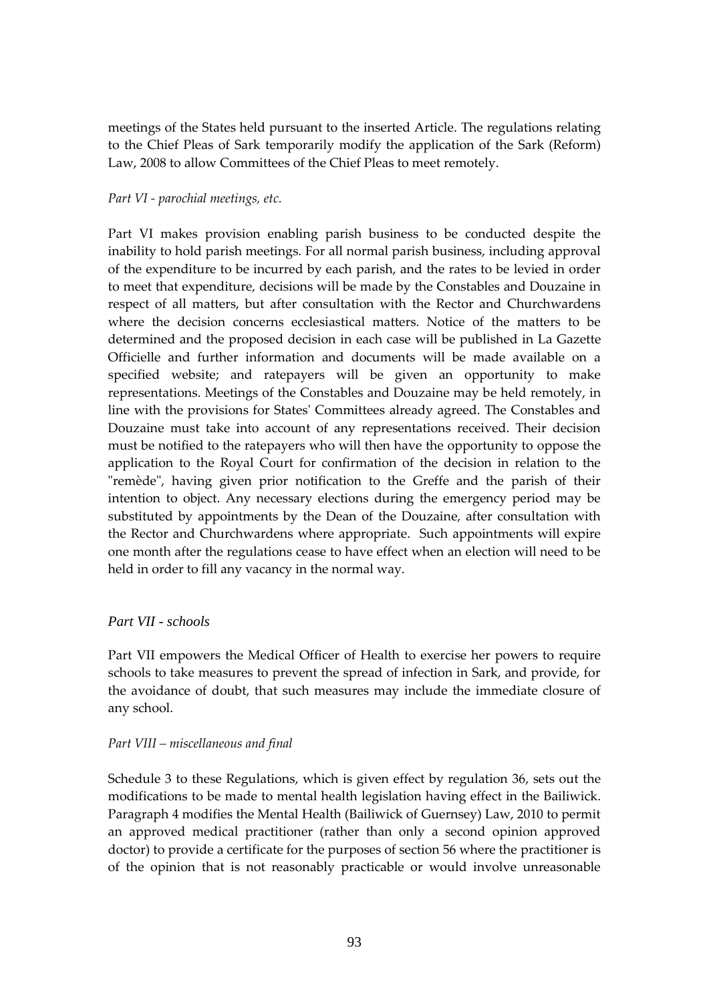meetings of the States held pursuant to the inserted Article. The regulations relating to the Chief Pleas of Sark temporarily modify the application of the Sark (Reform) Law, 2008 to allow Committees of the Chief Pleas to meet remotely.

## *Part VI - parochial meetings, etc.*

Part VI makes provision enabling parish business to be conducted despite the inability to hold parish meetings. For all normal parish business, including approval of the expenditure to be incurred by each parish, and the rates to be levied in order to meet that expenditure, decisions will be made by the Constables and Douzaine in respect of all matters, but after consultation with the Rector and Churchwardens where the decision concerns ecclesiastical matters. Notice of the matters to be determined and the proposed decision in each case will be published in La Gazette Officielle and further information and documents will be made available on a specified website; and ratepayers will be given an opportunity to make representations. Meetings of the Constables and Douzaine may be held remotely, in line with the provisions for States' Committees already agreed. The Constables and Douzaine must take into account of any representations received. Their decision must be notified to the ratepayers who will then have the opportunity to oppose the application to the Royal Court for confirmation of the decision in relation to the "remède", having given prior notification to the Greffe and the parish of their intention to object. Any necessary elections during the emergency period may be substituted by appointments by the Dean of the Douzaine, after consultation with the Rector and Churchwardens where appropriate. Such appointments will expire one month after the regulations cease to have effect when an election will need to be held in order to fill any vacancy in the normal way.

# *Part VII - schools*

Part VII empowers the Medical Officer of Health to exercise her powers to require schools to take measures to prevent the spread of infection in Sark, and provide, for the avoidance of doubt, that such measures may include the immediate closure of any school.

# *Part VIII – miscellaneous and final*

Schedule 3 to these Regulations, which is given effect by regulation 36, sets out the modifications to be made to mental health legislation having effect in the Bailiwick. Paragraph 4 modifies the Mental Health (Bailiwick of Guernsey) Law, 2010 to permit an approved medical practitioner (rather than only a second opinion approved doctor) to provide a certificate for the purposes of section 56 where the practitioner is of the opinion that is not reasonably practicable or would involve unreasonable